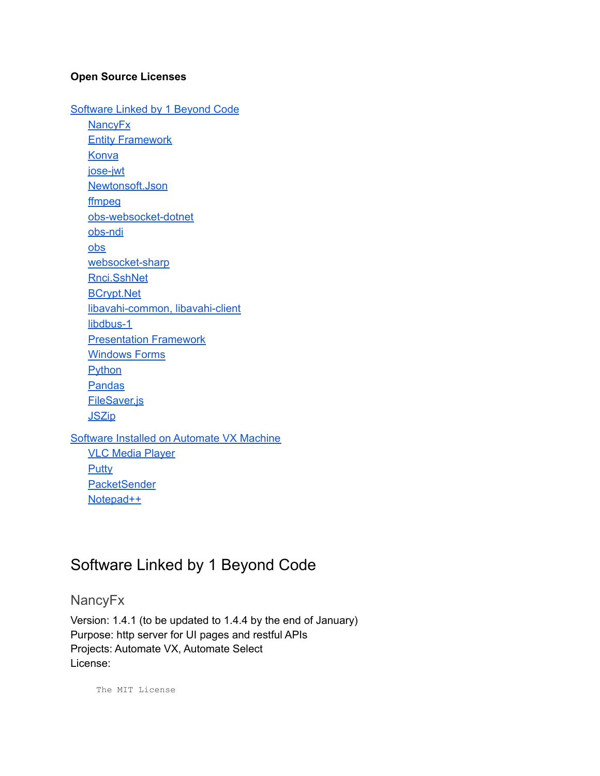### **Open Source Licenses**

[Software](#page-0-0) Linked by 1 Beyond Code **[NancyFx](#page-0-1) Entity [Framework](#page-2-0) [Konva](#page-3-0)** [jose-jwt](#page-4-0) [Newtonsoft.Json](#page-4-1) [ffmpeg](#page-5-0) [obs-websocket-dotnet](#page-8-0) [obs-ndi](#page-9-0) [obs](#page-20-0) [websocket-sharp](#page-32-0) [Rnci.SshNet](#page-33-0) [BCrypt.Net](#page-34-0) [libavahi-common,](#page-34-1) libavahi-client [libdbus-1](#page-52-0) [Presentation](#page-62-0) Framework [Windows](#page-63-0) Forms **[Python](#page-64-0)** [Pandas](#page-74-0) [FileSaver.js](#page-75-0) **[JSZip](#page-75-1)** Software Installed on [Automate](#page-87-0) VX Machine VLC Media [Player](#page-87-1) **[Putty](#page-97-0) [PacketSender](#page-98-0)** 

# <span id="page-0-0"></span>Software Linked by 1 Beyond Code

<span id="page-0-1"></span>**NancyFx** 

[Notepad++](#page-110-0)

Version: 1.4.1 (to be updated to 1.4.4 by the end of January) Purpose: http server for UI pages and restful APIs Projects: Automate VX, Automate Select License:

The MIT License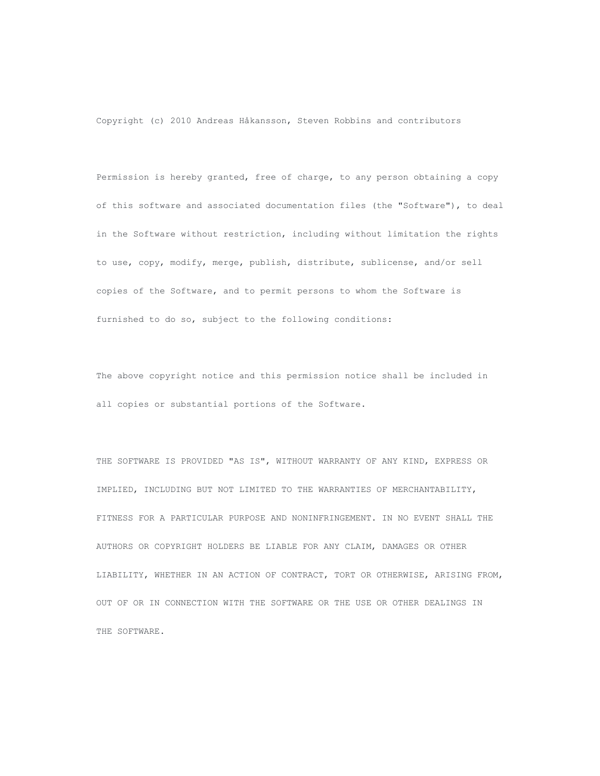Copyright (c) 2010 Andreas Håkansson, Steven Robbins and contributors

Permission is hereby granted, free of charge, to any person obtaining a copy of this software and associated documentation files (the "Software"), to deal in the Software without restriction, including without limitation the rights to use, copy, modify, merge, publish, distribute, sublicense, and/or sell copies of the Software, and to permit persons to whom the Software is furnished to do so, subject to the following conditions:

The above copyright notice and this permission notice shall be included in all copies or substantial portions of the Software.

THE SOFTWARE IS PROVIDED "AS IS", WITHOUT WARRANTY OF ANY KIND, EXPRESS OR IMPLIED, INCLUDING BUT NOT LIMITED TO THE WARRANTIES OF MERCHANTABILITY, FITNESS FOR A PARTICULAR PURPOSE AND NONINFRINGEMENT. IN NO EVENT SHALL THE AUTHORS OR COPYRIGHT HOLDERS BE LIABLE FOR ANY CLAIM, DAMAGES OR OTHER LIABILITY, WHETHER IN AN ACTION OF CONTRACT, TORT OR OTHERWISE, ARISING FROM, OUT OF OR IN CONNECTION WITH THE SOFTWARE OR THE USE OR OTHER DEALINGS IN THE SOFTWARE.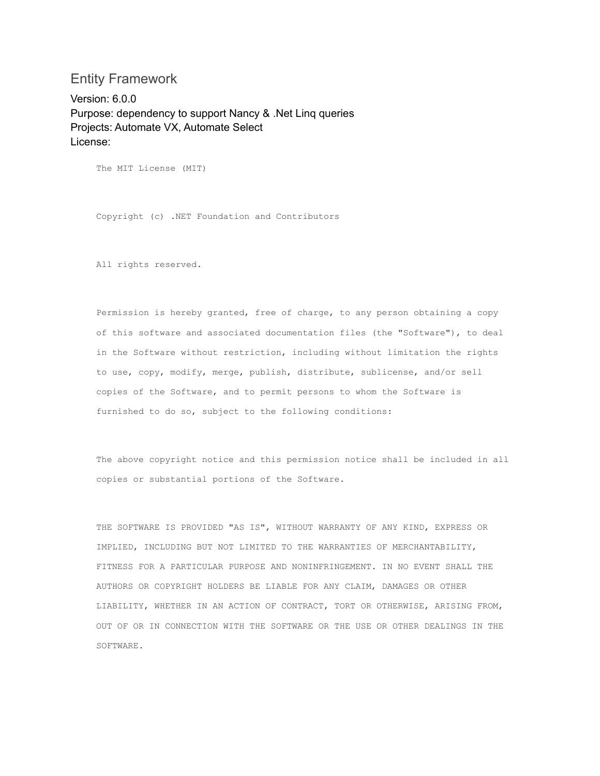## <span id="page-2-0"></span>Entity Framework

Version: 6.0.0 Purpose: dependency to support Nancy & .Net Linq queries Projects: Automate VX, Automate Select License:

The MIT License (MIT)

Copyright (c) .NET Foundation and Contributors

All rights reserved.

Permission is hereby granted, free of charge, to any person obtaining a copy of this software and associated documentation files (the "Software"), to deal in the Software without restriction, including without limitation the rights to use, copy, modify, merge, publish, distribute, sublicense, and/or sell copies of the Software, and to permit persons to whom the Software is furnished to do so, subject to the following conditions:

The above copyright notice and this permission notice shall be included in all copies or substantial portions of the Software.

THE SOFTWARE IS PROVIDED "AS IS", WITHOUT WARRANTY OF ANY KIND, EXPRESS OR IMPLIED, INCLUDING BUT NOT LIMITED TO THE WARRANTIES OF MERCHANTABILITY, FITNESS FOR A PARTICULAR PURPOSE AND NONINFRINGEMENT. IN NO EVENT SHALL THE AUTHORS OR COPYRIGHT HOLDERS BE LIABLE FOR ANY CLAIM, DAMAGES OR OTHER LIABILITY, WHETHER IN AN ACTION OF CONTRACT, TORT OR OTHERWISE, ARISING FROM, OUT OF OR IN CONNECTION WITH THE SOFTWARE OR THE USE OR OTHER DEALINGS IN THE SOFTWARE.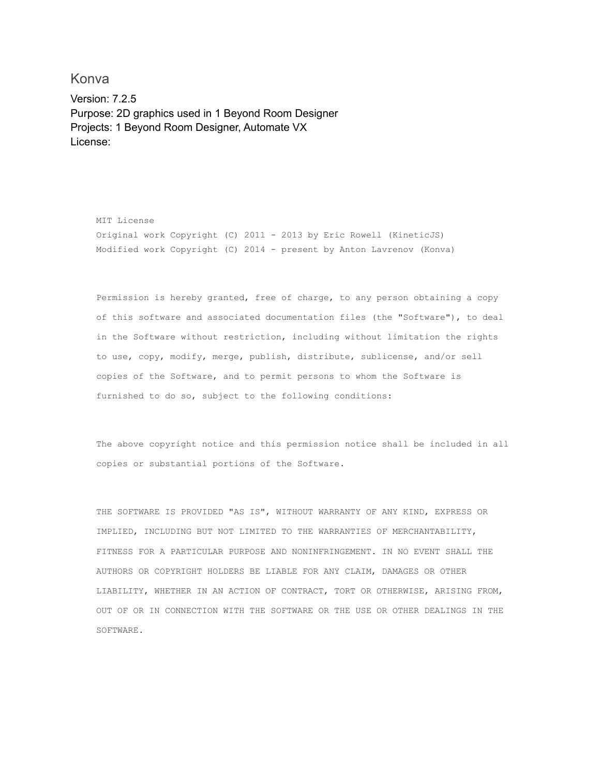<span id="page-3-0"></span>Konva

Version: 7.2.5 Purpose: 2D graphics used in 1 Beyond Room Designer Projects: 1 Beyond Room Designer, Automate VX License:

MIT License Original work Copyright (C) 2011 - 2013 by Eric Rowell (KineticJS) Modified work Copyright (C) 2014 - present by Anton Lavrenov (Konva)

Permission is hereby granted, free of charge, to any person obtaining a copy of this software and associated documentation files (the "Software"), to deal in the Software without restriction, including without limitation the rights to use, copy, modify, merge, publish, distribute, sublicense, and/or sell copies of the Software, and to permit persons to whom the Software is furnished to do so, subject to the following conditions:

The above copyright notice and this permission notice shall be included in all copies or substantial portions of the Software.

THE SOFTWARE IS PROVIDED "AS IS", WITHOUT WARRANTY OF ANY KIND, EXPRESS OR IMPLIED, INCLUDING BUT NOT LIMITED TO THE WARRANTIES OF MERCHANTABILITY, FITNESS FOR A PARTICULAR PURPOSE AND NONINFRINGEMENT. IN NO EVENT SHALL THE AUTHORS OR COPYRIGHT HOLDERS BE LIABLE FOR ANY CLAIM, DAMAGES OR OTHER LIABILITY, WHETHER IN AN ACTION OF CONTRACT, TORT OR OTHERWISE, ARISING FROM, OUT OF OR IN CONNECTION WITH THE SOFTWARE OR THE USE OR OTHER DEALINGS IN THE SOFTWARE.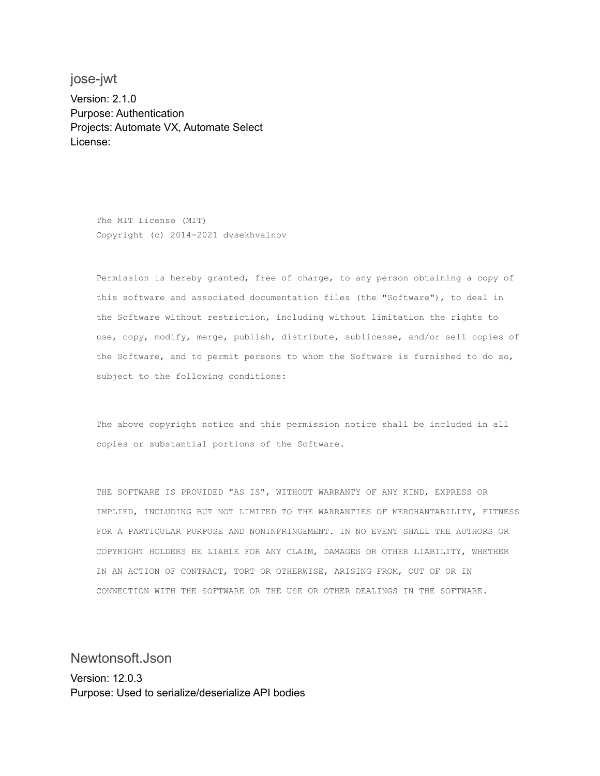<span id="page-4-0"></span>jose-jwt Version: 2.1.0 Purpose: Authentication Projects: Automate VX, Automate Select License:

> The MIT License (MIT) Copyright (c) 2014-2021 dvsekhvalnov

Permission is hereby granted, free of charge, to any person obtaining a copy of this software and associated documentation files (the "Software"), to deal in the Software without restriction, including without limitation the rights to use, copy, modify, merge, publish, distribute, sublicense, and/or sell copies of the Software, and to permit persons to whom the Software is furnished to do so, subject to the following conditions:

The above copyright notice and this permission notice shall be included in all copies or substantial portions of the Software.

THE SOFTWARE IS PROVIDED "AS IS", WITHOUT WARRANTY OF ANY KIND, EXPRESS OR IMPLIED, INCLUDING BUT NOT LIMITED TO THE WARRANTIES OF MERCHANTABILITY, FITNESS FOR A PARTICULAR PURPOSE AND NONINFRINGEMENT. IN NO EVENT SHALL THE AUTHORS OR COPYRIGHT HOLDERS BE LIABLE FOR ANY CLAIM, DAMAGES OR OTHER LIABILITY, WHETHER IN AN ACTION OF CONTRACT, TORT OR OTHERWISE, ARISING FROM, OUT OF OR IN CONNECTION WITH THE SOFTWARE OR THE USE OR OTHER DEALINGS IN THE SOFTWARE.

<span id="page-4-1"></span>Newtonsoft.Json Version: 12.0.3 Purpose: Used to serialize/deserialize API bodies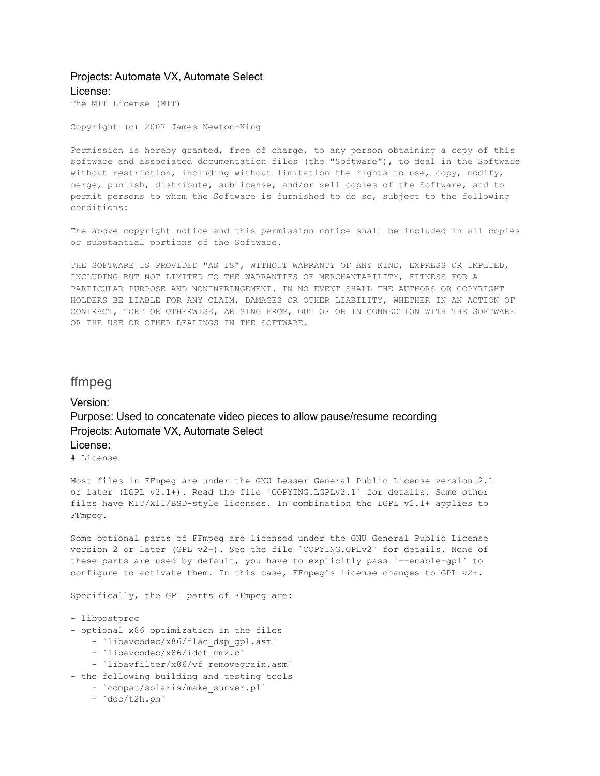### Projects: Automate VX, Automate Select License:

The MIT License (MIT)

Copyright (c) 2007 James Newton-King

Permission is hereby granted, free of charge, to any person obtaining a copy of this software and associated documentation files (the "Software"), to deal in the Software without restriction, including without limitation the rights to use, copy, modify, merge, publish, distribute, sublicense, and/or sell copies of the Software, and to permit persons to whom the Software is furnished to do so, subject to the following conditions:

The above copyright notice and this permission notice shall be included in all copies or substantial portions of the Software.

THE SOFTWARE IS PROVIDED "AS IS", WITHOUT WARRANTY OF ANY KIND, EXPRESS OR IMPLIED, INCLUDING BUT NOT LIMITED TO THE WARRANTIES OF MERCHANTABILITY, FITNESS FOR A PARTICULAR PURPOSE AND NONINFRINGEMENT. IN NO EVENT SHALL THE AUTHORS OR COPYRIGHT HOLDERS BE LIABLE FOR ANY CLAIM, DAMAGES OR OTHER LIABILITY, WHETHER IN AN ACTION OF CONTRACT, TORT OR OTHERWISE, ARISING FROM, OUT OF OR IN CONNECTION WITH THE SOFTWARE OR THE USE OR OTHER DEALINGS IN THE SOFTWARE.

### <span id="page-5-0"></span>ffmpeg

Version: Purpose: Used to concatenate video pieces to allow pause/resume recording Projects: Automate VX, Automate Select License:

# License

Most files in FFmpeg are under the GNU Lesser General Public License version 2.1 or later (LGPL v2.1+). Read the file `COPYING.LGPLv2.1` for details. Some other files have MIT/X11/BSD-style licenses. In combination the LGPL v2.1+ applies to FFmpeg.

Some optional parts of FFmpeg are licensed under the GNU General Public License version 2 or later (GPL v2+). See the file `COPYING.GPLv2` for details. None of these parts are used by default, you have to explicitly pass `--enable-gpl` to configure to activate them. In this case, FFmpeg's license changes to GPL v2+.

Specifically, the GPL parts of FFmpeg are:

- libpostproc
- optional x86 optimization in the files
	- `libavcodec/x86/flac dsp gpl.asm`
	- `libavcodec/x86/idct mmx.c`
	- `libavfilter/x86/vf removegrain.asm`
- the following building and testing tools
	- `compat/solaris/make sunver.pl`
	- `doc/t2h.pm`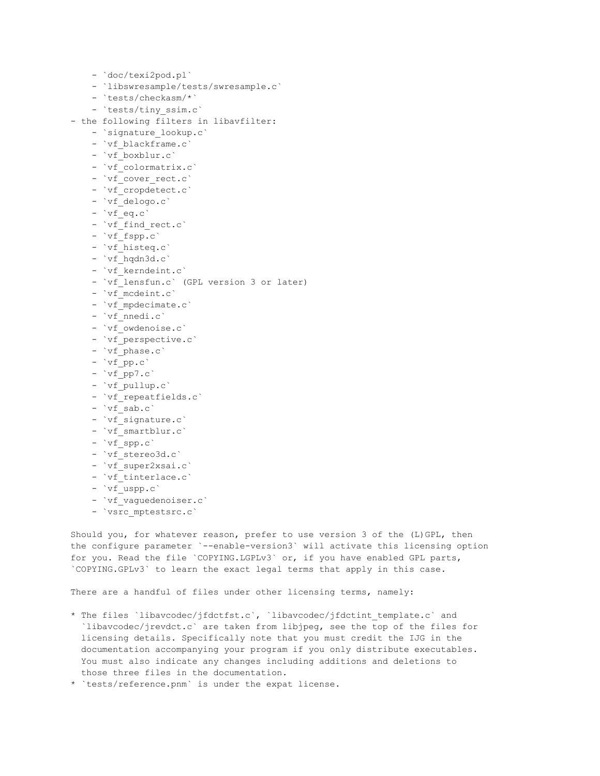```
- `doc/texi2pod.pl`
    - `libswresample/tests/swresample.c`
    - `tests/checkasm/*`
    - `tests/tiny_ssim.c`
- the following filters in libavfilter:
    - `signature_lookup.c`
    - `vf blackframe.c`
    - `vf boxblur.c`
    - `vf_colormatrix.c`
    - `vf cover rect.c`
    - `vf cropdetect.c`
    - `vf delogo.c`
    - `vf_eq.c`
    - `vf_find_rect.c`
    - `vf fspp.c`
    - `vf histeq.c`
    - `vf hqdn3d.c`
    - `vf kerndeint.c`
    - `vf lensfun.c` (GPL version 3 or later)
    - `vf mcdeint.c`
    - `vf mpdecimate.c`
    - `vf nnedi.c`
    - `vf owdenoise.c`
    - `vf_perspective.c`
    - `vf_phase.c`
    - `vf_pp.c`
    - 'vf pp7.c'
    - `vf pullup.c`
    - `vf repeatfields.c`
    - vf sab.c'
    - `vf_signature.c`
    - `vf smartblur.c`
    - `vf_spp.c`
    - `vf stereo3d.c`
    - `vf super2xsai.c`
    - `vf tinterlace.c`
```

```
- `vf uspp.c`
```

```
- `vf vaguedenoiser.c`
```

```
- `vsrc_mptestsrc.c`
```
Should you, for whatever reason, prefer to use version 3 of the (L)GPL, then the configure parameter `--enable-version3` will activate this licensing option for you. Read the file `COPYING.LGPLv3` or, if you have enabled GPL parts, `COPYING.GPLv3` to learn the exact legal terms that apply in this case.

There are a handful of files under other licensing terms, namely:

\* The files `libavcodec/jfdctfst.c`, `libavcodec/jfdctint\_template.c` and `libavcodec/jrevdct.c` are taken from libjpeg, see the top of the files for licensing details. Specifically note that you must credit the IJG in the documentation accompanying your program if you only distribute executables. You must also indicate any changes including additions and deletions to those three files in the documentation.

\* `tests/reference.pnm` is under the expat license.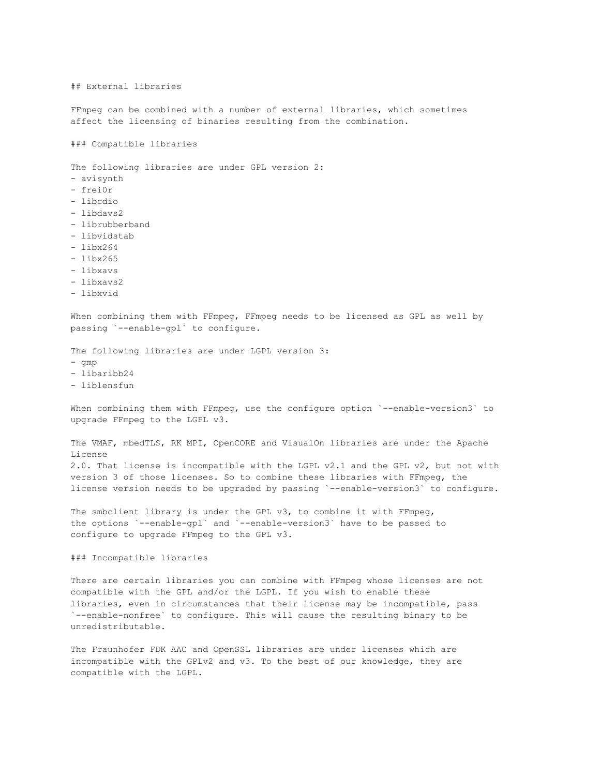## External libraries

FFmpeg can be combined with a number of external libraries, which sometimes affect the licensing of binaries resulting from the combination.

### Compatible libraries

The following libraries are under GPL version 2:

- avisynth
- frei0r
- libcdio
- libdavs2
- librubberband
- libvidstab
- libx264
- libx265
- libxavs
- libxavs2
- 
- libxvid

When combining them with FFmpeg, FFmpeg needs to be licensed as GPL as well by passing `--enable-gpl` to configure.

The following libraries are under LGPL version 3:

- $\alpha$ mp
- libaribb24
- liblensfun

When combining them with FFmpeg, use the configure option `--enable-version3` to upgrade FFmpeg to the LGPL v3.

The VMAF, mbedTLS, RK MPI, OpenCORE and VisualOn libraries are under the Apache License 2.0. That license is incompatible with the LGPL v2.1 and the GPL v2, but not with version 3 of those licenses. So to combine these libraries with FFmpeg, the license version needs to be upgraded by passing `--enable-version3` to configure.

The smbclient library is under the GPL v3, to combine it with FFmpeg, the options `--enable-gpl` and `--enable-version3` have to be passed to configure to upgrade FFmpeg to the GPL v3.

### Incompatible libraries

There are certain libraries you can combine with FFmpeg whose licenses are not compatible with the GPL and/or the LGPL. If you wish to enable these libraries, even in circumstances that their license may be incompatible, pass `--enable-nonfree` to configure. This will cause the resulting binary to be unredistributable.

The Fraunhofer FDK AAC and OpenSSL libraries are under licenses which are incompatible with the GPLv2 and v3. To the best of our knowledge, they are compatible with the LGPL.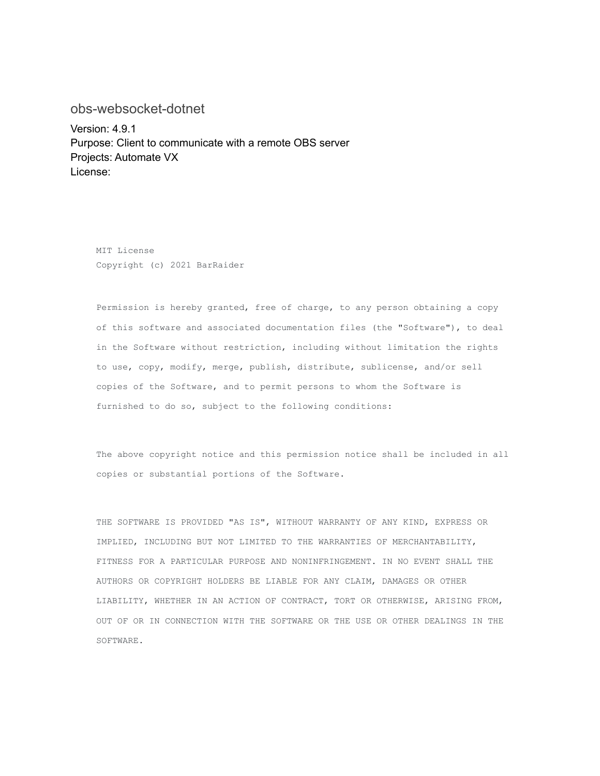### <span id="page-8-0"></span>obs-websocket-dotnet

Version: 4.9.1 Purpose: Client to communicate with a remote OBS server Projects: Automate VX License:

MIT License Copyright (c) 2021 BarRaider

Permission is hereby granted, free of charge, to any person obtaining a copy of this software and associated documentation files (the "Software"), to deal in the Software without restriction, including without limitation the rights to use, copy, modify, merge, publish, distribute, sublicense, and/or sell copies of the Software, and to permit persons to whom the Software is furnished to do so, subject to the following conditions:

The above copyright notice and this permission notice shall be included in all copies or substantial portions of the Software.

THE SOFTWARE IS PROVIDED "AS IS", WITHOUT WARRANTY OF ANY KIND, EXPRESS OR IMPLIED, INCLUDING BUT NOT LIMITED TO THE WARRANTIES OF MERCHANTABILITY, FITNESS FOR A PARTICULAR PURPOSE AND NONINFRINGEMENT. IN NO EVENT SHALL THE AUTHORS OR COPYRIGHT HOLDERS BE LIABLE FOR ANY CLAIM, DAMAGES OR OTHER LIABILITY, WHETHER IN AN ACTION OF CONTRACT, TORT OR OTHERWISE, ARISING FROM, OUT OF OR IN CONNECTION WITH THE SOFTWARE OR THE USE OR OTHER DEALINGS IN THE SOFTWARE.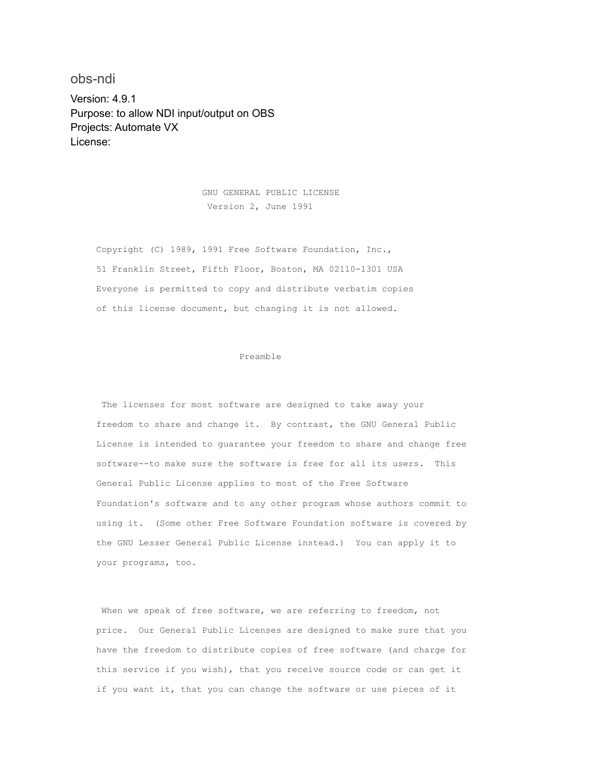<span id="page-9-0"></span>obs-ndi Version: 4.9.1 Purpose: to allow NDI input/output on OBS Projects: Automate VX License:

> GNU GENERAL PUBLIC LICENSE Version 2, June 1991

Copyright (C) 1989, 1991 Free Software Foundation, Inc., 51 Franklin Street, Fifth Floor, Boston, MA 02110-1301 USA Everyone is permitted to copy and distribute verbatim copies of this license document, but changing it is not allowed.

#### Preamble

The licenses for most software are designed to take away your freedom to share and change it. By contrast, the GNU General Public License is intended to guarantee your freedom to share and change free software--to make sure the software is free for all its users. This General Public License applies to most of the Free Software Foundation's software and to any other program whose authors commit to using it. (Some other Free Software Foundation software is covered by the GNU Lesser General Public License instead.) You can apply it to your programs, too.

When we speak of free software, we are referring to freedom, not price. Our General Public Licenses are designed to make sure that you have the freedom to distribute copies of free software (and charge for this service if you wish), that you receive source code or can get it if you want it, that you can change the software or use pieces of it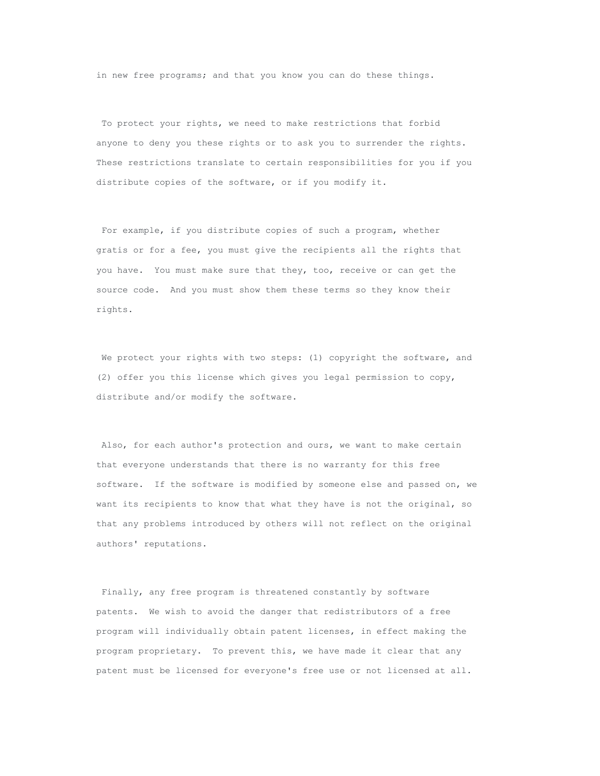in new free programs; and that you know you can do these things.

To protect your rights, we need to make restrictions that forbid anyone to deny you these rights or to ask you to surrender the rights. These restrictions translate to certain responsibilities for you if you distribute copies of the software, or if you modify it.

For example, if you distribute copies of such a program, whether gratis or for a fee, you must give the recipients all the rights that you have. You must make sure that they, too, receive or can get the source code. And you must show them these terms so they know their rights.

We protect your rights with two steps: (1) copyright the software, and (2) offer you this license which gives you legal permission to copy, distribute and/or modify the software.

Also, for each author's protection and ours, we want to make certain that everyone understands that there is no warranty for this free software. If the software is modified by someone else and passed on, we want its recipients to know that what they have is not the original, so that any problems introduced by others will not reflect on the original authors' reputations.

Finally, any free program is threatened constantly by software patents. We wish to avoid the danger that redistributors of a free program will individually obtain patent licenses, in effect making the program proprietary. To prevent this, we have made it clear that any patent must be licensed for everyone's free use or not licensed at all.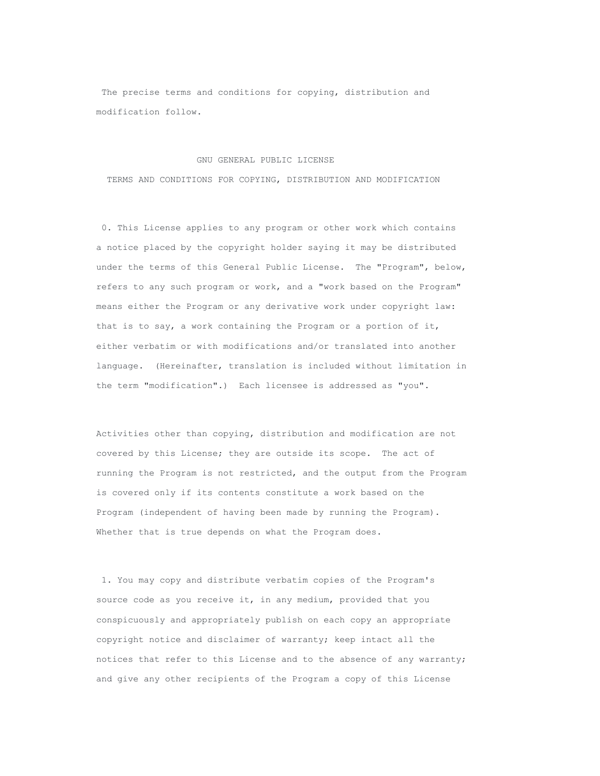The precise terms and conditions for copying, distribution and modification follow.

#### GNU GENERAL PUBLIC LICENSE

TERMS AND CONDITIONS FOR COPYING, DISTRIBUTION AND MODIFICATION

0. This License applies to any program or other work which contains a notice placed by the copyright holder saying it may be distributed under the terms of this General Public License. The "Program", below, refers to any such program or work, and a "work based on the Program" means either the Program or any derivative work under copyright law: that is to say, a work containing the Program or a portion of it, either verbatim or with modifications and/or translated into another language. (Hereinafter, translation is included without limitation in the term "modification".) Each licensee is addressed as "you".

Activities other than copying, distribution and modification are not covered by this License; they are outside its scope. The act of running the Program is not restricted, and the output from the Program is covered only if its contents constitute a work based on the Program (independent of having been made by running the Program). Whether that is true depends on what the Program does.

1. You may copy and distribute verbatim copies of the Program's source code as you receive it, in any medium, provided that you conspicuously and appropriately publish on each copy an appropriate copyright notice and disclaimer of warranty; keep intact all the notices that refer to this License and to the absence of any warranty; and give any other recipients of the Program a copy of this License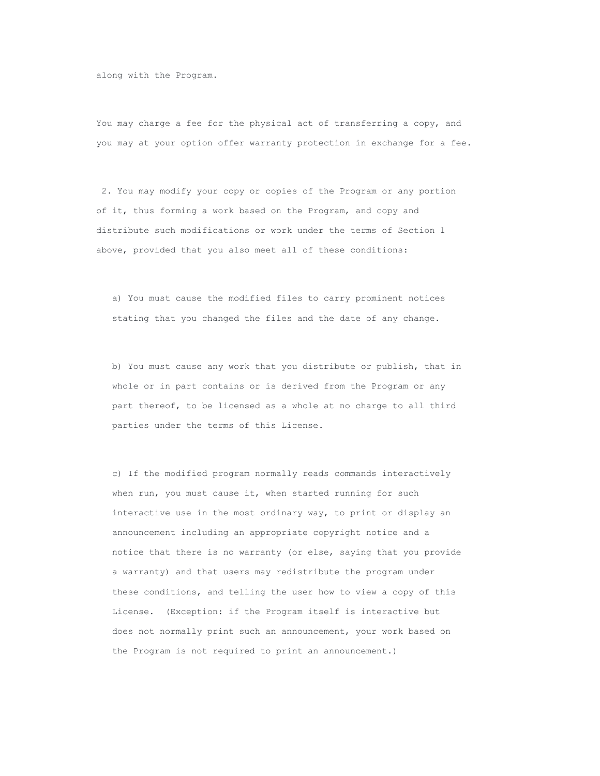along with the Program.

You may charge a fee for the physical act of transferring a copy, and you may at your option offer warranty protection in exchange for a fee.

2. You may modify your copy or copies of the Program or any portion of it, thus forming a work based on the Program, and copy and distribute such modifications or work under the terms of Section 1 above, provided that you also meet all of these conditions:

a) You must cause the modified files to carry prominent notices stating that you changed the files and the date of any change.

b) You must cause any work that you distribute or publish, that in whole or in part contains or is derived from the Program or any part thereof, to be licensed as a whole at no charge to all third parties under the terms of this License.

c) If the modified program normally reads commands interactively when run, you must cause it, when started running for such interactive use in the most ordinary way, to print or display an announcement including an appropriate copyright notice and a notice that there is no warranty (or else, saying that you provide a warranty) and that users may redistribute the program under these conditions, and telling the user how to view a copy of this License. (Exception: if the Program itself is interactive but does not normally print such an announcement, your work based on the Program is not required to print an announcement.)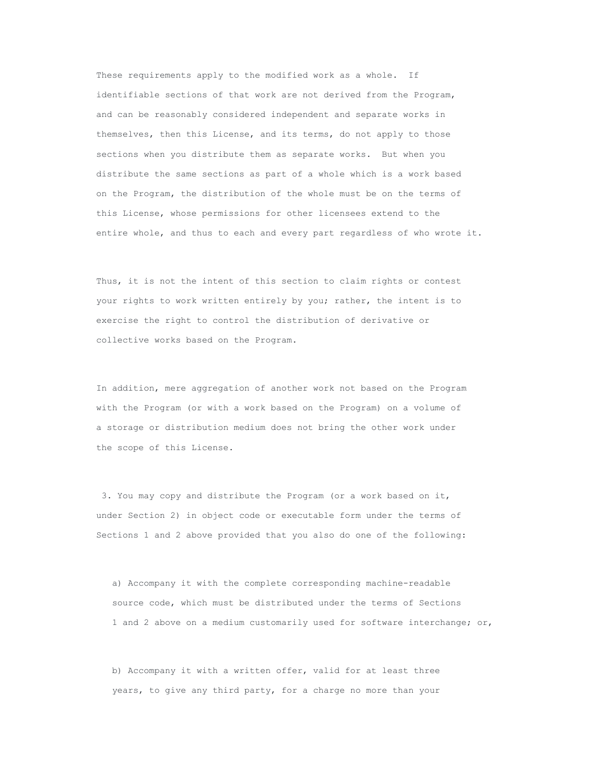These requirements apply to the modified work as a whole. If identifiable sections of that work are not derived from the Program, and can be reasonably considered independent and separate works in themselves, then this License, and its terms, do not apply to those sections when you distribute them as separate works. But when you distribute the same sections as part of a whole which is a work based on the Program, the distribution of the whole must be on the terms of this License, whose permissions for other licensees extend to the entire whole, and thus to each and every part regardless of who wrote it.

Thus, it is not the intent of this section to claim rights or contest your rights to work written entirely by you; rather, the intent is to exercise the right to control the distribution of derivative or collective works based on the Program.

In addition, mere aggregation of another work not based on the Program with the Program (or with a work based on the Program) on a volume of a storage or distribution medium does not bring the other work under the scope of this License.

3. You may copy and distribute the Program (or a work based on it, under Section 2) in object code or executable form under the terms of Sections 1 and 2 above provided that you also do one of the following:

a) Accompany it with the complete corresponding machine-readable source code, which must be distributed under the terms of Sections 1 and 2 above on a medium customarily used for software interchange; or,

b) Accompany it with a written offer, valid for at least three years, to give any third party, for a charge no more than your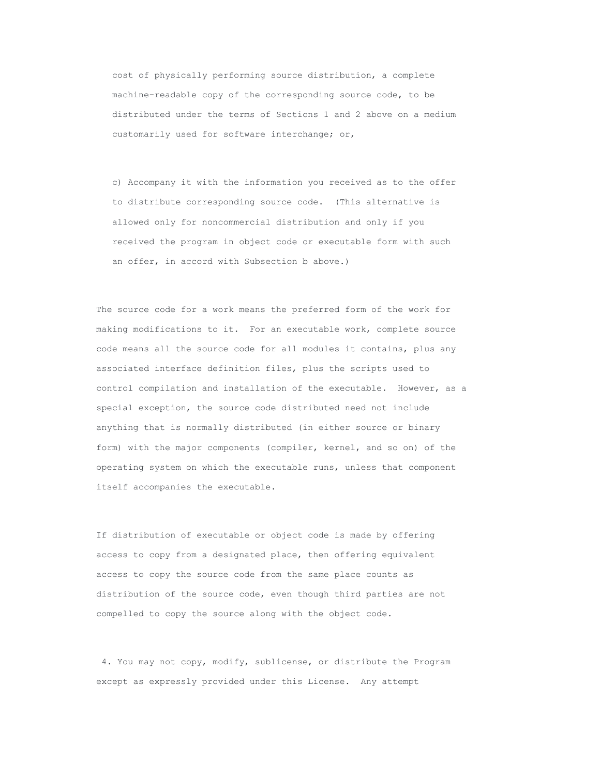cost of physically performing source distribution, a complete machine-readable copy of the corresponding source code, to be distributed under the terms of Sections 1 and 2 above on a medium customarily used for software interchange; or,

c) Accompany it with the information you received as to the offer to distribute corresponding source code. (This alternative is allowed only for noncommercial distribution and only if you received the program in object code or executable form with such an offer, in accord with Subsection b above.)

The source code for a work means the preferred form of the work for making modifications to it. For an executable work, complete source code means all the source code for all modules it contains, plus any associated interface definition files, plus the scripts used to control compilation and installation of the executable. However, as a special exception, the source code distributed need not include anything that is normally distributed (in either source or binary form) with the major components (compiler, kernel, and so on) of the operating system on which the executable runs, unless that component itself accompanies the executable.

If distribution of executable or object code is made by offering access to copy from a designated place, then offering equivalent access to copy the source code from the same place counts as distribution of the source code, even though third parties are not compelled to copy the source along with the object code.

4. You may not copy, modify, sublicense, or distribute the Program except as expressly provided under this License. Any attempt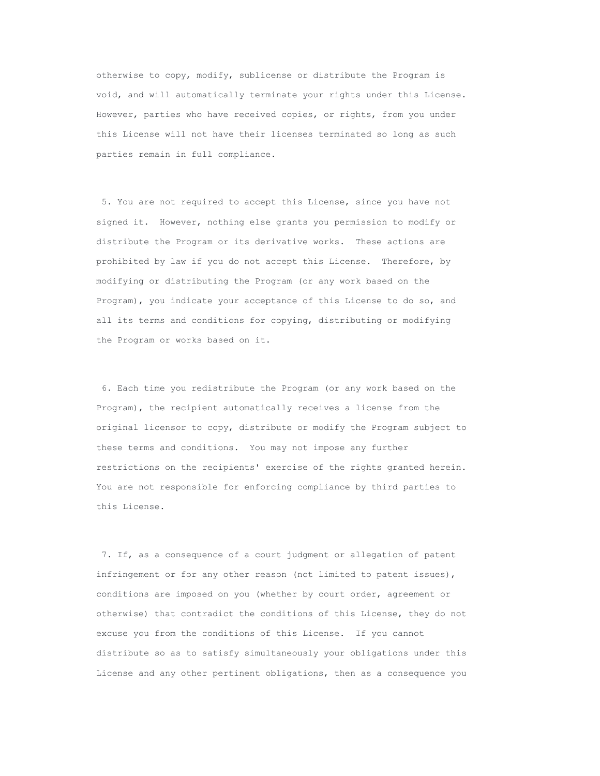otherwise to copy, modify, sublicense or distribute the Program is void, and will automatically terminate your rights under this License. However, parties who have received copies, or rights, from you under this License will not have their licenses terminated so long as such parties remain in full compliance.

5. You are not required to accept this License, since you have not signed it. However, nothing else grants you permission to modify or distribute the Program or its derivative works. These actions are prohibited by law if you do not accept this License. Therefore, by modifying or distributing the Program (or any work based on the Program), you indicate your acceptance of this License to do so, and all its terms and conditions for copying, distributing or modifying the Program or works based on it.

6. Each time you redistribute the Program (or any work based on the Program), the recipient automatically receives a license from the original licensor to copy, distribute or modify the Program subject to these terms and conditions. You may not impose any further restrictions on the recipients' exercise of the rights granted herein. You are not responsible for enforcing compliance by third parties to this License.

7. If, as a consequence of a court judgment or allegation of patent infringement or for any other reason (not limited to patent issues), conditions are imposed on you (whether by court order, agreement or otherwise) that contradict the conditions of this License, they do not excuse you from the conditions of this License. If you cannot distribute so as to satisfy simultaneously your obligations under this License and any other pertinent obligations, then as a consequence you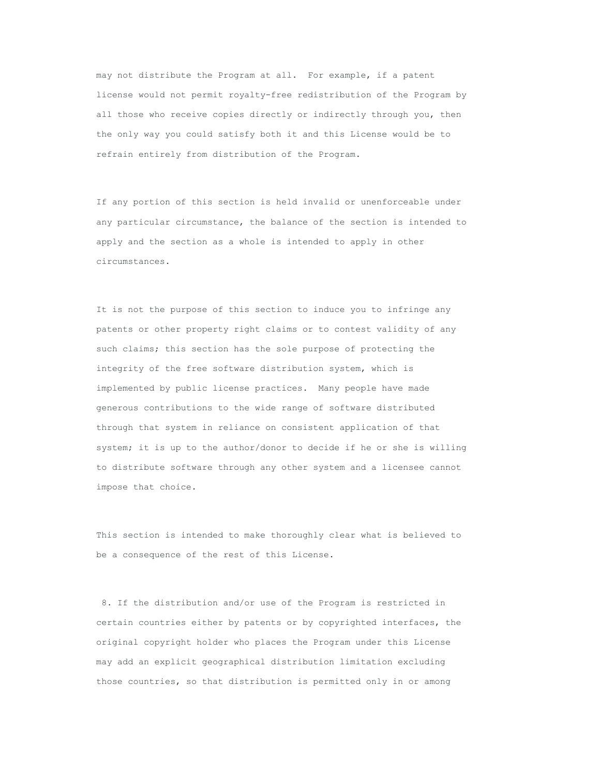may not distribute the Program at all. For example, if a patent license would not permit royalty-free redistribution of the Program by all those who receive copies directly or indirectly through you, then the only way you could satisfy both it and this License would be to refrain entirely from distribution of the Program.

If any portion of this section is held invalid or unenforceable under any particular circumstance, the balance of the section is intended to apply and the section as a whole is intended to apply in other circumstances.

It is not the purpose of this section to induce you to infringe any patents or other property right claims or to contest validity of any such claims; this section has the sole purpose of protecting the integrity of the free software distribution system, which is implemented by public license practices. Many people have made generous contributions to the wide range of software distributed through that system in reliance on consistent application of that system; it is up to the author/donor to decide if he or she is willing to distribute software through any other system and a licensee cannot impose that choice.

This section is intended to make thoroughly clear what is believed to be a consequence of the rest of this License.

8. If the distribution and/or use of the Program is restricted in certain countries either by patents or by copyrighted interfaces, the original copyright holder who places the Program under this License may add an explicit geographical distribution limitation excluding those countries, so that distribution is permitted only in or among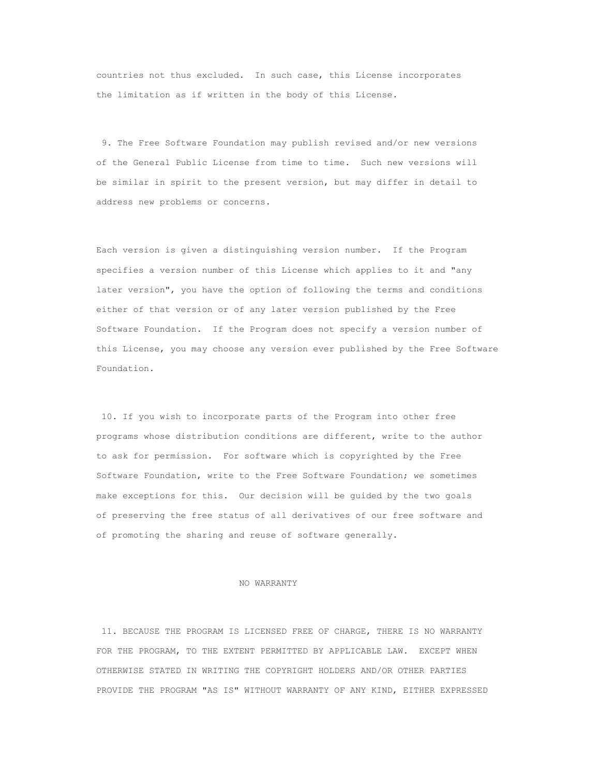countries not thus excluded. In such case, this License incorporates the limitation as if written in the body of this License.

9. The Free Software Foundation may publish revised and/or new versions of the General Public License from time to time. Such new versions will be similar in spirit to the present version, but may differ in detail to address new problems or concerns.

Each version is given a distinguishing version number. If the Program specifies a version number of this License which applies to it and "any later version", you have the option of following the terms and conditions either of that version or of any later version published by the Free Software Foundation. If the Program does not specify a version number of this License, you may choose any version ever published by the Free Software Foundation.

10. If you wish to incorporate parts of the Program into other free programs whose distribution conditions are different, write to the author to ask for permission. For software which is copyrighted by the Free Software Foundation, write to the Free Software Foundation; we sometimes make exceptions for this. Our decision will be guided by the two goals of preserving the free status of all derivatives of our free software and of promoting the sharing and reuse of software generally.

#### NO WARRANTY

11. BECAUSE THE PROGRAM IS LICENSED FREE OF CHARGE, THERE IS NO WARRANTY FOR THE PROGRAM, TO THE EXTENT PERMITTED BY APPLICABLE LAW. EXCEPT WHEN OTHERWISE STATED IN WRITING THE COPYRIGHT HOLDERS AND/OR OTHER PARTIES PROVIDE THE PROGRAM "AS IS" WITHOUT WARRANTY OF ANY KIND, EITHER EXPRESSED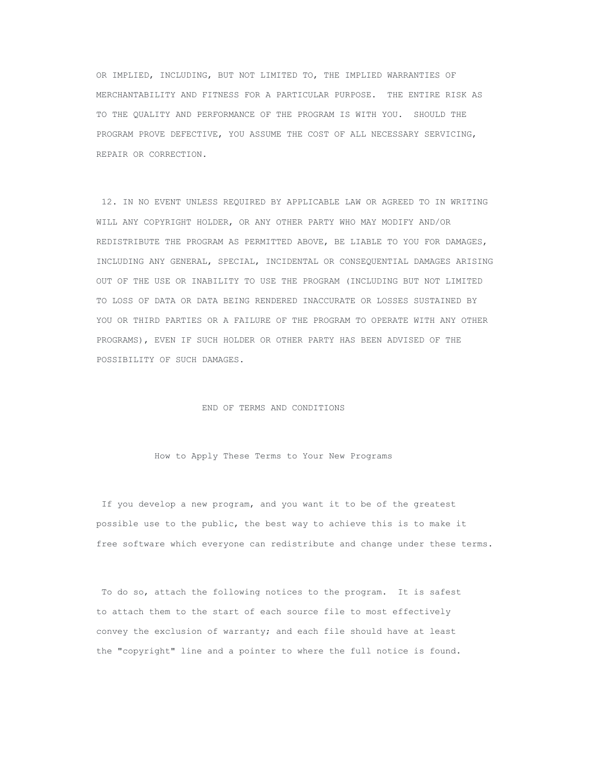OR IMPLIED, INCLUDING, BUT NOT LIMITED TO, THE IMPLIED WARRANTIES OF MERCHANTABILITY AND FITNESS FOR A PARTICULAR PURPOSE. THE ENTIRE RISK AS TO THE QUALITY AND PERFORMANCE OF THE PROGRAM IS WITH YOU. SHOULD THE PROGRAM PROVE DEFECTIVE, YOU ASSUME THE COST OF ALL NECESSARY SERVICING, REPAIR OR CORRECTION.

12. IN NO EVENT UNLESS REQUIRED BY APPLICABLE LAW OR AGREED TO IN WRITING WILL ANY COPYRIGHT HOLDER, OR ANY OTHER PARTY WHO MAY MODIFY AND/OR REDISTRIBUTE THE PROGRAM AS PERMITTED ABOVE, BE LIABLE TO YOU FOR DAMAGES, INCLUDING ANY GENERAL, SPECIAL, INCIDENTAL OR CONSEQUENTIAL DAMAGES ARISING OUT OF THE USE OR INABILITY TO USE THE PROGRAM (INCLUDING BUT NOT LIMITED TO LOSS OF DATA OR DATA BEING RENDERED INACCURATE OR LOSSES SUSTAINED BY YOU OR THIRD PARTIES OR A FAILURE OF THE PROGRAM TO OPERATE WITH ANY OTHER PROGRAMS), EVEN IF SUCH HOLDER OR OTHER PARTY HAS BEEN ADVISED OF THE POSSIBILITY OF SUCH DAMAGES.

#### END OF TERMS AND CONDITIONS

#### How to Apply These Terms to Your New Programs

If you develop a new program, and you want it to be of the greatest possible use to the public, the best way to achieve this is to make it free software which everyone can redistribute and change under these terms.

To do so, attach the following notices to the program. It is safest to attach them to the start of each source file to most effectively convey the exclusion of warranty; and each file should have at least the "copyright" line and a pointer to where the full notice is found.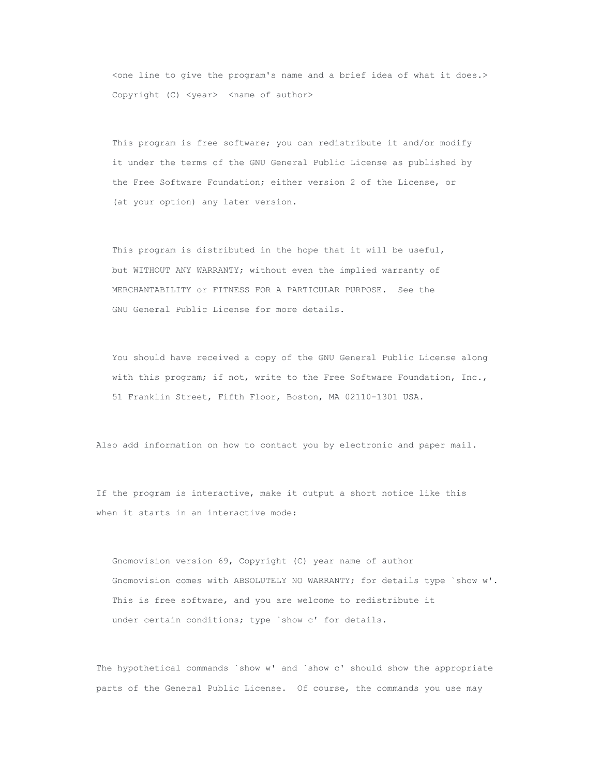<one line to give the program's name and a brief idea of what it does.> Copyright (C) <year> <name of author>

This program is free software; you can redistribute it and/or modify it under the terms of the GNU General Public License as published by the Free Software Foundation; either version 2 of the License, or (at your option) any later version.

This program is distributed in the hope that it will be useful, but WITHOUT ANY WARRANTY; without even the implied warranty of MERCHANTABILITY or FITNESS FOR A PARTICULAR PURPOSE. See the GNU General Public License for more details.

You should have received a copy of the GNU General Public License along with this program; if not, write to the Free Software Foundation, Inc., 51 Franklin Street, Fifth Floor, Boston, MA 02110-1301 USA.

Also add information on how to contact you by electronic and paper mail.

If the program is interactive, make it output a short notice like this when it starts in an interactive mode:

Gnomovision version 69, Copyright (C) year name of author Gnomovision comes with ABSOLUTELY NO WARRANTY; for details type `show w'. This is free software, and you are welcome to redistribute it under certain conditions; type `show c' for details.

The hypothetical commands `show w' and `show c' should show the appropriate parts of the General Public License. Of course, the commands you use may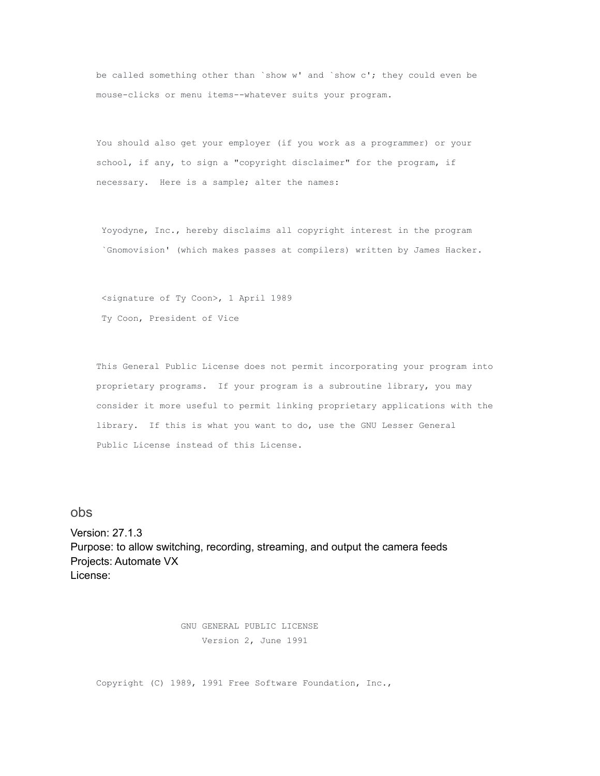be called something other than `show w' and `show c'; they could even be mouse-clicks or menu items--whatever suits your program.

You should also get your employer (if you work as a programmer) or your school, if any, to sign a "copyright disclaimer" for the program, if necessary. Here is a sample; alter the names:

Yoyodyne, Inc., hereby disclaims all copyright interest in the program `Gnomovision' (which makes passes at compilers) written by James Hacker.

<signature of Ty Coon>, 1 April 1989 Ty Coon, President of Vice

This General Public License does not permit incorporating your program into proprietary programs. If your program is a subroutine library, you may consider it more useful to permit linking proprietary applications with the library. If this is what you want to do, use the GNU Lesser General Public License instead of this License.

### <span id="page-20-0"></span>obs

Version: 27.1.3 Purpose: to allow switching, recording, streaming, and output the camera feeds Projects: Automate VX License:

> GNU GENERAL PUBLIC LICENSE Version 2, June 1991

Copyright (C) 1989, 1991 Free Software Foundation, Inc.,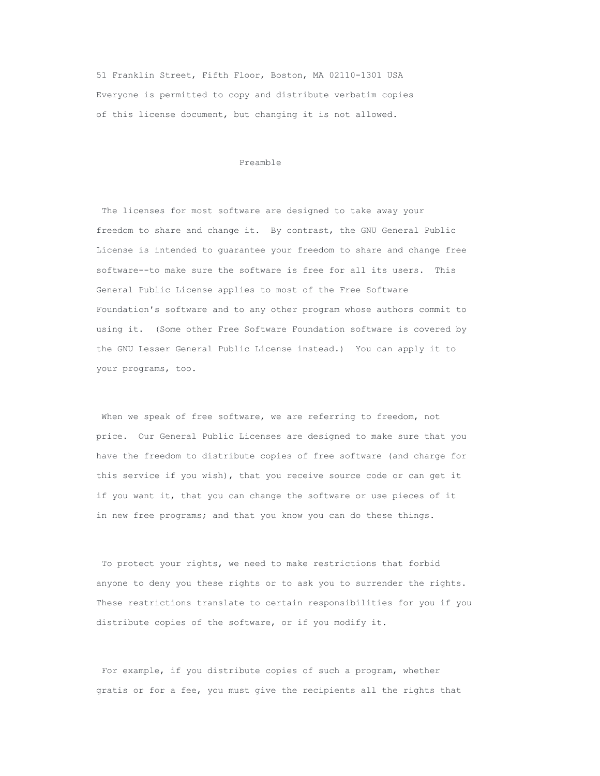51 Franklin Street, Fifth Floor, Boston, MA 02110-1301 USA Everyone is permitted to copy and distribute verbatim copies of this license document, but changing it is not allowed.

#### Preamble

The licenses for most software are designed to take away your freedom to share and change it. By contrast, the GNU General Public License is intended to guarantee your freedom to share and change free software--to make sure the software is free for all its users. This General Public License applies to most of the Free Software Foundation's software and to any other program whose authors commit to using it. (Some other Free Software Foundation software is covered by the GNU Lesser General Public License instead.) You can apply it to your programs, too.

When we speak of free software, we are referring to freedom, not price. Our General Public Licenses are designed to make sure that you have the freedom to distribute copies of free software (and charge for this service if you wish), that you receive source code or can get it if you want it, that you can change the software or use pieces of it in new free programs; and that you know you can do these things.

To protect your rights, we need to make restrictions that forbid anyone to deny you these rights or to ask you to surrender the rights. These restrictions translate to certain responsibilities for you if you distribute copies of the software, or if you modify it.

For example, if you distribute copies of such a program, whether gratis or for a fee, you must give the recipients all the rights that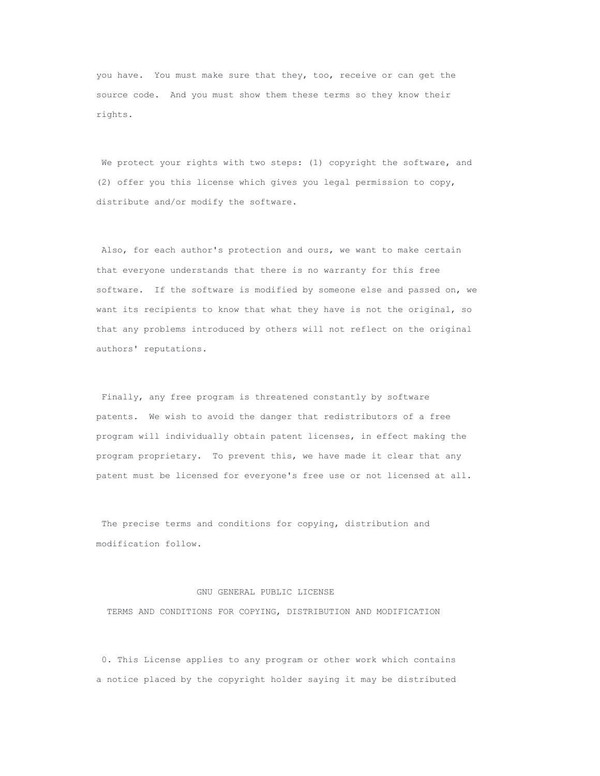you have. You must make sure that they, too, receive or can get the source code. And you must show them these terms so they know their rights.

We protect your rights with two steps: (1) copyright the software, and (2) offer you this license which gives you legal permission to copy, distribute and/or modify the software.

Also, for each author's protection and ours, we want to make certain that everyone understands that there is no warranty for this free software. If the software is modified by someone else and passed on, we want its recipients to know that what they have is not the original, so that any problems introduced by others will not reflect on the original authors' reputations.

Finally, any free program is threatened constantly by software patents. We wish to avoid the danger that redistributors of a free program will individually obtain patent licenses, in effect making the program proprietary. To prevent this, we have made it clear that any patent must be licensed for everyone's free use or not licensed at all.

The precise terms and conditions for copying, distribution and modification follow.

#### GNU GENERAL PUBLIC LICENSE

TERMS AND CONDITIONS FOR COPYING, DISTRIBUTION AND MODIFICATION

0. This License applies to any program or other work which contains a notice placed by the copyright holder saying it may be distributed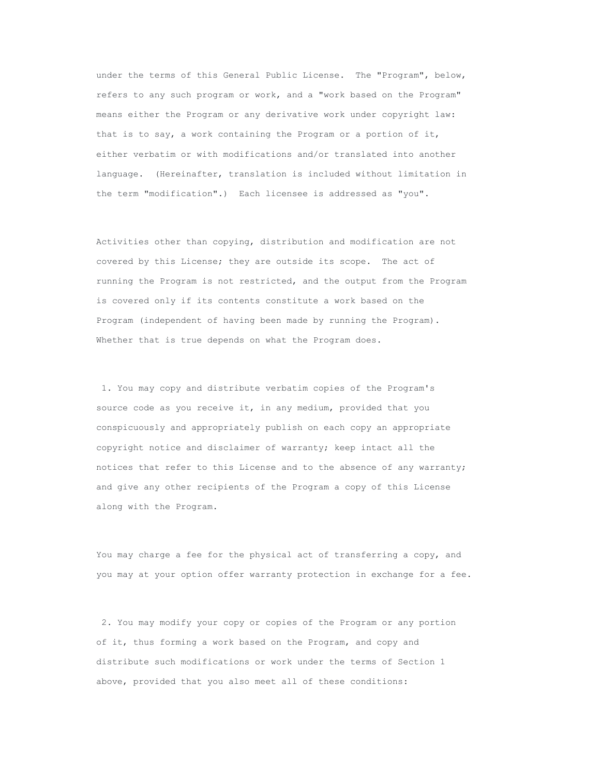under the terms of this General Public License. The "Program", below, refers to any such program or work, and a "work based on the Program" means either the Program or any derivative work under copyright law: that is to say, a work containing the Program or a portion of it, either verbatim or with modifications and/or translated into another language. (Hereinafter, translation is included without limitation in the term "modification".) Each licensee is addressed as "you".

Activities other than copying, distribution and modification are not covered by this License; they are outside its scope. The act of running the Program is not restricted, and the output from the Program is covered only if its contents constitute a work based on the Program (independent of having been made by running the Program). Whether that is true depends on what the Program does.

1. You may copy and distribute verbatim copies of the Program's source code as you receive it, in any medium, provided that you conspicuously and appropriately publish on each copy an appropriate copyright notice and disclaimer of warranty; keep intact all the notices that refer to this License and to the absence of any warranty; and give any other recipients of the Program a copy of this License along with the Program.

You may charge a fee for the physical act of transferring a copy, and you may at your option offer warranty protection in exchange for a fee.

2. You may modify your copy or copies of the Program or any portion of it, thus forming a work based on the Program, and copy and distribute such modifications or work under the terms of Section 1 above, provided that you also meet all of these conditions: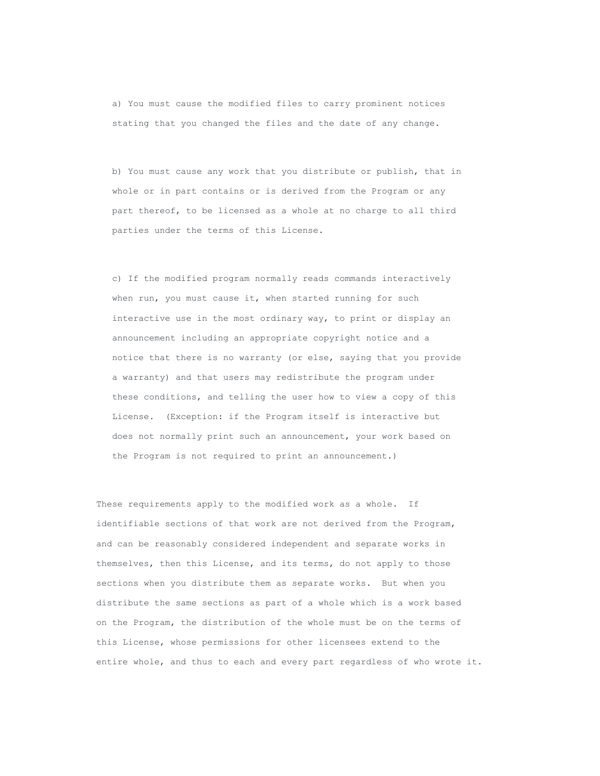a) You must cause the modified files to carry prominent notices stating that you changed the files and the date of any change.

b) You must cause any work that you distribute or publish, that in whole or in part contains or is derived from the Program or any part thereof, to be licensed as a whole at no charge to all third parties under the terms of this License.

c) If the modified program normally reads commands interactively when run, you must cause it, when started running for such interactive use in the most ordinary way, to print or display an announcement including an appropriate copyright notice and a notice that there is no warranty (or else, saying that you provide a warranty) and that users may redistribute the program under these conditions, and telling the user how to view a copy of this License. (Exception: if the Program itself is interactive but does not normally print such an announcement, your work based on the Program is not required to print an announcement.)

These requirements apply to the modified work as a whole. If identifiable sections of that work are not derived from the Program, and can be reasonably considered independent and separate works in themselves, then this License, and its terms, do not apply to those sections when you distribute them as separate works. But when you distribute the same sections as part of a whole which is a work based on the Program, the distribution of the whole must be on the terms of this License, whose permissions for other licensees extend to the entire whole, and thus to each and every part regardless of who wrote it.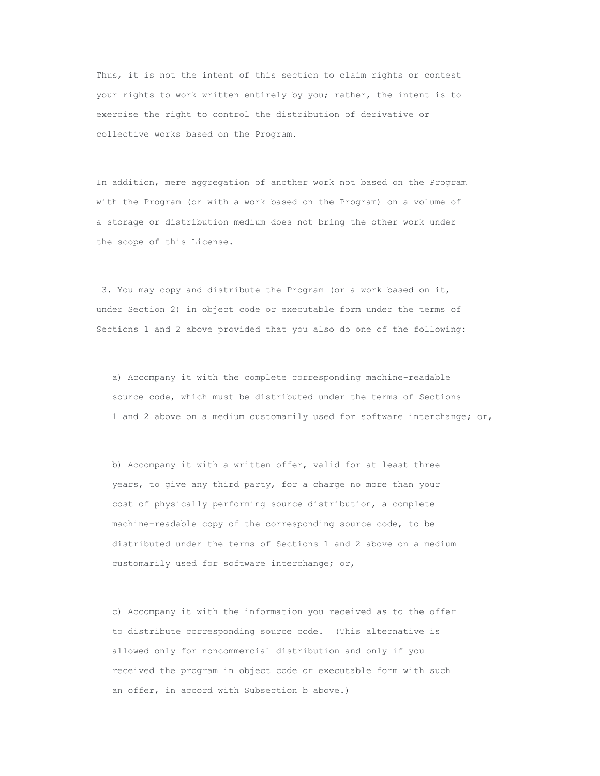Thus, it is not the intent of this section to claim rights or contest your rights to work written entirely by you; rather, the intent is to exercise the right to control the distribution of derivative or collective works based on the Program.

In addition, mere aggregation of another work not based on the Program with the Program (or with a work based on the Program) on a volume of a storage or distribution medium does not bring the other work under the scope of this License.

3. You may copy and distribute the Program (or a work based on it, under Section 2) in object code or executable form under the terms of Sections 1 and 2 above provided that you also do one of the following:

a) Accompany it with the complete corresponding machine-readable source code, which must be distributed under the terms of Sections 1 and 2 above on a medium customarily used for software interchange; or,

b) Accompany it with a written offer, valid for at least three years, to give any third party, for a charge no more than your cost of physically performing source distribution, a complete machine-readable copy of the corresponding source code, to be distributed under the terms of Sections 1 and 2 above on a medium customarily used for software interchange; or,

c) Accompany it with the information you received as to the offer to distribute corresponding source code. (This alternative is allowed only for noncommercial distribution and only if you received the program in object code or executable form with such an offer, in accord with Subsection b above.)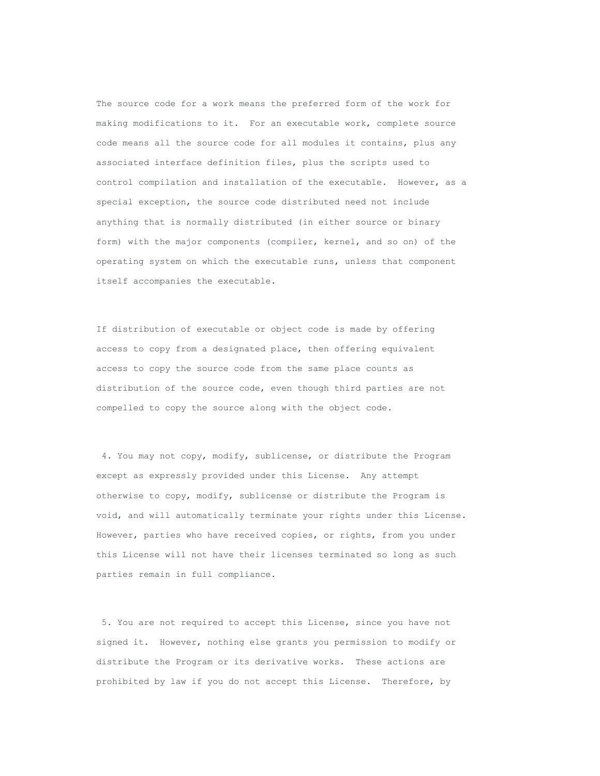The source code for a work means the preferred form of the work for making modifications to it. For an executable work, complete source code means all the source code for all modules it contains, plus any associated interface definition files, plus the scripts used to control compilation and installation of the executable. However, as a special exception, the source code distributed need not include anything that is normally distributed (in either source or binary form) with the major components (compiler, kernel, and so on) of the operating system on which the executable runs, unless that component itself accompanies the executable.

If distribution of executable or object code is made by offering access to copy from a designated place, then offering equivalent access to copy the source code from the same place counts as distribution of the source code, even though third parties are not compelled to copy the source along with the object code.

4. You may not copy, modify, sublicense, or distribute the Program except as expressly provided under this License. Any attempt otherwise to copy, modify, sublicense or distribute the Program is void, and will automatically terminate your rights under this License. However, parties who have received copies, or rights, from you under this License will not have their licenses terminated so long as such parties remain in full compliance.

5. You are not required to accept this License, since you have not signed it. However, nothing else grants you permission to modify or distribute the Program or its derivative works. These actions are prohibited by law if you do not accept this License. Therefore, by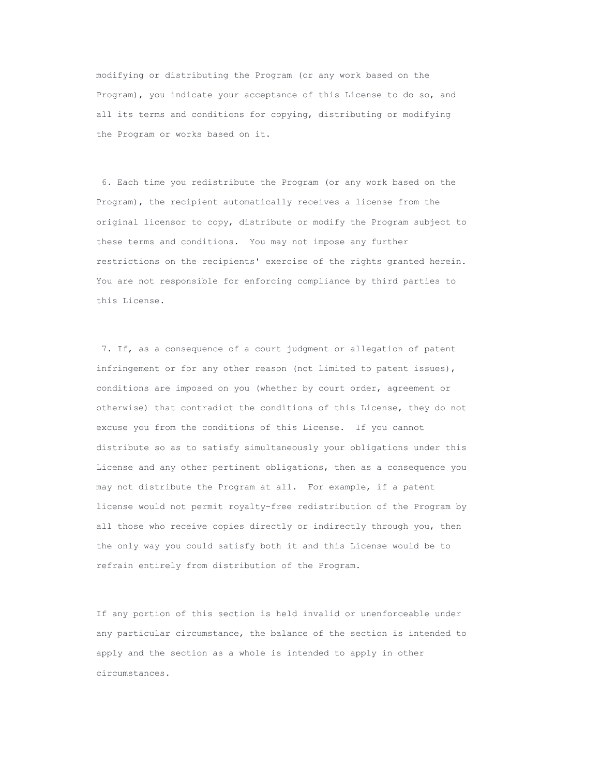modifying or distributing the Program (or any work based on the Program), you indicate your acceptance of this License to do so, and all its terms and conditions for copying, distributing or modifying the Program or works based on it.

6. Each time you redistribute the Program (or any work based on the Program), the recipient automatically receives a license from the original licensor to copy, distribute or modify the Program subject to these terms and conditions. You may not impose any further restrictions on the recipients' exercise of the rights granted herein. You are not responsible for enforcing compliance by third parties to this License.

7. If, as a consequence of a court judgment or allegation of patent infringement or for any other reason (not limited to patent issues), conditions are imposed on you (whether by court order, agreement or otherwise) that contradict the conditions of this License, they do not excuse you from the conditions of this License. If you cannot distribute so as to satisfy simultaneously your obligations under this License and any other pertinent obligations, then as a consequence you may not distribute the Program at all. For example, if a patent license would not permit royalty-free redistribution of the Program by all those who receive copies directly or indirectly through you, then the only way you could satisfy both it and this License would be to refrain entirely from distribution of the Program.

If any portion of this section is held invalid or unenforceable under any particular circumstance, the balance of the section is intended to apply and the section as a whole is intended to apply in other circumstances.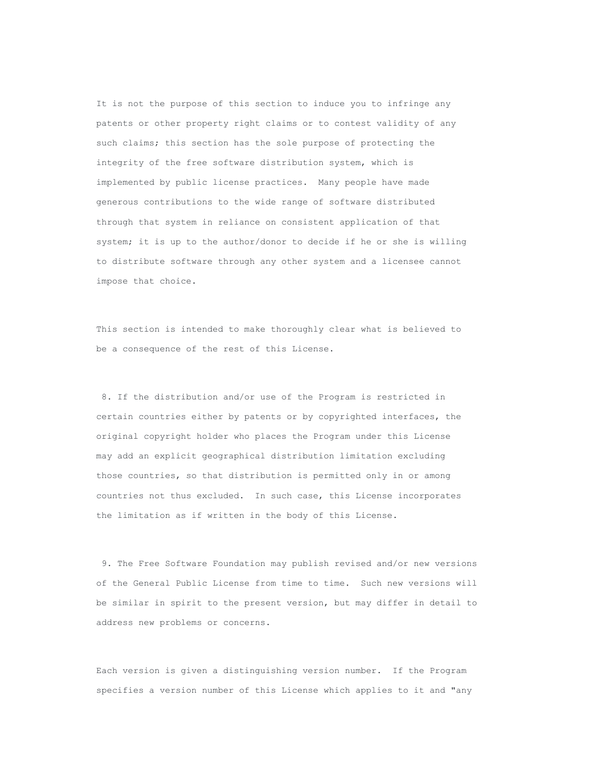It is not the purpose of this section to induce you to infringe any patents or other property right claims or to contest validity of any such claims; this section has the sole purpose of protecting the integrity of the free software distribution system, which is implemented by public license practices. Many people have made generous contributions to the wide range of software distributed through that system in reliance on consistent application of that system; it is up to the author/donor to decide if he or she is willing to distribute software through any other system and a licensee cannot impose that choice.

This section is intended to make thoroughly clear what is believed to be a consequence of the rest of this License.

8. If the distribution and/or use of the Program is restricted in certain countries either by patents or by copyrighted interfaces, the original copyright holder who places the Program under this License may add an explicit geographical distribution limitation excluding those countries, so that distribution is permitted only in or among countries not thus excluded. In such case, this License incorporates the limitation as if written in the body of this License.

9. The Free Software Foundation may publish revised and/or new versions of the General Public License from time to time. Such new versions will be similar in spirit to the present version, but may differ in detail to address new problems or concerns.

Each version is given a distinguishing version number. If the Program specifies a version number of this License which applies to it and "any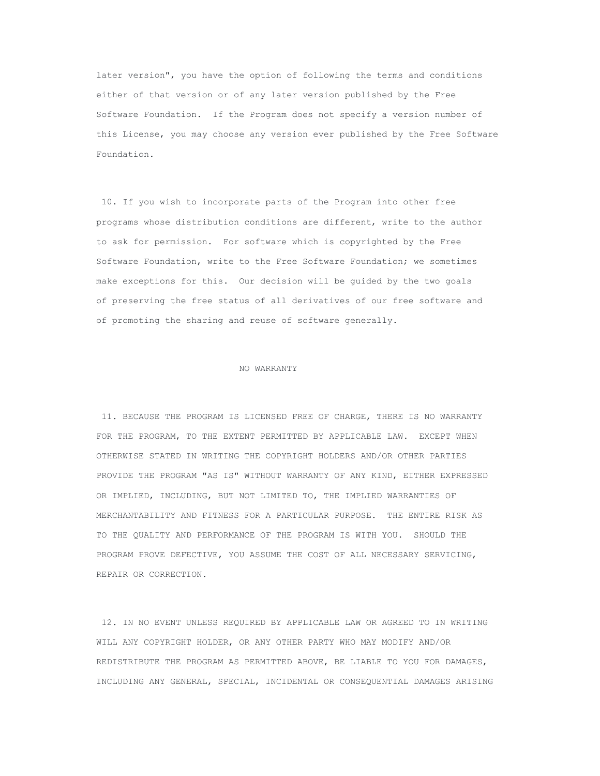later version", you have the option of following the terms and conditions either of that version or of any later version published by the Free Software Foundation. If the Program does not specify a version number of this License, you may choose any version ever published by the Free Software Foundation.

10. If you wish to incorporate parts of the Program into other free programs whose distribution conditions are different, write to the author to ask for permission. For software which is copyrighted by the Free Software Foundation, write to the Free Software Foundation; we sometimes make exceptions for this. Our decision will be guided by the two goals of preserving the free status of all derivatives of our free software and of promoting the sharing and reuse of software generally.

#### NO WARRANTY

11. BECAUSE THE PROGRAM IS LICENSED FREE OF CHARGE, THERE IS NO WARRANTY FOR THE PROGRAM, TO THE EXTENT PERMITTED BY APPLICABLE LAW. EXCEPT WHEN OTHERWISE STATED IN WRITING THE COPYRIGHT HOLDERS AND/OR OTHER PARTIES PROVIDE THE PROGRAM "AS IS" WITHOUT WARRANTY OF ANY KIND, EITHER EXPRESSED OR IMPLIED, INCLUDING, BUT NOT LIMITED TO, THE IMPLIED WARRANTIES OF MERCHANTABILITY AND FITNESS FOR A PARTICULAR PURPOSE. THE ENTIRE RISK AS TO THE QUALITY AND PERFORMANCE OF THE PROGRAM IS WITH YOU. SHOULD THE PROGRAM PROVE DEFECTIVE, YOU ASSUME THE COST OF ALL NECESSARY SERVICING, REPAIR OR CORRECTION.

12. IN NO EVENT UNLESS REQUIRED BY APPLICABLE LAW OR AGREED TO IN WRITING WILL ANY COPYRIGHT HOLDER, OR ANY OTHER PARTY WHO MAY MODIFY AND/OR REDISTRIBUTE THE PROGRAM AS PERMITTED ABOVE, BE LIABLE TO YOU FOR DAMAGES, INCLUDING ANY GENERAL, SPECIAL, INCIDENTAL OR CONSEQUENTIAL DAMAGES ARISING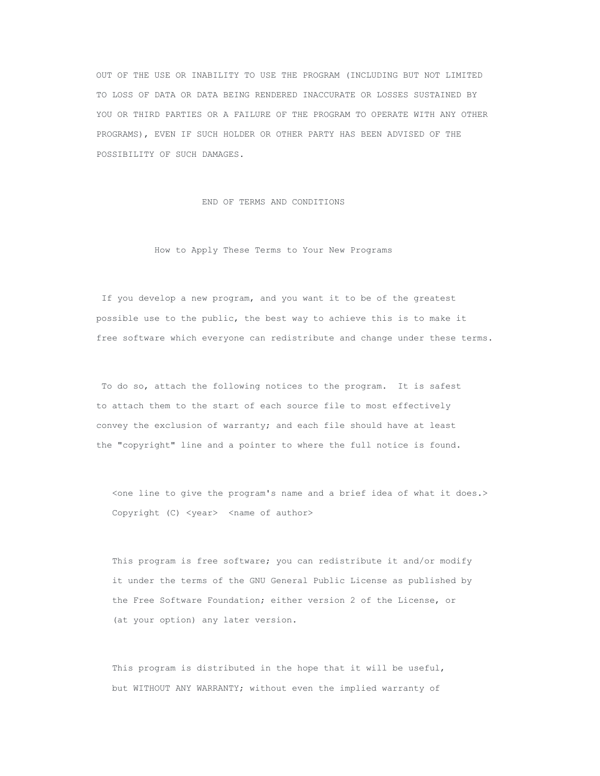OUT OF THE USE OR INABILITY TO USE THE PROGRAM (INCLUDING BUT NOT LIMITED TO LOSS OF DATA OR DATA BEING RENDERED INACCURATE OR LOSSES SUSTAINED BY YOU OR THIRD PARTIES OR A FAILURE OF THE PROGRAM TO OPERATE WITH ANY OTHER PROGRAMS), EVEN IF SUCH HOLDER OR OTHER PARTY HAS BEEN ADVISED OF THE POSSIBILITY OF SUCH DAMAGES.

END OF TERMS AND CONDITIONS

How to Apply These Terms to Your New Programs

If you develop a new program, and you want it to be of the greatest possible use to the public, the best way to achieve this is to make it free software which everyone can redistribute and change under these terms.

To do so, attach the following notices to the program. It is safest to attach them to the start of each source file to most effectively convey the exclusion of warranty; and each file should have at least the "copyright" line and a pointer to where the full notice is found.

<one line to give the program's name and a brief idea of what it does.> Copyright (C) <year> <name of author>

This program is free software; you can redistribute it and/or modify it under the terms of the GNU General Public License as published by the Free Software Foundation; either version 2 of the License, or (at your option) any later version.

This program is distributed in the hope that it will be useful, but WITHOUT ANY WARRANTY; without even the implied warranty of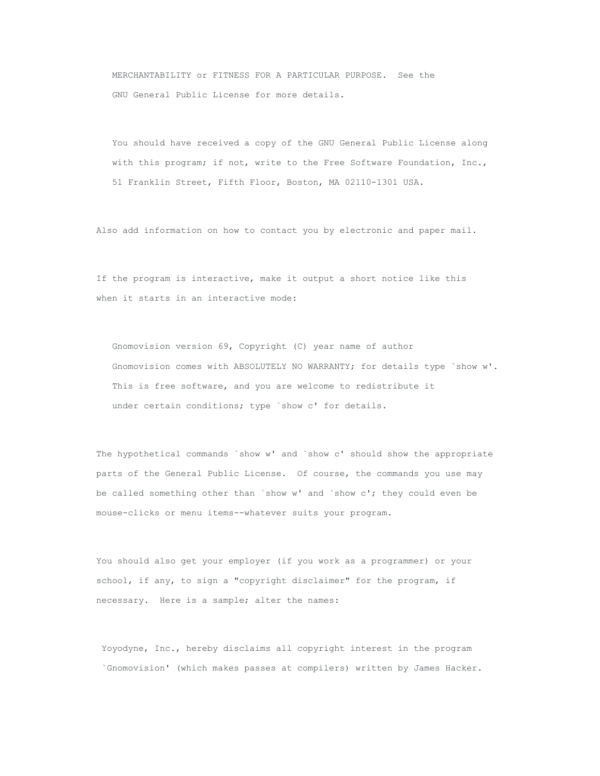MERCHANTABILITY or FITNESS FOR A PARTICULAR PURPOSE. See the GNU General Public License for more details.

You should have received a copy of the GNU General Public License along with this program; if not, write to the Free Software Foundation, Inc., 51 Franklin Street, Fifth Floor, Boston, MA 02110-1301 USA.

Also add information on how to contact you by electronic and paper mail.

If the program is interactive, make it output a short notice like this when it starts in an interactive mode:

Gnomovision version 69, Copyright (C) year name of author Gnomovision comes with ABSOLUTELY NO WARRANTY; for details type `show w'. This is free software, and you are welcome to redistribute it under certain conditions; type `show c' for details.

The hypothetical commands `show w' and `show c' should show the appropriate parts of the General Public License. Of course, the commands you use may be called something other than `show w' and `show  $c'$ ; they could even be mouse-clicks or menu items--whatever suits your program.

You should also get your employer (if you work as a programmer) or your school, if any, to sign a "copyright disclaimer" for the program, if necessary. Here is a sample; alter the names:

Yoyodyne, Inc., hereby disclaims all copyright interest in the program `Gnomovision' (which makes passes at compilers) written by James Hacker.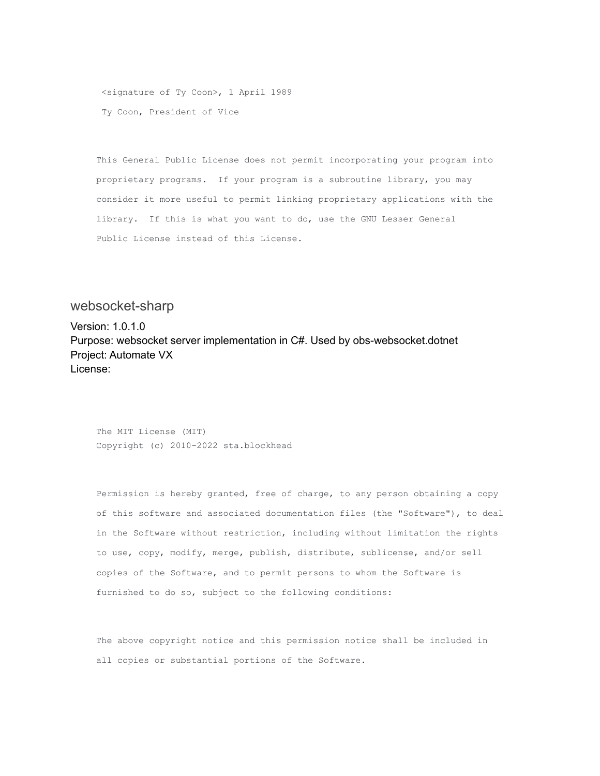<signature of Ty Coon>, 1 April 1989 Ty Coon, President of Vice

This General Public License does not permit incorporating your program into proprietary programs. If your program is a subroutine library, you may consider it more useful to permit linking proprietary applications with the library. If this is what you want to do, use the GNU Lesser General Public License instead of this License.

### <span id="page-32-0"></span>websocket-sharp

Version: 1.0.1.0 Purpose: websocket server implementation in C#. Used by obs-websocket.dotnet Project: Automate VX License:

The MIT License (MIT) Copyright (c) 2010-2022 sta.blockhead

Permission is hereby granted, free of charge, to any person obtaining a copy of this software and associated documentation files (the "Software"), to deal in the Software without restriction, including without limitation the rights to use, copy, modify, merge, publish, distribute, sublicense, and/or sell copies of the Software, and to permit persons to whom the Software is furnished to do so, subject to the following conditions:

The above copyright notice and this permission notice shall be included in all copies or substantial portions of the Software.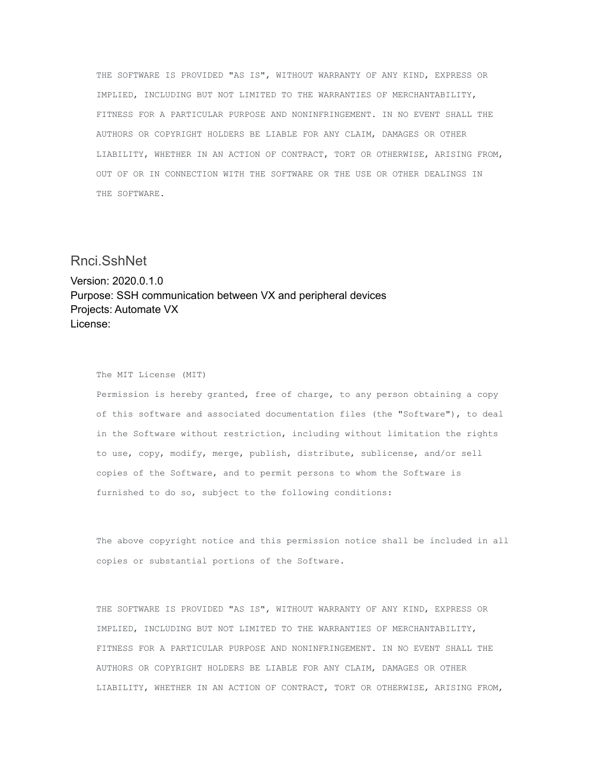THE SOFTWARE IS PROVIDED "AS IS", WITHOUT WARRANTY OF ANY KIND, EXPRESS OR IMPLIED, INCLUDING BUT NOT LIMITED TO THE WARRANTIES OF MERCHANTABILITY, FITNESS FOR A PARTICULAR PURPOSE AND NONINFRINGEMENT. IN NO EVENT SHALL THE AUTHORS OR COPYRIGHT HOLDERS BE LIABLE FOR ANY CLAIM, DAMAGES OR OTHER LIABILITY, WHETHER IN AN ACTION OF CONTRACT, TORT OR OTHERWISE, ARISING FROM, OUT OF OR IN CONNECTION WITH THE SOFTWARE OR THE USE OR OTHER DEALINGS IN THE SOFTWARE.

### <span id="page-33-0"></span>Rnci.SshNet

Version: 2020.0.1.0 Purpose: SSH communication between VX and peripheral devices Projects: Automate VX License:

#### The MIT License (MIT)

Permission is hereby granted, free of charge, to any person obtaining a copy of this software and associated documentation files (the "Software"), to deal in the Software without restriction, including without limitation the rights to use, copy, modify, merge, publish, distribute, sublicense, and/or sell copies of the Software, and to permit persons to whom the Software is furnished to do so, subject to the following conditions:

The above copyright notice and this permission notice shall be included in all copies or substantial portions of the Software.

THE SOFTWARE IS PROVIDED "AS IS", WITHOUT WARRANTY OF ANY KIND, EXPRESS OR IMPLIED, INCLUDING BUT NOT LIMITED TO THE WARRANTIES OF MERCHANTABILITY, FITNESS FOR A PARTICULAR PURPOSE AND NONINFRINGEMENT. IN NO EVENT SHALL THE AUTHORS OR COPYRIGHT HOLDERS BE LIABLE FOR ANY CLAIM, DAMAGES OR OTHER LIABILITY, WHETHER IN AN ACTION OF CONTRACT, TORT OR OTHERWISE, ARISING FROM,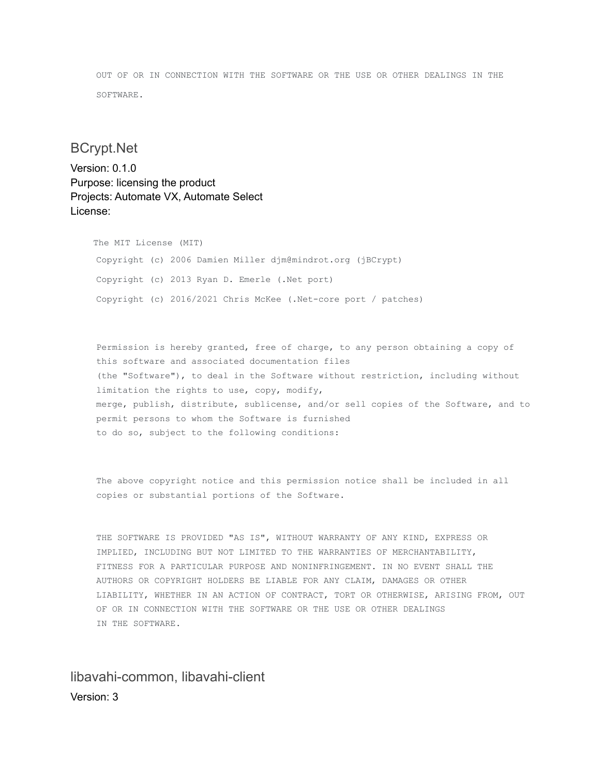OUT OF OR IN CONNECTION WITH THE SOFTWARE OR THE USE OR OTHER DEALINGS IN THE SOFTWARE.

# <span id="page-34-0"></span>BCrypt.Net

Version: 0.1.0 Purpose: licensing the product Projects: Automate VX, Automate Select License:

> The MIT License (MIT) Copyright (c) 2006 Damien Miller djm@mindrot.org (jBCrypt) Copyright (c) 2013 Ryan D. Emerle (.Net port) Copyright (c) 2016/2021 Chris McKee (.Net-core port / patches)

Permission is hereby granted, free of charge, to any person obtaining a copy of this software and associated documentation files (the "Software"), to deal in the Software without restriction, including without limitation the rights to use, copy, modify, merge, publish, distribute, sublicense, and/or sell copies of the Software, and to permit persons to whom the Software is furnished to do so, subject to the following conditions:

The above copyright notice and this permission notice shall be included in all copies or substantial portions of the Software.

THE SOFTWARE IS PROVIDED "AS IS", WITHOUT WARRANTY OF ANY KIND, EXPRESS OR IMPLIED, INCLUDING BUT NOT LIMITED TO THE WARRANTIES OF MERCHANTABILITY, FITNESS FOR A PARTICULAR PURPOSE AND NONINFRINGEMENT. IN NO EVENT SHALL THE AUTHORS OR COPYRIGHT HOLDERS BE LIABLE FOR ANY CLAIM, DAMAGES OR OTHER LIABILITY, WHETHER IN AN ACTION OF CONTRACT, TORT OR OTHERWISE, ARISING FROM, OUT OF OR IN CONNECTION WITH THE SOFTWARE OR THE USE OR OTHER DEALINGS IN THE SOFTWARE.

<span id="page-34-1"></span>libavahi-common, libavahi-client Version: 3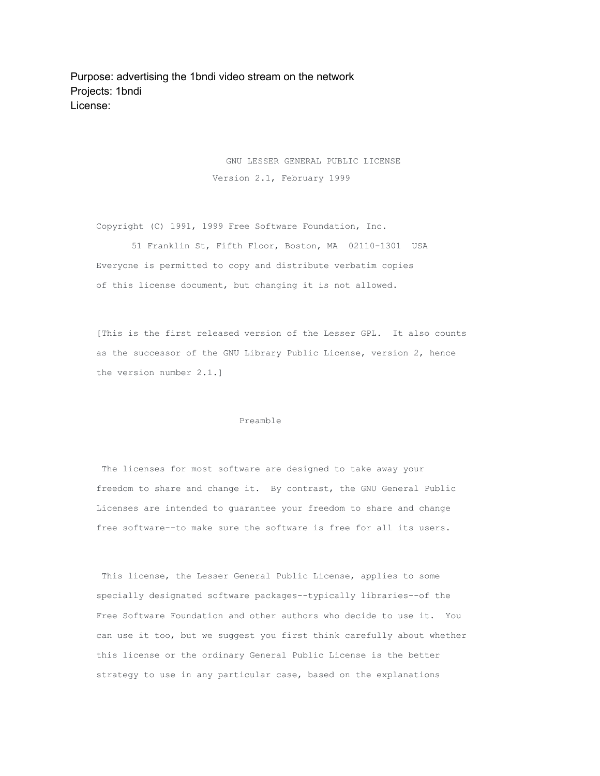Purpose: advertising the 1bndi video stream on the network Projects: 1bndi License:

> GNU LESSER GENERAL PUBLIC LICENSE Version 2.1, February 1999

Copyright (C) 1991, 1999 Free Software Foundation, Inc.

51 Franklin St, Fifth Floor, Boston, MA 02110-1301 USA Everyone is permitted to copy and distribute verbatim copies of this license document, but changing it is not allowed.

[This is the first released version of the Lesser GPL. It also counts as the successor of the GNU Library Public License, version 2, hence the version number 2.1.]

#### Preamble

The licenses for most software are designed to take away your freedom to share and change it. By contrast, the GNU General Public Licenses are intended to guarantee your freedom to share and change free software--to make sure the software is free for all its users.

This license, the Lesser General Public License, applies to some specially designated software packages--typically libraries--of the Free Software Foundation and other authors who decide to use it. You can use it too, but we suggest you first think carefully about whether this license or the ordinary General Public License is the better strategy to use in any particular case, based on the explanations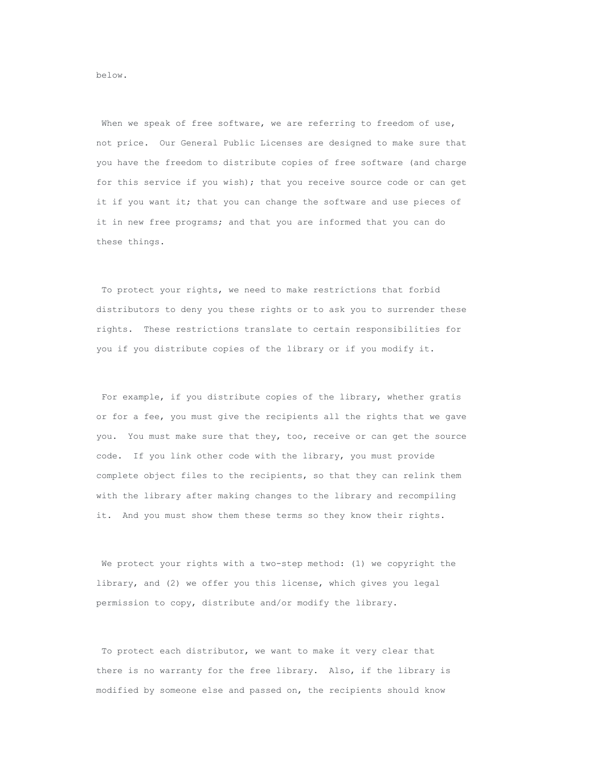When we speak of free software, we are referring to freedom of use, not price. Our General Public Licenses are designed to make sure that you have the freedom to distribute copies of free software (and charge for this service if you wish); that you receive source code or can get it if you want it; that you can change the software and use pieces of it in new free programs; and that you are informed that you can do these things.

To protect your rights, we need to make restrictions that forbid distributors to deny you these rights or to ask you to surrender these rights. These restrictions translate to certain responsibilities for you if you distribute copies of the library or if you modify it.

For example, if you distribute copies of the library, whether gratis or for a fee, you must give the recipients all the rights that we gave you. You must make sure that they, too, receive or can get the source code. If you link other code with the library, you must provide complete object files to the recipients, so that they can relink them with the library after making changes to the library and recompiling it. And you must show them these terms so they know their rights.

We protect your rights with a two-step method: (1) we copyright the library, and (2) we offer you this license, which gives you legal permission to copy, distribute and/or modify the library.

To protect each distributor, we want to make it very clear that there is no warranty for the free library. Also, if the library is modified by someone else and passed on, the recipients should know

below.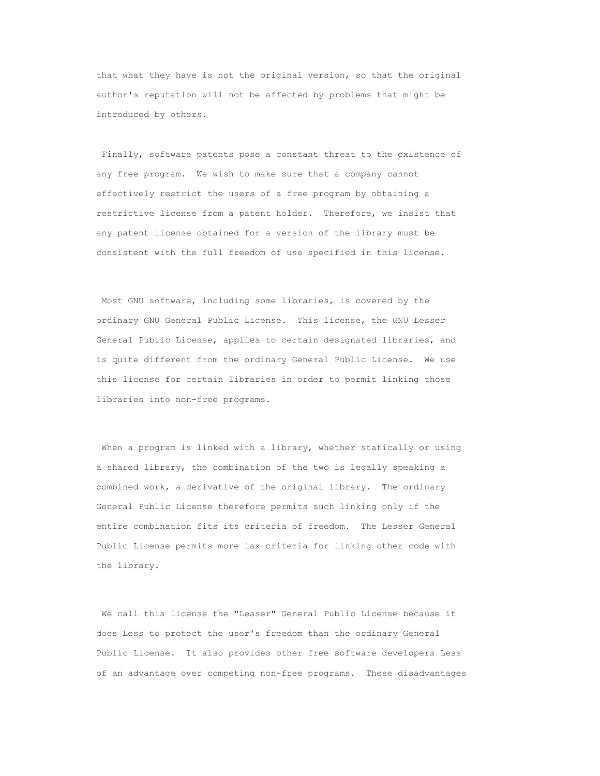that what they have is not the original version, so that the original author's reputation will not be affected by problems that might be introduced by others.

Finally, software patents pose a constant threat to the existence of any free program. We wish to make sure that a company cannot effectively restrict the users of a free program by obtaining a restrictive license from a patent holder. Therefore, we insist that any patent license obtained for a version of the library must be consistent with the full freedom of use specified in this license.

Most GNU software, including some libraries, is covered by the ordinary GNU General Public License. This license, the GNU Lesser General Public License, applies to certain designated libraries, and is quite different from the ordinary General Public License. We use this license for certain libraries in order to permit linking those libraries into non-free programs.

When a program is linked with a library, whether statically or using a shared library, the combination of the two is legally speaking a combined work, a derivative of the original library. The ordinary General Public License therefore permits such linking only if the entire combination fits its criteria of freedom. The Lesser General Public License permits more lax criteria for linking other code with the library.

We call this license the "Lesser" General Public License because it does Less to protect the user's freedom than the ordinary General Public License. It also provides other free software developers Less of an advantage over competing non-free programs. These disadvantages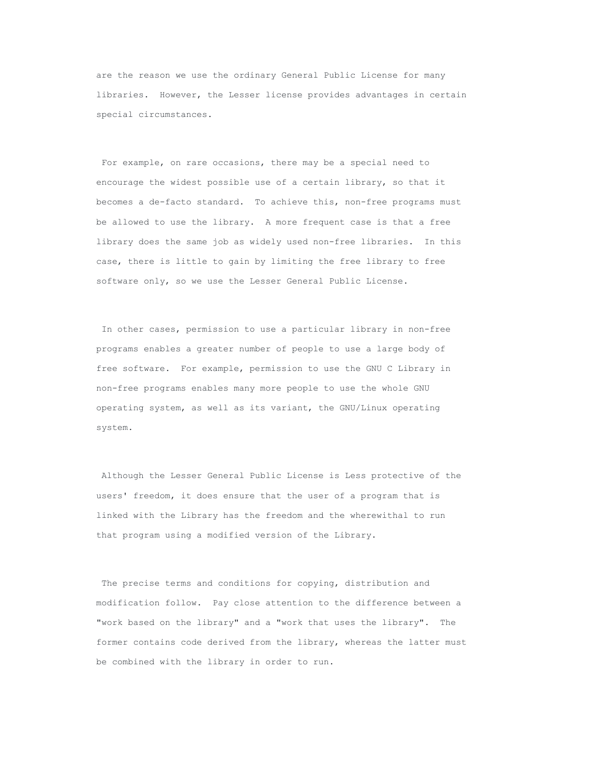are the reason we use the ordinary General Public License for many libraries. However, the Lesser license provides advantages in certain special circumstances.

For example, on rare occasions, there may be a special need to encourage the widest possible use of a certain library, so that it becomes a de-facto standard. To achieve this, non-free programs must be allowed to use the library. A more frequent case is that a free library does the same job as widely used non-free libraries. In this case, there is little to gain by limiting the free library to free software only, so we use the Lesser General Public License.

In other cases, permission to use a particular library in non-free programs enables a greater number of people to use a large body of free software. For example, permission to use the GNU C Library in non-free programs enables many more people to use the whole GNU operating system, as well as its variant, the GNU/Linux operating system.

Although the Lesser General Public License is Less protective of the users' freedom, it does ensure that the user of a program that is linked with the Library has the freedom and the wherewithal to run that program using a modified version of the Library.

The precise terms and conditions for copying, distribution and modification follow. Pay close attention to the difference between a "work based on the library" and a "work that uses the library". The former contains code derived from the library, whereas the latter must be combined with the library in order to run.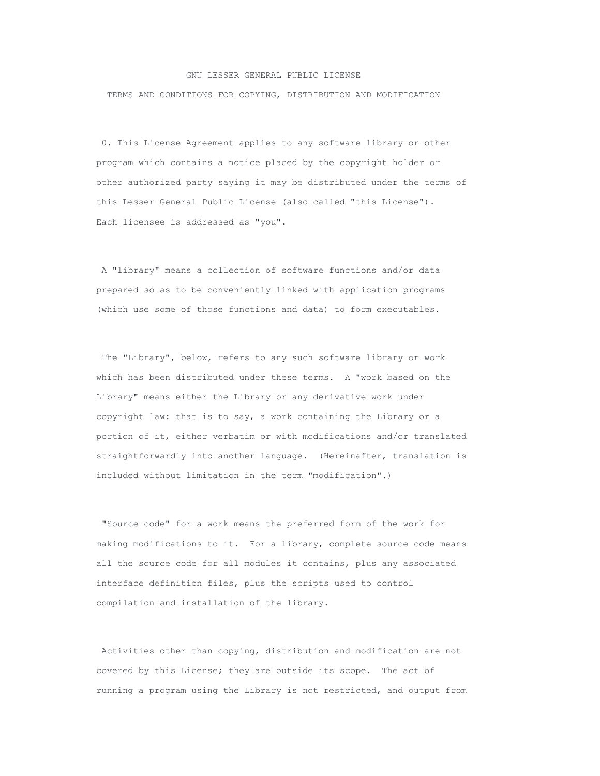### GNU LESSER GENERAL PUBLIC LICENSE

TERMS AND CONDITIONS FOR COPYING, DISTRIBUTION AND MODIFICATION

0. This License Agreement applies to any software library or other program which contains a notice placed by the copyright holder or other authorized party saying it may be distributed under the terms of this Lesser General Public License (also called "this License"). Each licensee is addressed as "you".

A "library" means a collection of software functions and/or data prepared so as to be conveniently linked with application programs (which use some of those functions and data) to form executables.

The "Library", below, refers to any such software library or work which has been distributed under these terms. A "work based on the Library" means either the Library or any derivative work under copyright law: that is to say, a work containing the Library or a portion of it, either verbatim or with modifications and/or translated straightforwardly into another language. (Hereinafter, translation is included without limitation in the term "modification".)

"Source code" for a work means the preferred form of the work for making modifications to it. For a library, complete source code means all the source code for all modules it contains, plus any associated interface definition files, plus the scripts used to control compilation and installation of the library.

Activities other than copying, distribution and modification are not covered by this License; they are outside its scope. The act of running a program using the Library is not restricted, and output from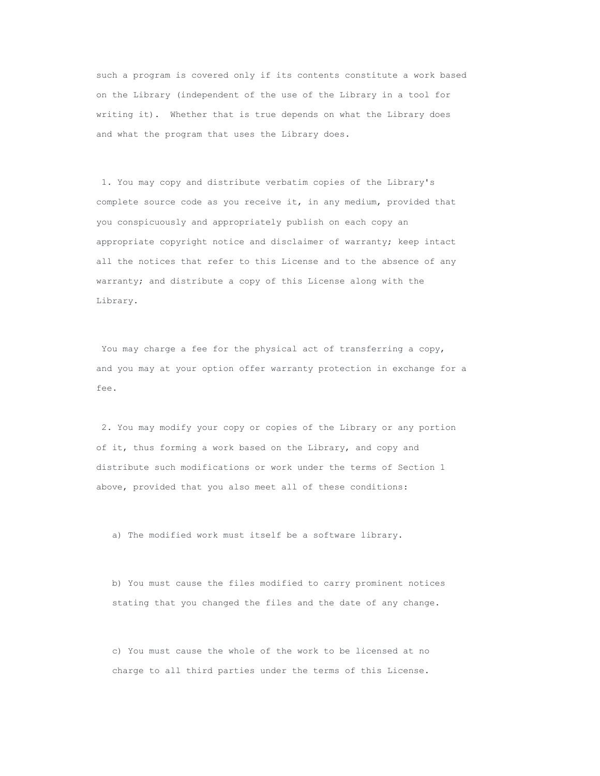such a program is covered only if its contents constitute a work based on the Library (independent of the use of the Library in a tool for writing it). Whether that is true depends on what the Library does and what the program that uses the Library does.

1. You may copy and distribute verbatim copies of the Library's complete source code as you receive it, in any medium, provided that you conspicuously and appropriately publish on each copy an appropriate copyright notice and disclaimer of warranty; keep intact all the notices that refer to this License and to the absence of any warranty; and distribute a copy of this License along with the Library.

You may charge a fee for the physical act of transferring a copy, and you may at your option offer warranty protection in exchange for a fee.

2. You may modify your copy or copies of the Library or any portion of it, thus forming a work based on the Library, and copy and distribute such modifications or work under the terms of Section 1 above, provided that you also meet all of these conditions:

a) The modified work must itself be a software library.

b) You must cause the files modified to carry prominent notices stating that you changed the files and the date of any change.

c) You must cause the whole of the work to be licensed at no charge to all third parties under the terms of this License.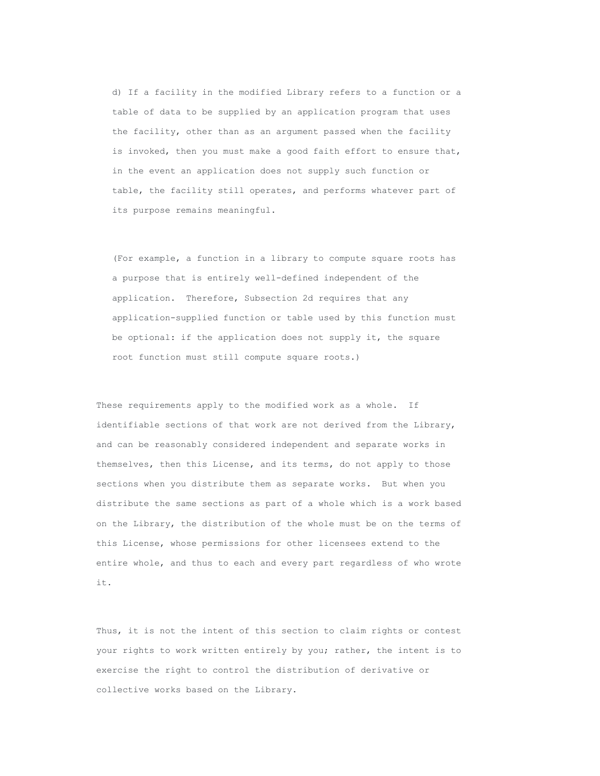d) If a facility in the modified Library refers to a function or a table of data to be supplied by an application program that uses the facility, other than as an argument passed when the facility is invoked, then you must make a good faith effort to ensure that, in the event an application does not supply such function or table, the facility still operates, and performs whatever part of its purpose remains meaningful.

(For example, a function in a library to compute square roots has a purpose that is entirely well-defined independent of the application. Therefore, Subsection 2d requires that any application-supplied function or table used by this function must be optional: if the application does not supply it, the square root function must still compute square roots.)

These requirements apply to the modified work as a whole. If identifiable sections of that work are not derived from the Library, and can be reasonably considered independent and separate works in themselves, then this License, and its terms, do not apply to those sections when you distribute them as separate works. But when you distribute the same sections as part of a whole which is a work based on the Library, the distribution of the whole must be on the terms of this License, whose permissions for other licensees extend to the entire whole, and thus to each and every part regardless of who wrote it.

Thus, it is not the intent of this section to claim rights or contest your rights to work written entirely by you; rather, the intent is to exercise the right to control the distribution of derivative or collective works based on the Library.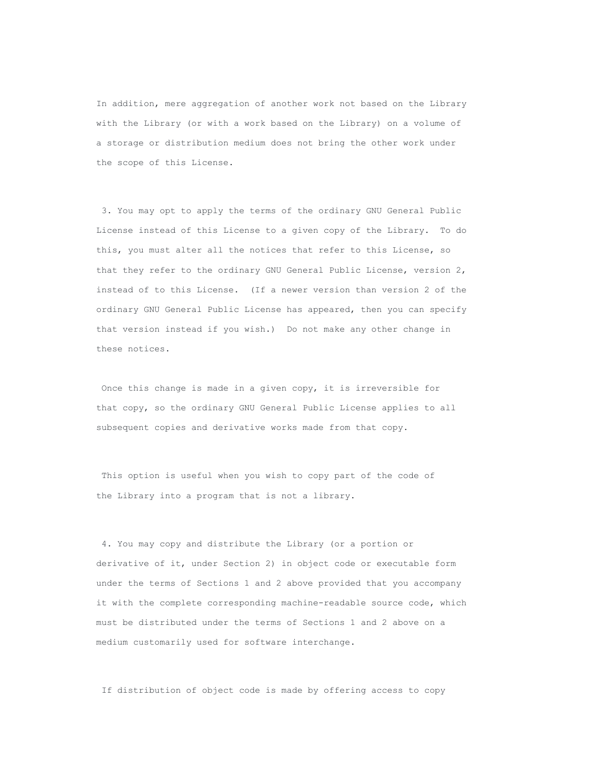In addition, mere aggregation of another work not based on the Library with the Library (or with a work based on the Library) on a volume of a storage or distribution medium does not bring the other work under the scope of this License.

3. You may opt to apply the terms of the ordinary GNU General Public License instead of this License to a given copy of the Library. To do this, you must alter all the notices that refer to this License, so that they refer to the ordinary GNU General Public License, version 2, instead of to this License. (If a newer version than version 2 of the ordinary GNU General Public License has appeared, then you can specify that version instead if you wish.) Do not make any other change in these notices.

Once this change is made in a given copy, it is irreversible for that copy, so the ordinary GNU General Public License applies to all subsequent copies and derivative works made from that copy.

This option is useful when you wish to copy part of the code of the Library into a program that is not a library.

4. You may copy and distribute the Library (or a portion or derivative of it, under Section 2) in object code or executable form under the terms of Sections 1 and 2 above provided that you accompany it with the complete corresponding machine-readable source code, which must be distributed under the terms of Sections 1 and 2 above on a medium customarily used for software interchange.

If distribution of object code is made by offering access to copy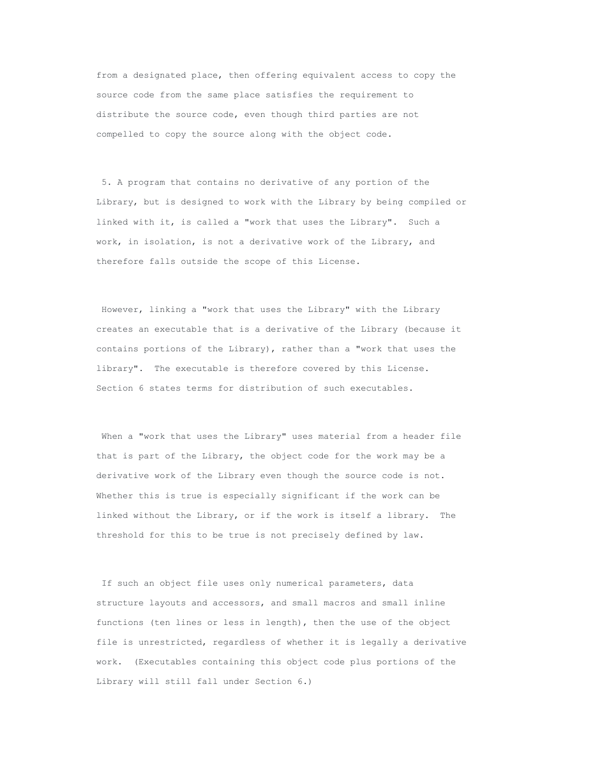from a designated place, then offering equivalent access to copy the source code from the same place satisfies the requirement to distribute the source code, even though third parties are not compelled to copy the source along with the object code.

5. A program that contains no derivative of any portion of the Library, but is designed to work with the Library by being compiled or linked with it, is called a "work that uses the Library". Such a work, in isolation, is not a derivative work of the Library, and therefore falls outside the scope of this License.

However, linking a "work that uses the Library" with the Library creates an executable that is a derivative of the Library (because it contains portions of the Library), rather than a "work that uses the library". The executable is therefore covered by this License. Section 6 states terms for distribution of such executables.

When a "work that uses the Library" uses material from a header file that is part of the Library, the object code for the work may be a derivative work of the Library even though the source code is not. Whether this is true is especially significant if the work can be linked without the Library, or if the work is itself a library. The threshold for this to be true is not precisely defined by law.

If such an object file uses only numerical parameters, data structure layouts and accessors, and small macros and small inline functions (ten lines or less in length), then the use of the object file is unrestricted, regardless of whether it is legally a derivative work. (Executables containing this object code plus portions of the Library will still fall under Section 6.)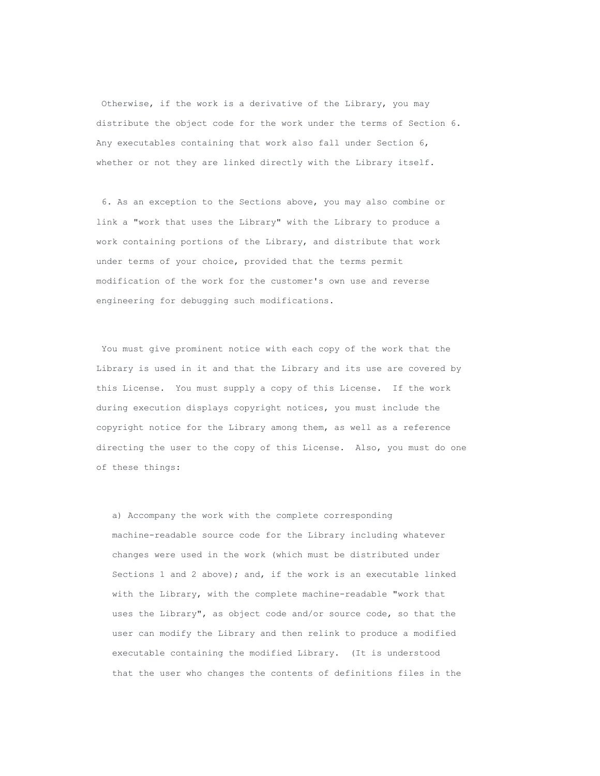Otherwise, if the work is a derivative of the Library, you may distribute the object code for the work under the terms of Section 6. Any executables containing that work also fall under Section 6, whether or not they are linked directly with the Library itself.

6. As an exception to the Sections above, you may also combine or link a "work that uses the Library" with the Library to produce a work containing portions of the Library, and distribute that work under terms of your choice, provided that the terms permit modification of the work for the customer's own use and reverse engineering for debugging such modifications.

You must give prominent notice with each copy of the work that the Library is used in it and that the Library and its use are covered by this License. You must supply a copy of this License. If the work during execution displays copyright notices, you must include the copyright notice for the Library among them, as well as a reference directing the user to the copy of this License. Also, you must do one of these things:

a) Accompany the work with the complete corresponding machine-readable source code for the Library including whatever changes were used in the work (which must be distributed under Sections 1 and 2 above); and, if the work is an executable linked with the Library, with the complete machine-readable "work that uses the Library", as object code and/or source code, so that the user can modify the Library and then relink to produce a modified executable containing the modified Library. (It is understood that the user who changes the contents of definitions files in the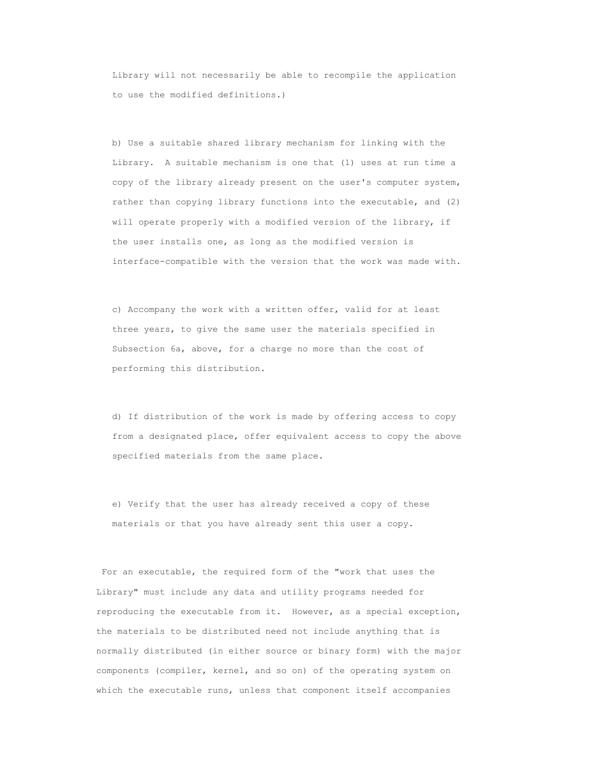Library will not necessarily be able to recompile the application to use the modified definitions.)

b) Use a suitable shared library mechanism for linking with the Library. A suitable mechanism is one that (1) uses at run time a copy of the library already present on the user's computer system, rather than copying library functions into the executable, and (2) will operate properly with a modified version of the library, if the user installs one, as long as the modified version is interface-compatible with the version that the work was made with.

c) Accompany the work with a written offer, valid for at least three years, to give the same user the materials specified in Subsection 6a, above, for a charge no more than the cost of performing this distribution.

d) If distribution of the work is made by offering access to copy from a designated place, offer equivalent access to copy the above specified materials from the same place.

e) Verify that the user has already received a copy of these materials or that you have already sent this user a copy.

For an executable, the required form of the "work that uses the Library" must include any data and utility programs needed for reproducing the executable from it. However, as a special exception, the materials to be distributed need not include anything that is normally distributed (in either source or binary form) with the major components (compiler, kernel, and so on) of the operating system on which the executable runs, unless that component itself accompanies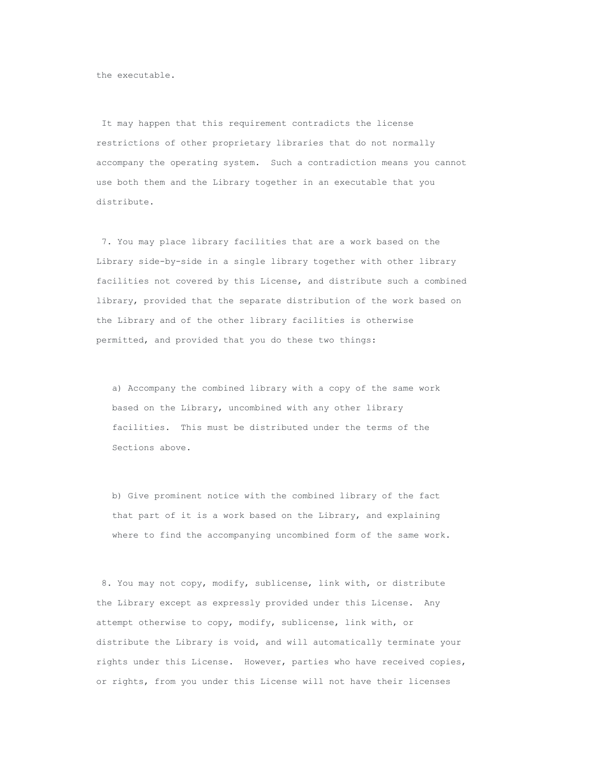the executable.

It may happen that this requirement contradicts the license restrictions of other proprietary libraries that do not normally accompany the operating system. Such a contradiction means you cannot use both them and the Library together in an executable that you distribute.

7. You may place library facilities that are a work based on the Library side-by-side in a single library together with other library facilities not covered by this License, and distribute such a combined library, provided that the separate distribution of the work based on the Library and of the other library facilities is otherwise permitted, and provided that you do these two things:

a) Accompany the combined library with a copy of the same work based on the Library, uncombined with any other library facilities. This must be distributed under the terms of the Sections above.

b) Give prominent notice with the combined library of the fact that part of it is a work based on the Library, and explaining where to find the accompanying uncombined form of the same work.

8. You may not copy, modify, sublicense, link with, or distribute the Library except as expressly provided under this License. Any attempt otherwise to copy, modify, sublicense, link with, or distribute the Library is void, and will automatically terminate your rights under this License. However, parties who have received copies, or rights, from you under this License will not have their licenses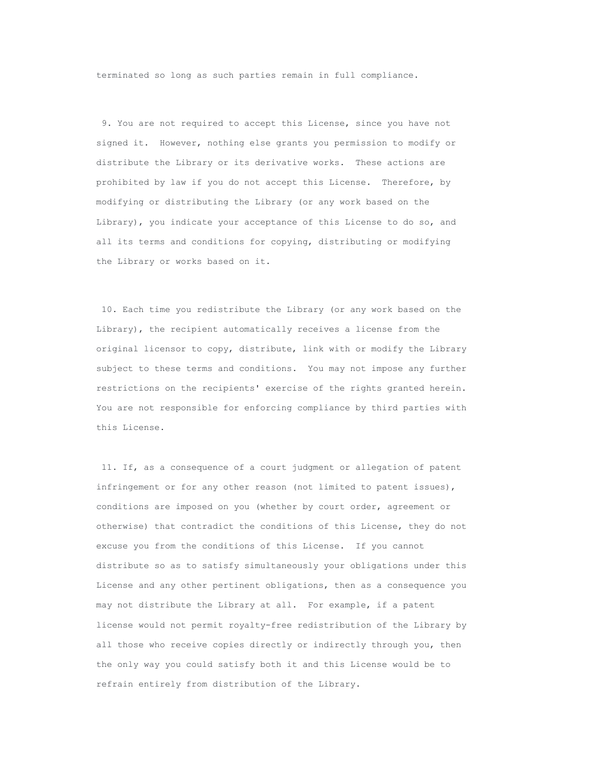terminated so long as such parties remain in full compliance.

9. You are not required to accept this License, since you have not signed it. However, nothing else grants you permission to modify or distribute the Library or its derivative works. These actions are prohibited by law if you do not accept this License. Therefore, by modifying or distributing the Library (or any work based on the Library), you indicate your acceptance of this License to do so, and all its terms and conditions for copying, distributing or modifying the Library or works based on it.

10. Each time you redistribute the Library (or any work based on the Library), the recipient automatically receives a license from the original licensor to copy, distribute, link with or modify the Library subject to these terms and conditions. You may not impose any further restrictions on the recipients' exercise of the rights granted herein. You are not responsible for enforcing compliance by third parties with this License.

11. If, as a consequence of a court judgment or allegation of patent infringement or for any other reason (not limited to patent issues), conditions are imposed on you (whether by court order, agreement or otherwise) that contradict the conditions of this License, they do not excuse you from the conditions of this License. If you cannot distribute so as to satisfy simultaneously your obligations under this License and any other pertinent obligations, then as a consequence you may not distribute the Library at all. For example, if a patent license would not permit royalty-free redistribution of the Library by all those who receive copies directly or indirectly through you, then the only way you could satisfy both it and this License would be to refrain entirely from distribution of the Library.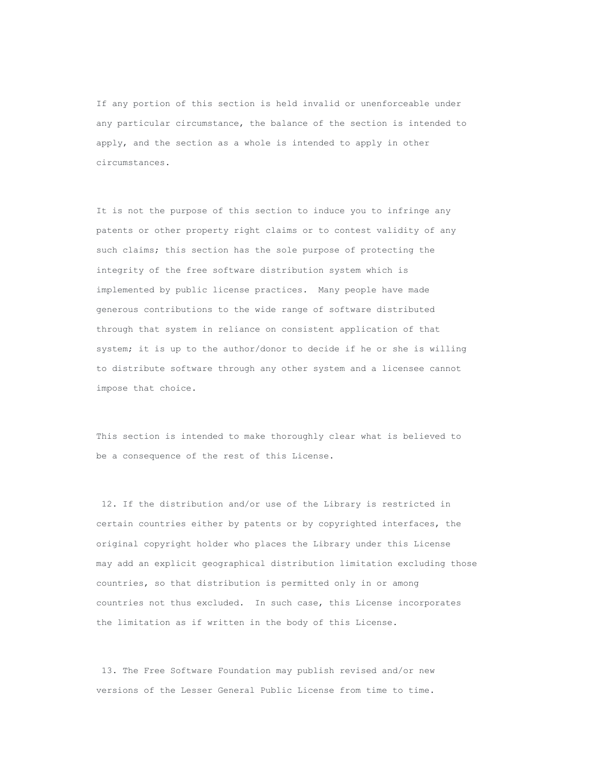If any portion of this section is held invalid or unenforceable under any particular circumstance, the balance of the section is intended to apply, and the section as a whole is intended to apply in other circumstances.

It is not the purpose of this section to induce you to infringe any patents or other property right claims or to contest validity of any such claims; this section has the sole purpose of protecting the integrity of the free software distribution system which is implemented by public license practices. Many people have made generous contributions to the wide range of software distributed through that system in reliance on consistent application of that system; it is up to the author/donor to decide if he or she is willing to distribute software through any other system and a licensee cannot impose that choice.

This section is intended to make thoroughly clear what is believed to be a consequence of the rest of this License.

12. If the distribution and/or use of the Library is restricted in certain countries either by patents or by copyrighted interfaces, the original copyright holder who places the Library under this License may add an explicit geographical distribution limitation excluding those countries, so that distribution is permitted only in or among countries not thus excluded. In such case, this License incorporates the limitation as if written in the body of this License.

13. The Free Software Foundation may publish revised and/or new versions of the Lesser General Public License from time to time.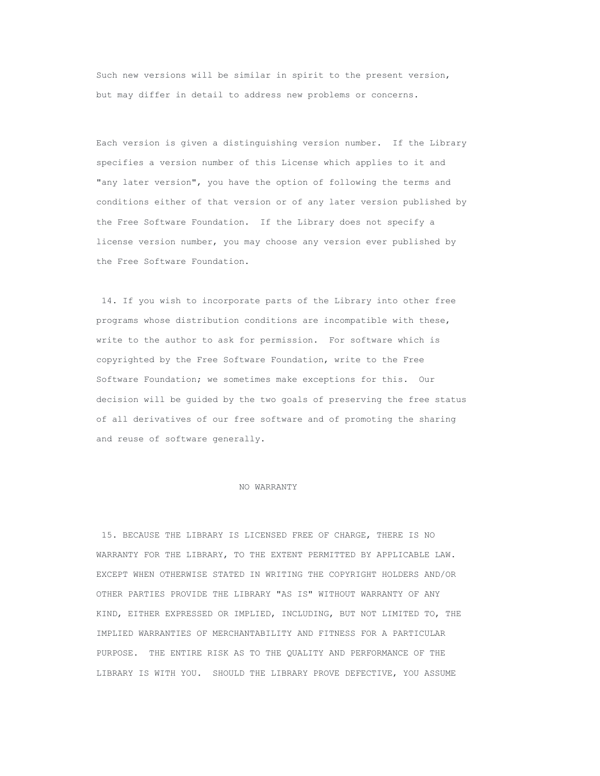Such new versions will be similar in spirit to the present version, but may differ in detail to address new problems or concerns.

Each version is given a distinguishing version number. If the Library specifies a version number of this License which applies to it and "any later version", you have the option of following the terms and conditions either of that version or of any later version published by the Free Software Foundation. If the Library does not specify a license version number, you may choose any version ever published by the Free Software Foundation.

14. If you wish to incorporate parts of the Library into other free programs whose distribution conditions are incompatible with these, write to the author to ask for permission. For software which is copyrighted by the Free Software Foundation, write to the Free Software Foundation; we sometimes make exceptions for this. Our decision will be guided by the two goals of preserving the free status of all derivatives of our free software and of promoting the sharing and reuse of software generally.

## NO WARRANTY

15. BECAUSE THE LIBRARY IS LICENSED FREE OF CHARGE, THERE IS NO WARRANTY FOR THE LIBRARY, TO THE EXTENT PERMITTED BY APPLICABLE LAW. EXCEPT WHEN OTHERWISE STATED IN WRITING THE COPYRIGHT HOLDERS AND/OR OTHER PARTIES PROVIDE THE LIBRARY "AS IS" WITHOUT WARRANTY OF ANY KIND, EITHER EXPRESSED OR IMPLIED, INCLUDING, BUT NOT LIMITED TO, THE IMPLIED WARRANTIES OF MERCHANTABILITY AND FITNESS FOR A PARTICULAR PURPOSE. THE ENTIRE RISK AS TO THE QUALITY AND PERFORMANCE OF THE LIBRARY IS WITH YOU. SHOULD THE LIBRARY PROVE DEFECTIVE, YOU ASSUME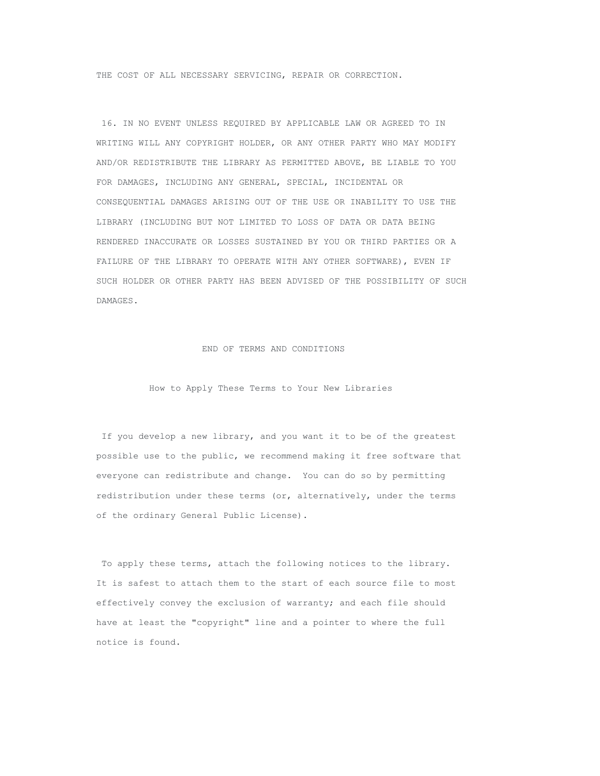THE COST OF ALL NECESSARY SERVICING, REPAIR OR CORRECTION.

16. IN NO EVENT UNLESS REQUIRED BY APPLICABLE LAW OR AGREED TO IN WRITING WILL ANY COPYRIGHT HOLDER, OR ANY OTHER PARTY WHO MAY MODIFY AND/OR REDISTRIBUTE THE LIBRARY AS PERMITTED ABOVE, BE LIABLE TO YOU FOR DAMAGES, INCLUDING ANY GENERAL, SPECIAL, INCIDENTAL OR CONSEQUENTIAL DAMAGES ARISING OUT OF THE USE OR INABILITY TO USE THE LIBRARY (INCLUDING BUT NOT LIMITED TO LOSS OF DATA OR DATA BEING RENDERED INACCURATE OR LOSSES SUSTAINED BY YOU OR THIRD PARTIES OR A FAILURE OF THE LIBRARY TO OPERATE WITH ANY OTHER SOFTWARE), EVEN IF SUCH HOLDER OR OTHER PARTY HAS BEEN ADVISED OF THE POSSIBILITY OF SUCH DAMAGES.

#### END OF TERMS AND CONDITIONS

## How to Apply These Terms to Your New Libraries

If you develop a new library, and you want it to be of the greatest possible use to the public, we recommend making it free software that everyone can redistribute and change. You can do so by permitting redistribution under these terms (or, alternatively, under the terms of the ordinary General Public License).

To apply these terms, attach the following notices to the library. It is safest to attach them to the start of each source file to most effectively convey the exclusion of warranty; and each file should have at least the "copyright" line and a pointer to where the full notice is found.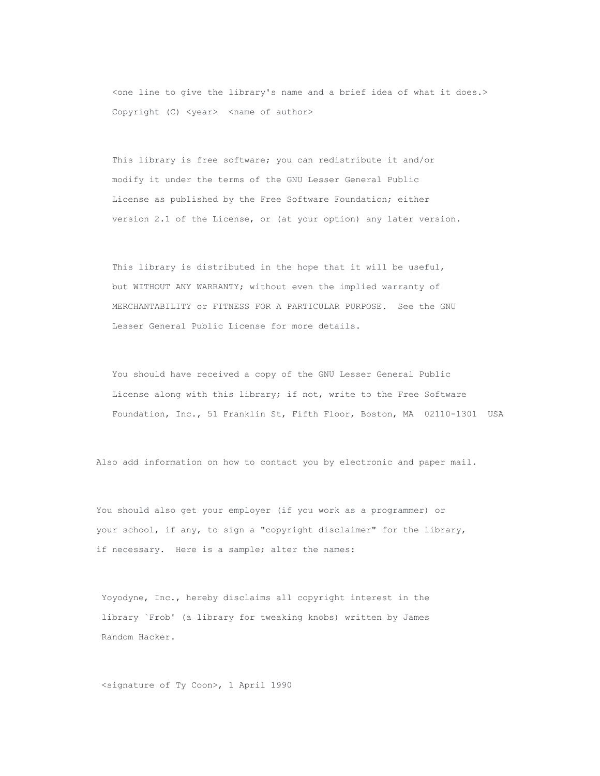<one line to give the library's name and a brief idea of what it does.> Copyright (C) <year> <name of author>

This library is free software; you can redistribute it and/or modify it under the terms of the GNU Lesser General Public License as published by the Free Software Foundation; either version 2.1 of the License, or (at your option) any later version.

This library is distributed in the hope that it will be useful, but WITHOUT ANY WARRANTY; without even the implied warranty of MERCHANTABILITY or FITNESS FOR A PARTICULAR PURPOSE. See the GNU Lesser General Public License for more details.

You should have received a copy of the GNU Lesser General Public License along with this library; if not, write to the Free Software Foundation, Inc., 51 Franklin St, Fifth Floor, Boston, MA 02110-1301 USA

Also add information on how to contact you by electronic and paper mail.

You should also get your employer (if you work as a programmer) or your school, if any, to sign a "copyright disclaimer" for the library, if necessary. Here is a sample; alter the names:

Yoyodyne, Inc., hereby disclaims all copyright interest in the library `Frob' (a library for tweaking knobs) written by James Random Hacker.

<signature of Ty Coon>, 1 April 1990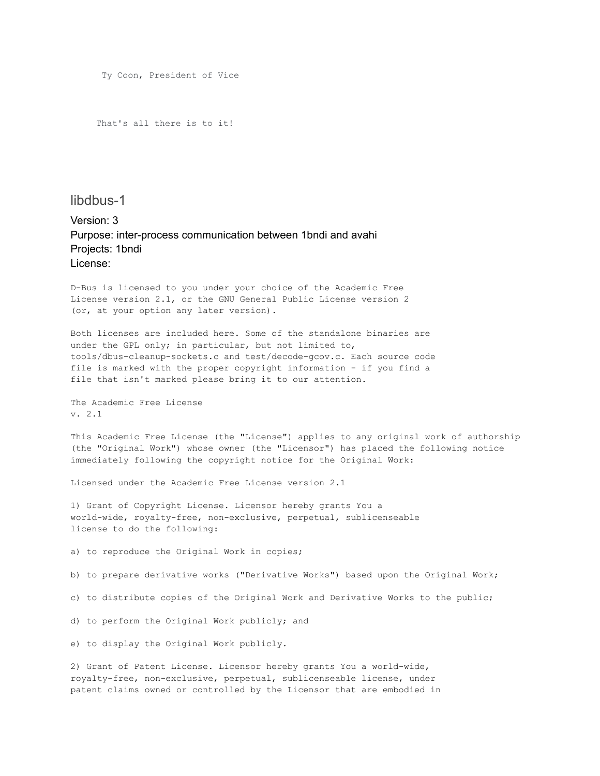Ty Coon, President of Vice

That's all there is to it!

# libdbus-1

Version: 3 Purpose: inter-process communication between 1bndi and avahi Projects: 1bndi License:

D-Bus is licensed to you under your choice of the Academic Free License version 2.1, or the GNU General Public License version 2 (or, at your option any later version).

Both licenses are included here. Some of the standalone binaries are under the GPL only; in particular, but not limited to, tools/dbus-cleanup-sockets.c and test/decode-gcov.c. Each source code file is marked with the proper copyright information - if you find a file that isn't marked please bring it to our attention.

The Academic Free License v. 2.1

This Academic Free License (the "License") applies to any original work of authorship (the "Original Work") whose owner (the "Licensor") has placed the following notice immediately following the copyright notice for the Original Work:

Licensed under the Academic Free License version 2.1

1) Grant of Copyright License. Licensor hereby grants You a world-wide, royalty-free, non-exclusive, perpetual, sublicenseable license to do the following:

a) to reproduce the Original Work in copies;

b) to prepare derivative works ("Derivative Works") based upon the Original Work;

c) to distribute copies of the Original Work and Derivative Works to the public;

d) to perform the Original Work publicly; and

e) to display the Original Work publicly.

2) Grant of Patent License. Licensor hereby grants You a world-wide, royalty-free, non-exclusive, perpetual, sublicenseable license, under patent claims owned or controlled by the Licensor that are embodied in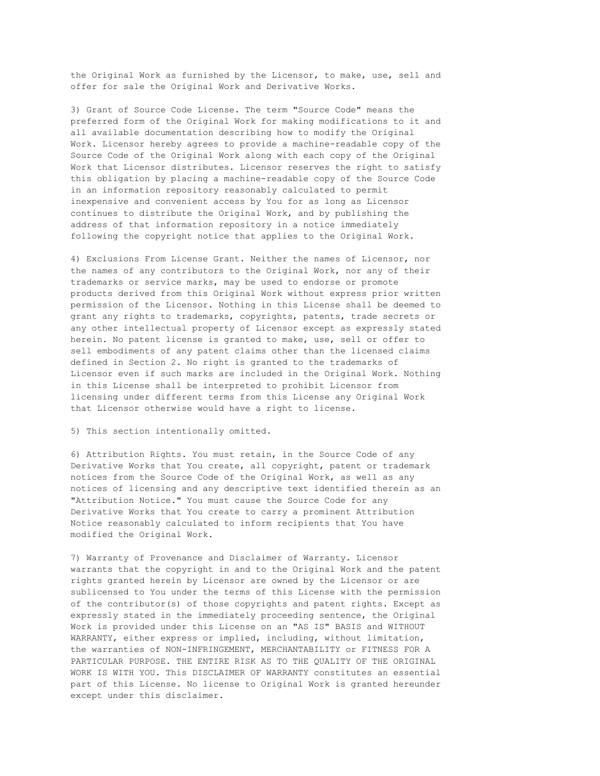the Original Work as furnished by the Licensor, to make, use, sell and offer for sale the Original Work and Derivative Works.

3) Grant of Source Code License. The term "Source Code" means the preferred form of the Original Work for making modifications to it and all available documentation describing how to modify the Original Work. Licensor hereby agrees to provide a machine-readable copy of the Source Code of the Original Work along with each copy of the Original Work that Licensor distributes. Licensor reserves the right to satisfy this obligation by placing a machine-readable copy of the Source Code in an information repository reasonably calculated to permit inexpensive and convenient access by You for as long as Licensor continues to distribute the Original Work, and by publishing the address of that information repository in a notice immediately following the copyright notice that applies to the Original Work.

4) Exclusions From License Grant. Neither the names of Licensor, nor the names of any contributors to the Original Work, nor any of their trademarks or service marks, may be used to endorse or promote products derived from this Original Work without express prior written permission of the Licensor. Nothing in this License shall be deemed to grant any rights to trademarks, copyrights, patents, trade secrets or any other intellectual property of Licensor except as expressly stated herein. No patent license is granted to make, use, sell or offer to sell embodiments of any patent claims other than the licensed claims defined in Section 2. No right is granted to the trademarks of Licensor even if such marks are included in the Original Work. Nothing in this License shall be interpreted to prohibit Licensor from licensing under different terms from this License any Original Work that Licensor otherwise would have a right to license.

### 5) This section intentionally omitted.

6) Attribution Rights. You must retain, in the Source Code of any Derivative Works that You create, all copyright, patent or trademark notices from the Source Code of the Original Work, as well as any notices of licensing and any descriptive text identified therein as an "Attribution Notice." You must cause the Source Code for any Derivative Works that You create to carry a prominent Attribution Notice reasonably calculated to inform recipients that You have modified the Original Work.

7) Warranty of Provenance and Disclaimer of Warranty. Licensor warrants that the copyright in and to the Original Work and the patent rights granted herein by Licensor are owned by the Licensor or are sublicensed to You under the terms of this License with the permission of the contributor(s) of those copyrights and patent rights. Except as expressly stated in the immediately proceeding sentence, the Original Work is provided under this License on an "AS IS" BASIS and WITHOUT WARRANTY, either express or implied, including, without limitation, the warranties of NON-INFRINGEMENT, MERCHANTABILITY or FITNESS FOR A PARTICULAR PURPOSE. THE ENTIRE RISK AS TO THE QUALITY OF THE ORIGINAL WORK IS WITH YOU. This DISCLAIMER OF WARRANTY constitutes an essential part of this License. No license to Original Work is granted hereunder except under this disclaimer.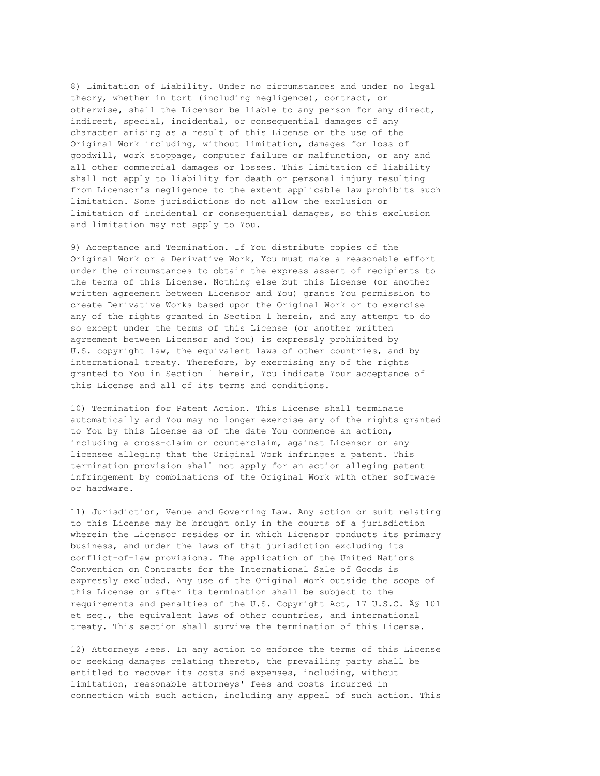8) Limitation of Liability. Under no circumstances and under no legal theory, whether in tort (including negligence), contract, or otherwise, shall the Licensor be liable to any person for any direct, indirect, special, incidental, or consequential damages of any character arising as a result of this License or the use of the Original Work including, without limitation, damages for loss of goodwill, work stoppage, computer failure or malfunction, or any and all other commercial damages or losses. This limitation of liability shall not apply to liability for death or personal injury resulting from Licensor's negligence to the extent applicable law prohibits such limitation. Some jurisdictions do not allow the exclusion or limitation of incidental or consequential damages, so this exclusion and limitation may not apply to You.

9) Acceptance and Termination. If You distribute copies of the Original Work or a Derivative Work, You must make a reasonable effort under the circumstances to obtain the express assent of recipients to the terms of this License. Nothing else but this License (or another written agreement between Licensor and You) grants You permission to create Derivative Works based upon the Original Work or to exercise any of the rights granted in Section 1 herein, and any attempt to do so except under the terms of this License (or another written agreement between Licensor and You) is expressly prohibited by U.S. copyright law, the equivalent laws of other countries, and by international treaty. Therefore, by exercising any of the rights granted to You in Section 1 herein, You indicate Your acceptance of this License and all of its terms and conditions.

10) Termination for Patent Action. This License shall terminate automatically and You may no longer exercise any of the rights granted to You by this License as of the date You commence an action, including a cross-claim or counterclaim, against Licensor or any licensee alleging that the Original Work infringes a patent. This termination provision shall not apply for an action alleging patent infringement by combinations of the Original Work with other software or hardware.

11) Jurisdiction, Venue and Governing Law. Any action or suit relating to this License may be brought only in the courts of a jurisdiction wherein the Licensor resides or in which Licensor conducts its primary business, and under the laws of that jurisdiction excluding its conflict-of-law provisions. The application of the United Nations Convention on Contracts for the International Sale of Goods is expressly excluded. Any use of the Original Work outside the scope of this License or after its termination shall be subject to the requirements and penalties of the U.S. Copyright Act, 17 U.S.C. Â\$ 101 et seq., the equivalent laws of other countries, and international treaty. This section shall survive the termination of this License.

12) Attorneys Fees. In any action to enforce the terms of this License or seeking damages relating thereto, the prevailing party shall be entitled to recover its costs and expenses, including, without limitation, reasonable attorneys' fees and costs incurred in connection with such action, including any appeal of such action. This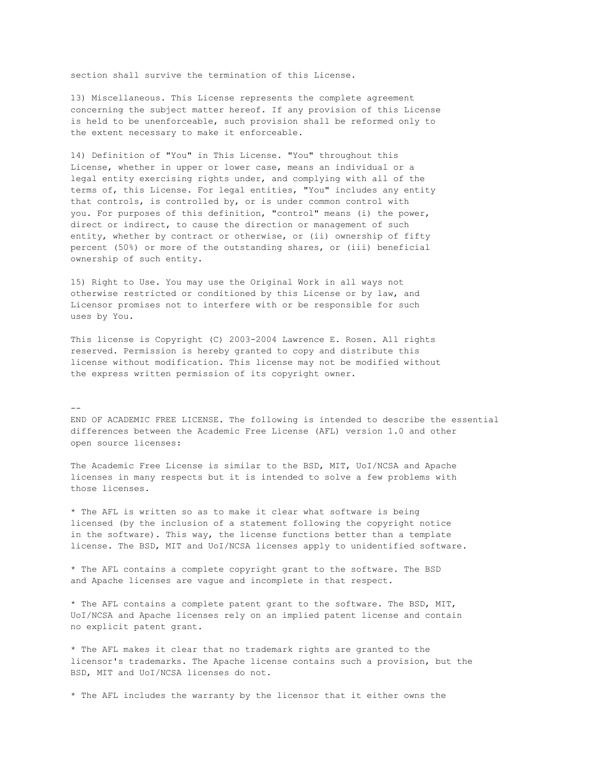section shall survive the termination of this License.

13) Miscellaneous. This License represents the complete agreement concerning the subject matter hereof. If any provision of this License is held to be unenforceable, such provision shall be reformed only to the extent necessary to make it enforceable.

14) Definition of "You" in This License. "You" throughout this License, whether in upper or lower case, means an individual or a legal entity exercising rights under, and complying with all of the terms of, this License. For legal entities, "You" includes any entity that controls, is controlled by, or is under common control with you. For purposes of this definition, "control" means (i) the power, direct or indirect, to cause the direction or management of such entity, whether by contract or otherwise, or (ii) ownership of fifty percent (50%) or more of the outstanding shares, or (iii) beneficial ownership of such entity.

15) Right to Use. You may use the Original Work in all ways not otherwise restricted or conditioned by this License or by law, and Licensor promises not to interfere with or be responsible for such uses by You.

This license is Copyright (C) 2003-2004 Lawrence E. Rosen. All rights reserved. Permission is hereby granted to copy and distribute this license without modification. This license may not be modified without the express written permission of its copyright owner.

#### $-$

END OF ACADEMIC FREE LICENSE. The following is intended to describe the essential differences between the Academic Free License (AFL) version 1.0 and other open source licenses:

The Academic Free License is similar to the BSD, MIT, UoI/NCSA and Apache licenses in many respects but it is intended to solve a few problems with those licenses.

\* The AFL is written so as to make it clear what software is being licensed (by the inclusion of a statement following the copyright notice in the software). This way, the license functions better than a template license. The BSD, MIT and UoI/NCSA licenses apply to unidentified software.

\* The AFL contains a complete copyright grant to the software. The BSD and Apache licenses are vague and incomplete in that respect.

\* The AFL contains a complete patent grant to the software. The BSD, MIT, UoI/NCSA and Apache licenses rely on an implied patent license and contain no explicit patent grant.

\* The AFL makes it clear that no trademark rights are granted to the licensor's trademarks. The Apache license contains such a provision, but the BSD, MIT and UoI/NCSA licenses do not.

\* The AFL includes the warranty by the licensor that it either owns the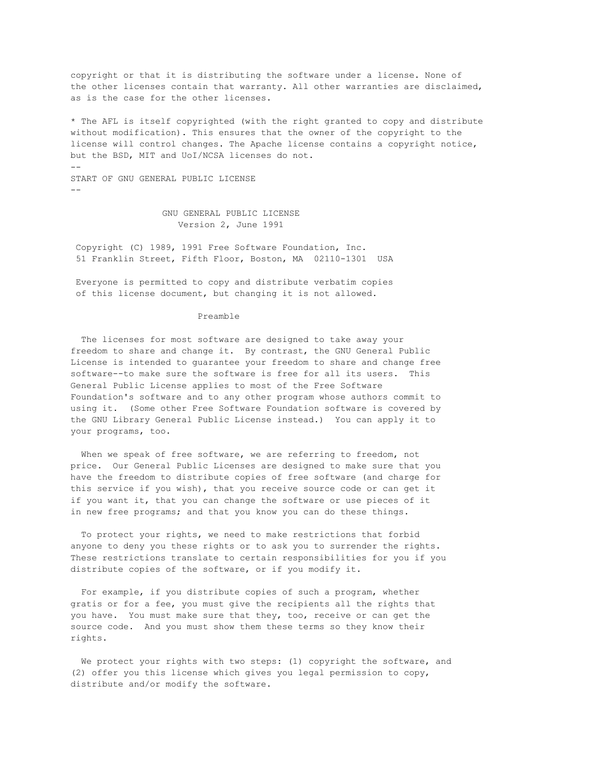copyright or that it is distributing the software under a license. None of the other licenses contain that warranty. All other warranties are disclaimed, as is the case for the other licenses.

\* The AFL is itself copyrighted (with the right granted to copy and distribute without modification). This ensures that the owner of the copyright to the license will control changes. The Apache license contains a copyright notice, but the BSD, MIT and UoI/NCSA licenses do not. -- START OF GNU GENERAL PUBLIC LICENSE --

> GNU GENERAL PUBLIC LICENSE Version 2, June 1991

Copyright (C) 1989, 1991 Free Software Foundation, Inc. 51 Franklin Street, Fifth Floor, Boston, MA 02110-1301 USA

Everyone is permitted to copy and distribute verbatim copies of this license document, but changing it is not allowed.

#### Preamble

The licenses for most software are designed to take away your freedom to share and change it. By contrast, the GNU General Public License is intended to guarantee your freedom to share and change free software--to make sure the software is free for all its users. This General Public License applies to most of the Free Software Foundation's software and to any other program whose authors commit to using it. (Some other Free Software Foundation software is covered by the GNU Library General Public License instead.) You can apply it to your programs, too.

When we speak of free software, we are referring to freedom, not price. Our General Public Licenses are designed to make sure that you have the freedom to distribute copies of free software (and charge for this service if you wish), that you receive source code or can get it if you want it, that you can change the software or use pieces of it in new free programs; and that you know you can do these things.

To protect your rights, we need to make restrictions that forbid anyone to deny you these rights or to ask you to surrender the rights. These restrictions translate to certain responsibilities for you if you distribute copies of the software, or if you modify it.

For example, if you distribute copies of such a program, whether gratis or for a fee, you must give the recipients all the rights that you have. You must make sure that they, too, receive or can get the source code. And you must show them these terms so they know their rights.

We protect your rights with two steps: (1) copyright the software, and (2) offer you this license which gives you legal permission to copy, distribute and/or modify the software.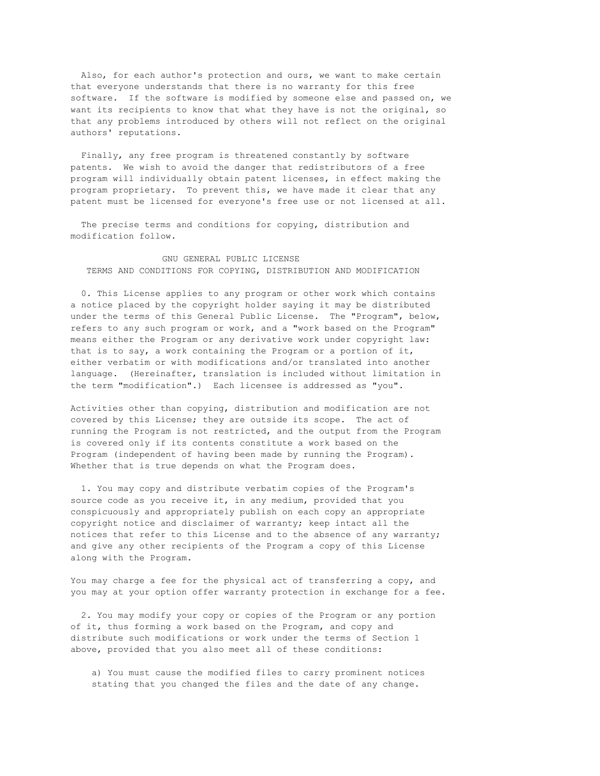Also, for each author's protection and ours, we want to make certain that everyone understands that there is no warranty for this free software. If the software is modified by someone else and passed on, we want its recipients to know that what they have is not the original, so that any problems introduced by others will not reflect on the original authors' reputations.

Finally, any free program is threatened constantly by software patents. We wish to avoid the danger that redistributors of a free program will individually obtain patent licenses, in effect making the program proprietary. To prevent this, we have made it clear that any patent must be licensed for everyone's free use or not licensed at all.

The precise terms and conditions for copying, distribution and modification follow.

# GNU GENERAL PUBLIC LICENSE TERMS AND CONDITIONS FOR COPYING, DISTRIBUTION AND MODIFICATION

0. This License applies to any program or other work which contains a notice placed by the copyright holder saying it may be distributed under the terms of this General Public License. The "Program", below, refers to any such program or work, and a "work based on the Program" means either the Program or any derivative work under copyright law: that is to say, a work containing the Program or a portion of it, either verbatim or with modifications and/or translated into another language. (Hereinafter, translation is included without limitation in the term "modification".) Each licensee is addressed as "you".

Activities other than copying, distribution and modification are not covered by this License; they are outside its scope. The act of running the Program is not restricted, and the output from the Program is covered only if its contents constitute a work based on the Program (independent of having been made by running the Program). Whether that is true depends on what the Program does.

1. You may copy and distribute verbatim copies of the Program's source code as you receive it, in any medium, provided that you conspicuously and appropriately publish on each copy an appropriate copyright notice and disclaimer of warranty; keep intact all the notices that refer to this License and to the absence of any warranty; and give any other recipients of the Program a copy of this License along with the Program.

You may charge a fee for the physical act of transferring a copy, and you may at your option offer warranty protection in exchange for a fee.

2. You may modify your copy or copies of the Program or any portion of it, thus forming a work based on the Program, and copy and distribute such modifications or work under the terms of Section 1 above, provided that you also meet all of these conditions:

a) You must cause the modified files to carry prominent notices stating that you changed the files and the date of any change.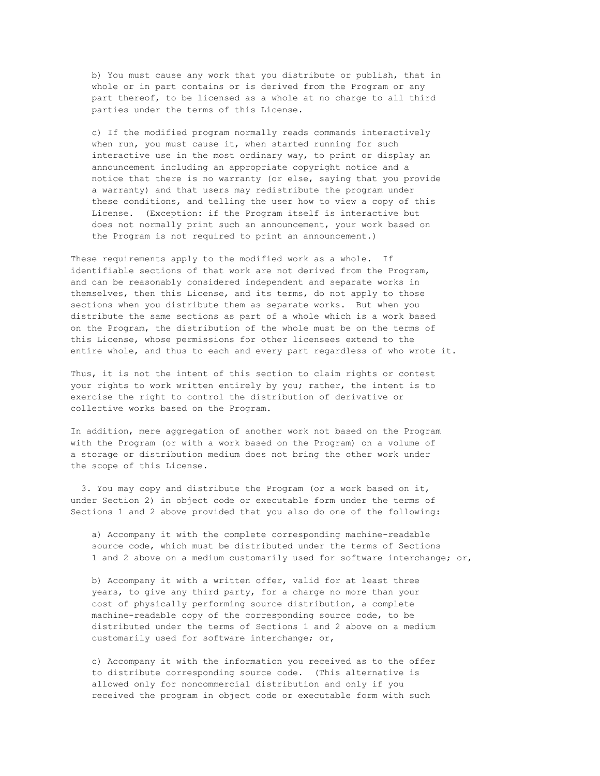b) You must cause any work that you distribute or publish, that in whole or in part contains or is derived from the Program or any part thereof, to be licensed as a whole at no charge to all third parties under the terms of this License.

c) If the modified program normally reads commands interactively when run, you must cause it, when started running for such interactive use in the most ordinary way, to print or display an announcement including an appropriate copyright notice and a notice that there is no warranty (or else, saying that you provide a warranty) and that users may redistribute the program under these conditions, and telling the user how to view a copy of this License. (Exception: if the Program itself is interactive but does not normally print such an announcement, your work based on the Program is not required to print an announcement.)

These requirements apply to the modified work as a whole. If identifiable sections of that work are not derived from the Program, and can be reasonably considered independent and separate works in themselves, then this License, and its terms, do not apply to those sections when you distribute them as separate works. But when you distribute the same sections as part of a whole which is a work based on the Program, the distribution of the whole must be on the terms of this License, whose permissions for other licensees extend to the entire whole, and thus to each and every part regardless of who wrote it.

Thus, it is not the intent of this section to claim rights or contest your rights to work written entirely by you; rather, the intent is to exercise the right to control the distribution of derivative or collective works based on the Program.

In addition, mere aggregation of another work not based on the Program with the Program (or with a work based on the Program) on a volume of a storage or distribution medium does not bring the other work under the scope of this License.

3. You may copy and distribute the Program (or a work based on it, under Section 2) in object code or executable form under the terms of Sections 1 and 2 above provided that you also do one of the following:

a) Accompany it with the complete corresponding machine-readable source code, which must be distributed under the terms of Sections 1 and 2 above on a medium customarily used for software interchange; or,

b) Accompany it with a written offer, valid for at least three years, to give any third party, for a charge no more than your cost of physically performing source distribution, a complete machine-readable copy of the corresponding source code, to be distributed under the terms of Sections 1 and 2 above on a medium customarily used for software interchange; or,

c) Accompany it with the information you received as to the offer to distribute corresponding source code. (This alternative is allowed only for noncommercial distribution and only if you received the program in object code or executable form with such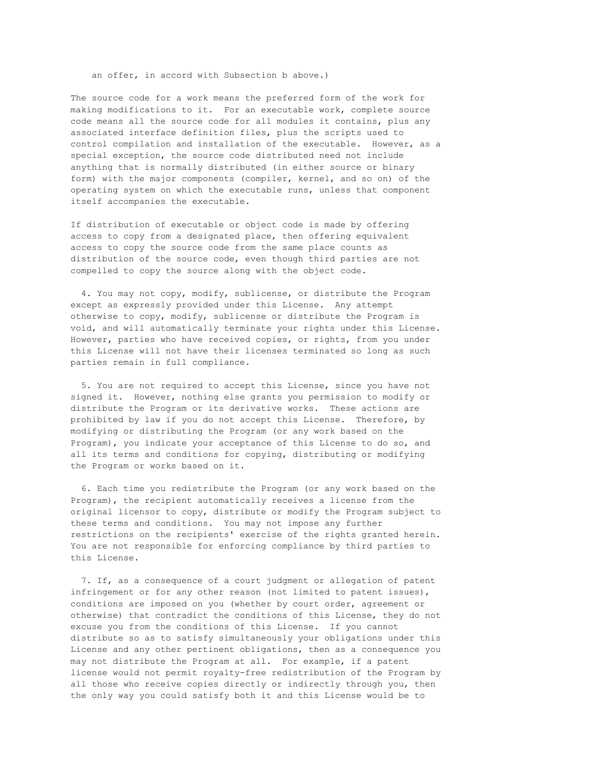an offer, in accord with Subsection b above.)

The source code for a work means the preferred form of the work for making modifications to it. For an executable work, complete source code means all the source code for all modules it contains, plus any associated interface definition files, plus the scripts used to control compilation and installation of the executable. However, as a special exception, the source code distributed need not include anything that is normally distributed (in either source or binary form) with the major components (compiler, kernel, and so on) of the operating system on which the executable runs, unless that component itself accompanies the executable.

If distribution of executable or object code is made by offering access to copy from a designated place, then offering equivalent access to copy the source code from the same place counts as distribution of the source code, even though third parties are not compelled to copy the source along with the object code.

4. You may not copy, modify, sublicense, or distribute the Program except as expressly provided under this License. Any attempt otherwise to copy, modify, sublicense or distribute the Program is void, and will automatically terminate your rights under this License. However, parties who have received copies, or rights, from you under this License will not have their licenses terminated so long as such parties remain in full compliance.

5. You are not required to accept this License, since you have not signed it. However, nothing else grants you permission to modify or distribute the Program or its derivative works. These actions are prohibited by law if you do not accept this License. Therefore, by modifying or distributing the Program (or any work based on the Program), you indicate your acceptance of this License to do so, and all its terms and conditions for copying, distributing or modifying the Program or works based on it.

6. Each time you redistribute the Program (or any work based on the Program), the recipient automatically receives a license from the original licensor to copy, distribute or modify the Program subject to these terms and conditions. You may not impose any further restrictions on the recipients' exercise of the rights granted herein. You are not responsible for enforcing compliance by third parties to this License.

7. If, as a consequence of a court judgment or allegation of patent infringement or for any other reason (not limited to patent issues), conditions are imposed on you (whether by court order, agreement or otherwise) that contradict the conditions of this License, they do not excuse you from the conditions of this License. If you cannot distribute so as to satisfy simultaneously your obligations under this License and any other pertinent obligations, then as a consequence you may not distribute the Program at all. For example, if a patent license would not permit royalty-free redistribution of the Program by all those who receive copies directly or indirectly through you, then the only way you could satisfy both it and this License would be to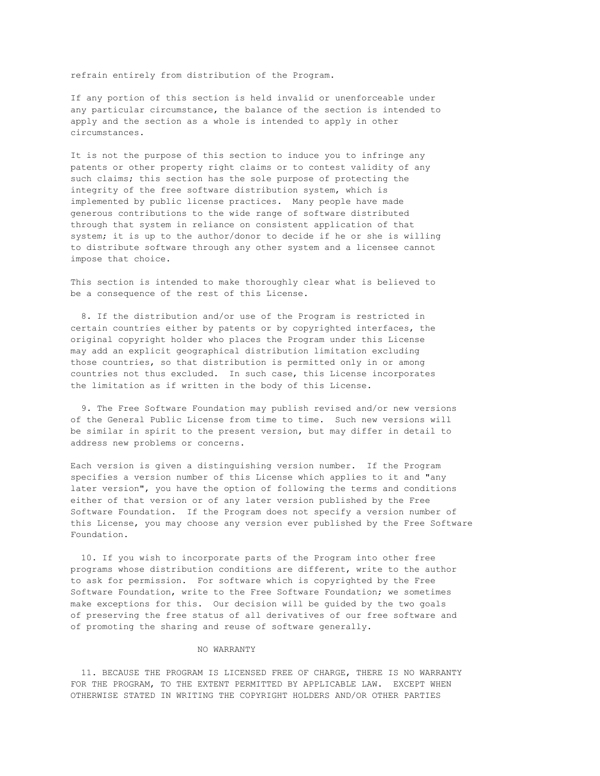refrain entirely from distribution of the Program.

If any portion of this section is held invalid or unenforceable under any particular circumstance, the balance of the section is intended to apply and the section as a whole is intended to apply in other circumstances.

It is not the purpose of this section to induce you to infringe any patents or other property right claims or to contest validity of any such claims; this section has the sole purpose of protecting the integrity of the free software distribution system, which is implemented by public license practices. Many people have made generous contributions to the wide range of software distributed through that system in reliance on consistent application of that system; it is up to the author/donor to decide if he or she is willing to distribute software through any other system and a licensee cannot impose that choice.

This section is intended to make thoroughly clear what is believed to be a consequence of the rest of this License.

8. If the distribution and/or use of the Program is restricted in certain countries either by patents or by copyrighted interfaces, the original copyright holder who places the Program under this License may add an explicit geographical distribution limitation excluding those countries, so that distribution is permitted only in or among countries not thus excluded. In such case, this License incorporates the limitation as if written in the body of this License.

9. The Free Software Foundation may publish revised and/or new versions of the General Public License from time to time. Such new versions will be similar in spirit to the present version, but may differ in detail to address new problems or concerns.

Each version is given a distinguishing version number. If the Program specifies a version number of this License which applies to it and "any later version", you have the option of following the terms and conditions either of that version or of any later version published by the Free Software Foundation. If the Program does not specify a version number of this License, you may choose any version ever published by the Free Software Foundation.

10. If you wish to incorporate parts of the Program into other free programs whose distribution conditions are different, write to the author to ask for permission. For software which is copyrighted by the Free Software Foundation, write to the Free Software Foundation; we sometimes make exceptions for this. Our decision will be guided by the two goals of preserving the free status of all derivatives of our free software and of promoting the sharing and reuse of software generally.

#### NO WARRANTY

11. BECAUSE THE PROGRAM IS LICENSED FREE OF CHARGE, THERE IS NO WARRANTY FOR THE PROGRAM, TO THE EXTENT PERMITTED BY APPLICABLE LAW. EXCEPT WHEN OTHERWISE STATED IN WRITING THE COPYRIGHT HOLDERS AND/OR OTHER PARTIES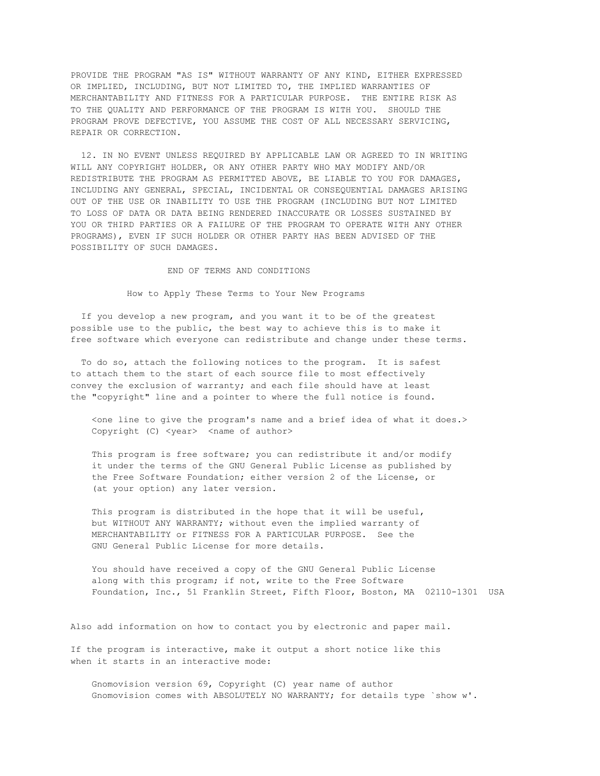PROVIDE THE PROGRAM "AS IS" WITHOUT WARRANTY OF ANY KIND, EITHER EXPRESSED OR IMPLIED, INCLUDING, BUT NOT LIMITED TO, THE IMPLIED WARRANTIES OF MERCHANTABILITY AND FITNESS FOR A PARTICULAR PURPOSE. THE ENTIRE RISK AS TO THE QUALITY AND PERFORMANCE OF THE PROGRAM IS WITH YOU. SHOULD THE PROGRAM PROVE DEFECTIVE, YOU ASSUME THE COST OF ALL NECESSARY SERVICING, REPAIR OR CORRECTION.

12. IN NO EVENT UNLESS REQUIRED BY APPLICABLE LAW OR AGREED TO IN WRITING WILL ANY COPYRIGHT HOLDER, OR ANY OTHER PARTY WHO MAY MODIFY AND/OR REDISTRIBUTE THE PROGRAM AS PERMITTED ABOVE, BE LIABLE TO YOU FOR DAMAGES, INCLUDING ANY GENERAL, SPECIAL, INCIDENTAL OR CONSEQUENTIAL DAMAGES ARISING OUT OF THE USE OR INABILITY TO USE THE PROGRAM (INCLUDING BUT NOT LIMITED TO LOSS OF DATA OR DATA BEING RENDERED INACCURATE OR LOSSES SUSTAINED BY YOU OR THIRD PARTIES OR A FAILURE OF THE PROGRAM TO OPERATE WITH ANY OTHER PROGRAMS), EVEN IF SUCH HOLDER OR OTHER PARTY HAS BEEN ADVISED OF THE POSSIBILITY OF SUCH DAMAGES.

## END OF TERMS AND CONDITIONS

How to Apply These Terms to Your New Programs

If you develop a new program, and you want it to be of the greatest possible use to the public, the best way to achieve this is to make it free software which everyone can redistribute and change under these terms.

To do so, attach the following notices to the program. It is safest to attach them to the start of each source file to most effectively convey the exclusion of warranty; and each file should have at least the "copyright" line and a pointer to where the full notice is found.

<one line to give the program's name and a brief idea of what it does.> Copyright (C) <year> <name of author>

This program is free software; you can redistribute it and/or modify it under the terms of the GNU General Public License as published by the Free Software Foundation; either version 2 of the License, or (at your option) any later version.

This program is distributed in the hope that it will be useful, but WITHOUT ANY WARRANTY; without even the implied warranty of MERCHANTABILITY or FITNESS FOR A PARTICULAR PURPOSE. See the GNU General Public License for more details.

You should have received a copy of the GNU General Public License along with this program; if not, write to the Free Software Foundation, Inc., 51 Franklin Street, Fifth Floor, Boston, MA 02110-1301 USA

Also add information on how to contact you by electronic and paper mail.

If the program is interactive, make it output a short notice like this when it starts in an interactive mode:

Gnomovision version 69, Copyright (C) year name of author Gnomovision comes with ABSOLUTELY NO WARRANTY; for details type `show w'.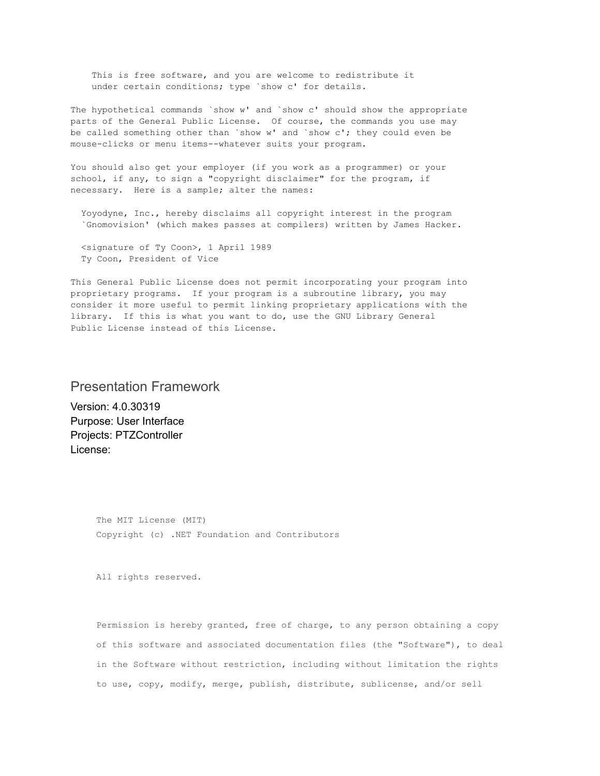This is free software, and you are welcome to redistribute it under certain conditions; type `show c' for details.

The hypothetical commands `show w' and `show c' should show the appropriate parts of the General Public License. Of course, the commands you use may be called something other than `show w' and `show c'; they could even be mouse-clicks or menu items--whatever suits your program.

You should also get your employer (if you work as a programmer) or your school, if any, to sign a "copyright disclaimer" for the program, if necessary. Here is a sample; alter the names:

Yoyodyne, Inc., hereby disclaims all copyright interest in the program `Gnomovision' (which makes passes at compilers) written by James Hacker.

<signature of Ty Coon>, 1 April 1989 Ty Coon, President of Vice

This General Public License does not permit incorporating your program into proprietary programs. If your program is a subroutine library, you may consider it more useful to permit linking proprietary applications with the library. If this is what you want to do, use the GNU Library General Public License instead of this License.

# Presentation Framework

Version: 4.0.30319 Purpose: User Interface Projects: PTZController License:

> The MIT License (MIT) Copyright (c) .NET Foundation and Contributors

All rights reserved.

Permission is hereby granted, free of charge, to any person obtaining a copy of this software and associated documentation files (the "Software"), to deal in the Software without restriction, including without limitation the rights to use, copy, modify, merge, publish, distribute, sublicense, and/or sell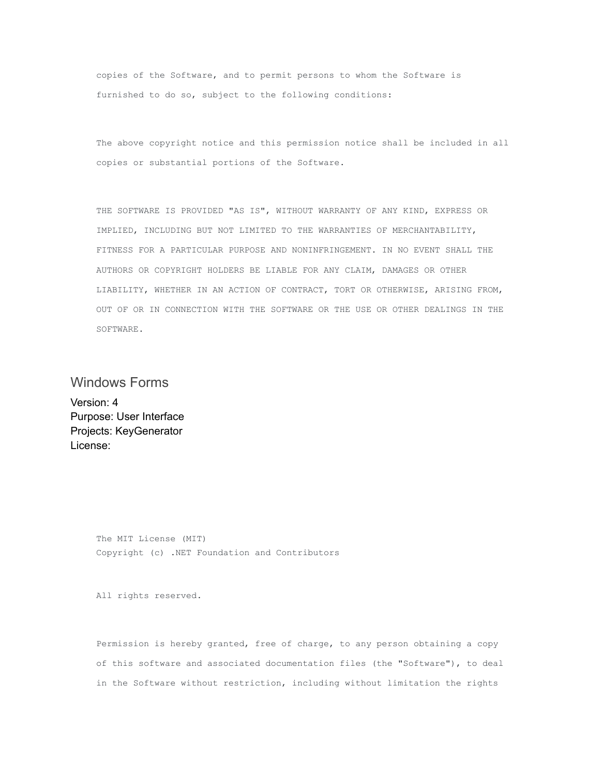copies of the Software, and to permit persons to whom the Software is furnished to do so, subject to the following conditions:

The above copyright notice and this permission notice shall be included in all copies or substantial portions of the Software.

THE SOFTWARE IS PROVIDED "AS IS", WITHOUT WARRANTY OF ANY KIND, EXPRESS OR IMPLIED, INCLUDING BUT NOT LIMITED TO THE WARRANTIES OF MERCHANTABILITY, FITNESS FOR A PARTICULAR PURPOSE AND NONINFRINGEMENT. IN NO EVENT SHALL THE AUTHORS OR COPYRIGHT HOLDERS BE LIABLE FOR ANY CLAIM, DAMAGES OR OTHER LIABILITY, WHETHER IN AN ACTION OF CONTRACT, TORT OR OTHERWISE, ARISING FROM, OUT OF OR IN CONNECTION WITH THE SOFTWARE OR THE USE OR OTHER DEALINGS IN THE SOFTWARE.

# Windows Forms

Version: 4 Purpose: User Interface Projects: KeyGenerator License:

> The MIT License (MIT) Copyright (c) .NET Foundation and Contributors

All rights reserved.

Permission is hereby granted, free of charge, to any person obtaining a copy of this software and associated documentation files (the "Software"), to deal in the Software without restriction, including without limitation the rights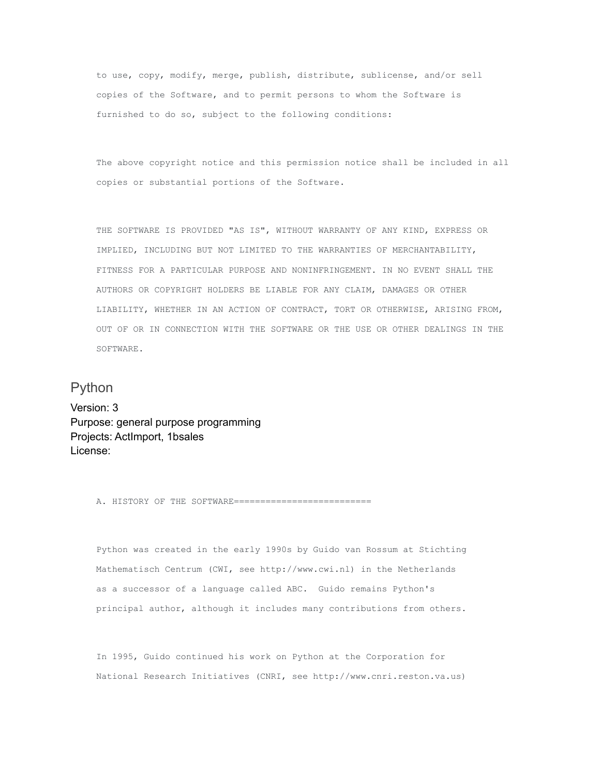to use, copy, modify, merge, publish, distribute, sublicense, and/or sell copies of the Software, and to permit persons to whom the Software is furnished to do so, subject to the following conditions:

The above copyright notice and this permission notice shall be included in all copies or substantial portions of the Software.

THE SOFTWARE IS PROVIDED "AS IS", WITHOUT WARRANTY OF ANY KIND, EXPRESS OR IMPLIED, INCLUDING BUT NOT LIMITED TO THE WARRANTIES OF MERCHANTABILITY, FITNESS FOR A PARTICULAR PURPOSE AND NONINFRINGEMENT. IN NO EVENT SHALL THE AUTHORS OR COPYRIGHT HOLDERS BE LIABLE FOR ANY CLAIM, DAMAGES OR OTHER LIABILITY, WHETHER IN AN ACTION OF CONTRACT, TORT OR OTHERWISE, ARISING FROM, OUT OF OR IN CONNECTION WITH THE SOFTWARE OR THE USE OR OTHER DEALINGS IN THE SOFTWARE.

# Python

Version: 3 Purpose: general purpose programming Projects: ActImport, 1bsales License:

A. HISTORY OF THE SOFTWARE==========================

Python was created in the early 1990s by Guido van Rossum at Stichting Mathematisch Centrum (CWI, see http://www.cwi.nl) in the Netherlands as a successor of a language called ABC. Guido remains Python's principal author, although it includes many contributions from others.

In 1995, Guido continued his work on Python at the Corporation for National Research Initiatives (CNRI, see http://www.cnri.reston.va.us)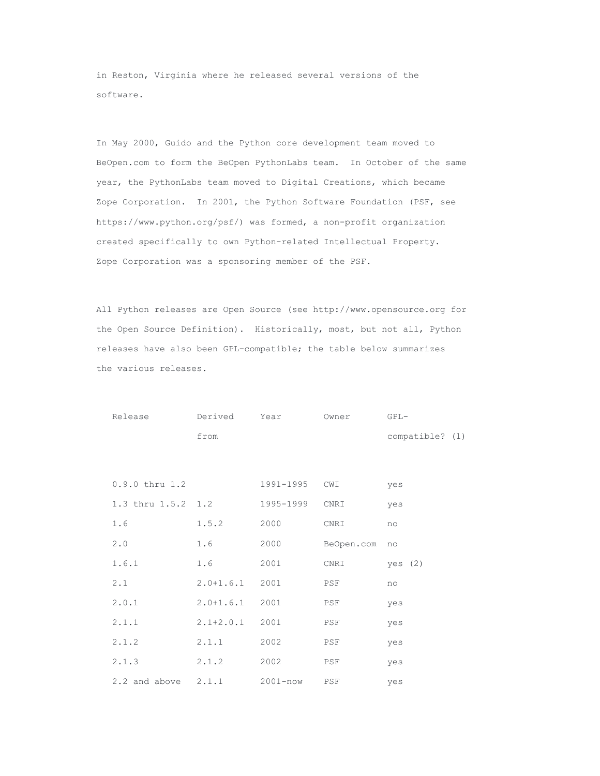in Reston, Virginia where he released several versions of the software.

In May 2000, Guido and the Python core development team moved to BeOpen.com to form the BeOpen PythonLabs team. In October of the same year, the PythonLabs team moved to Digital Creations, which became Zope Corporation. In 2001, the Python Software Foundation (PSF, see https://www.python.org/psf/) was formed, a non-profit organization created specifically to own Python-related Intellectual Property. Zope Corporation was a sponsoring member of the PSF.

All Python releases are Open Source (see http://www.opensource.org for the Open Source Definition). Historically, most, but not all, Python releases have also been GPL-compatible; the table below summarizes the various releases.

| Release            | Derived       | Year         | Owner      | $GPL-$          |
|--------------------|---------------|--------------|------------|-----------------|
|                    | from          |              |            | compatible? (1) |
|                    |               |              |            |                 |
|                    |               |              |            |                 |
| $0.9.0$ thru $1.2$ |               | 1991-1995    | CWI        | yes             |
| 1.3 thru 1.5.2 1.2 |               | 1995-1999    | CNRI       | yes             |
| 1.6                | 1.5.2         | 2000         | CNRI       | no              |
| 2.0                | 1.6           | 2000         | BeOpen.com | no              |
| 1.6.1              | 1.6           | 2001         | CNRI       | yes $(2)$       |
| 2.1                | $2.0 + 1.6.1$ | 2001         | PSF        | no              |
| 2.0.1              | $2.0 + 1.6.1$ | 2001         | PSF        | yes             |
| 2.1.1              | $2.1 + 2.0.1$ | 2001         | PSF        | yes             |
| 2.1.2              | 2.1.1         | 2002         | PSF        | yes             |
| 2.1.3              | 2.1.2         | 2002         | PSF        | yes             |
| 2.2 and above      | 2.1.1         | $2001 - now$ | PSF        | yes             |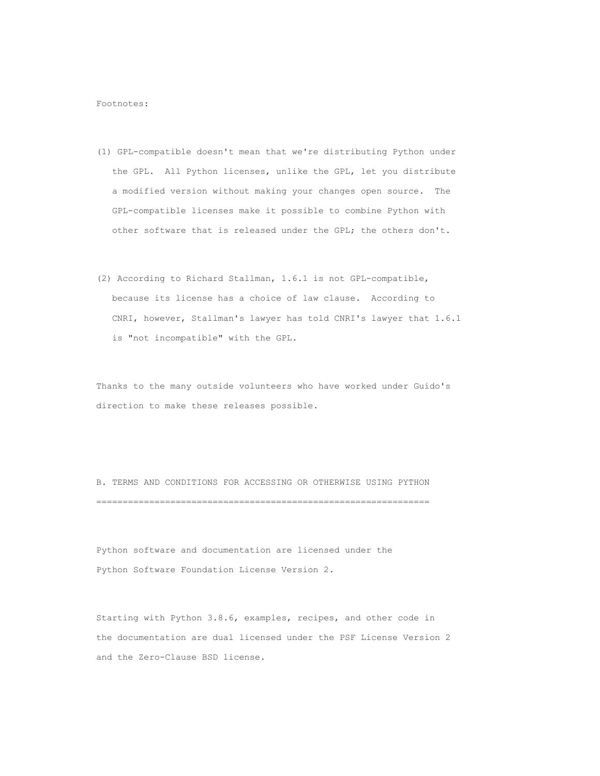Footnotes:

- (1) GPL-compatible doesn't mean that we're distributing Python under the GPL. All Python licenses, unlike the GPL, let you distribute a modified version without making your changes open source. The GPL-compatible licenses make it possible to combine Python with other software that is released under the GPL; the others don't.
- (2) According to Richard Stallman, 1.6.1 is not GPL-compatible, because its license has a choice of law clause. According to CNRI, however, Stallman's lawyer has told CNRI's lawyer that 1.6.1 is "not incompatible" with the GPL.

Thanks to the many outside volunteers who have worked under Guido's direction to make these releases possible.

B. TERMS AND CONDITIONS FOR ACCESSING OR OTHERWISE USING PYTHON ===============================================================

Python software and documentation are licensed under the Python Software Foundation License Version 2.

Starting with Python 3.8.6, examples, recipes, and other code in the documentation are dual licensed under the PSF License Version 2 and the Zero-Clause BSD license.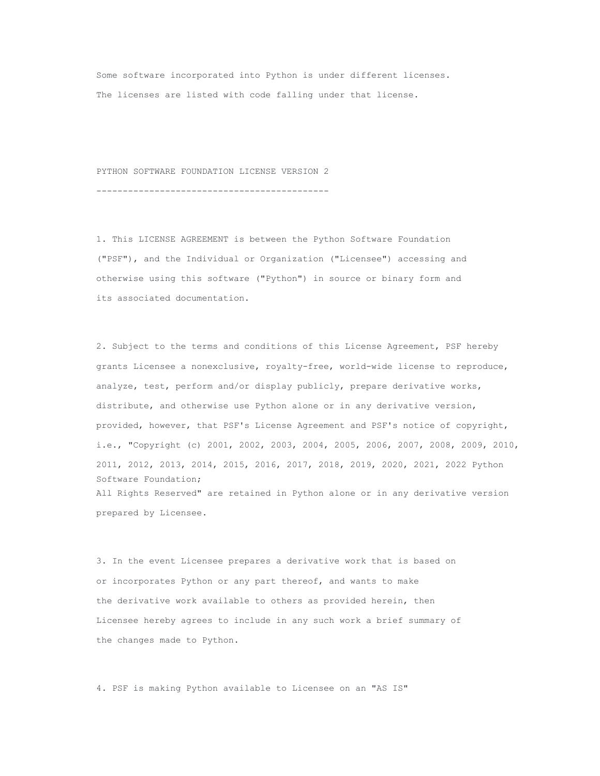Some software incorporated into Python is under different licenses. The licenses are listed with code falling under that license.

PYTHON SOFTWARE FOUNDATION LICENSE VERSION 2

--------------------------------------------

1. This LICENSE AGREEMENT is between the Python Software Foundation ("PSF"), and the Individual or Organization ("Licensee") accessing and otherwise using this software ("Python") in source or binary form and its associated documentation.

2. Subject to the terms and conditions of this License Agreement, PSF hereby grants Licensee a nonexclusive, royalty-free, world-wide license to reproduce, analyze, test, perform and/or display publicly, prepare derivative works, distribute, and otherwise use Python alone or in any derivative version, provided, however, that PSF's License Agreement and PSF's notice of copyright, i.e., "Copyright (c) 2001, 2002, 2003, 2004, 2005, 2006, 2007, 2008, 2009, 2010, 2011, 2012, 2013, 2014, 2015, 2016, 2017, 2018, 2019, 2020, 2021, 2022 Python Software Foundation; All Rights Reserved" are retained in Python alone or in any derivative version prepared by Licensee.

3. In the event Licensee prepares a derivative work that is based on or incorporates Python or any part thereof, and wants to make the derivative work available to others as provided herein, then Licensee hereby agrees to include in any such work a brief summary of the changes made to Python.

4. PSF is making Python available to Licensee on an "AS IS"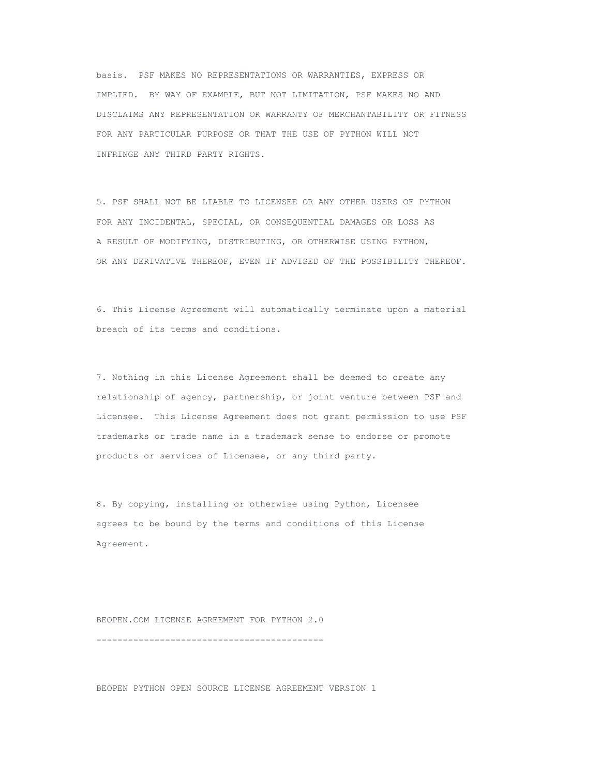basis. PSF MAKES NO REPRESENTATIONS OR WARRANTIES, EXPRESS OR IMPLIED. BY WAY OF EXAMPLE, BUT NOT LIMITATION, PSF MAKES NO AND DISCLAIMS ANY REPRESENTATION OR WARRANTY OF MERCHANTABILITY OR FITNESS FOR ANY PARTICULAR PURPOSE OR THAT THE USE OF PYTHON WILL NOT INFRINGE ANY THIRD PARTY RIGHTS.

5. PSF SHALL NOT BE LIABLE TO LICENSEE OR ANY OTHER USERS OF PYTHON FOR ANY INCIDENTAL, SPECIAL, OR CONSEQUENTIAL DAMAGES OR LOSS AS A RESULT OF MODIFYING, DISTRIBUTING, OR OTHERWISE USING PYTHON, OR ANY DERIVATIVE THEREOF, EVEN IF ADVISED OF THE POSSIBILITY THEREOF.

6. This License Agreement will automatically terminate upon a material breach of its terms and conditions.

7. Nothing in this License Agreement shall be deemed to create any relationship of agency, partnership, or joint venture between PSF and Licensee. This License Agreement does not grant permission to use PSF trademarks or trade name in a trademark sense to endorse or promote products or services of Licensee, or any third party.

8. By copying, installing or otherwise using Python, Licensee agrees to be bound by the terms and conditions of this License Agreement.

BEOPEN.COM LICENSE AGREEMENT FOR PYTHON 2.0 -------------------------------------------

BEOPEN PYTHON OPEN SOURCE LICENSE AGREEMENT VERSION 1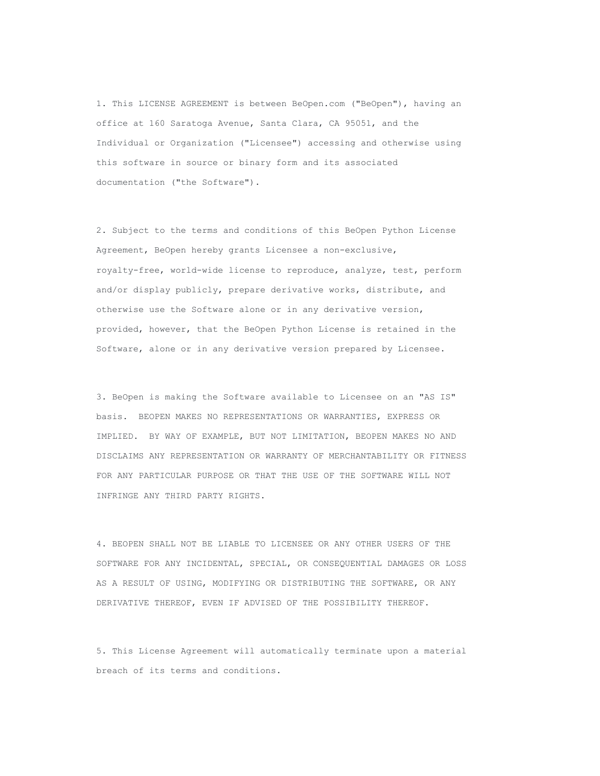1. This LICENSE AGREEMENT is between BeOpen.com ("BeOpen"), having an office at 160 Saratoga Avenue, Santa Clara, CA 95051, and the Individual or Organization ("Licensee") accessing and otherwise using this software in source or binary form and its associated documentation ("the Software").

2. Subject to the terms and conditions of this BeOpen Python License Agreement, BeOpen hereby grants Licensee a non-exclusive, royalty-free, world-wide license to reproduce, analyze, test, perform and/or display publicly, prepare derivative works, distribute, and otherwise use the Software alone or in any derivative version, provided, however, that the BeOpen Python License is retained in the Software, alone or in any derivative version prepared by Licensee.

3. BeOpen is making the Software available to Licensee on an "AS IS" basis. BEOPEN MAKES NO REPRESENTATIONS OR WARRANTIES, EXPRESS OR IMPLIED. BY WAY OF EXAMPLE, BUT NOT LIMITATION, BEOPEN MAKES NO AND DISCLAIMS ANY REPRESENTATION OR WARRANTY OF MERCHANTABILITY OR FITNESS FOR ANY PARTICULAR PURPOSE OR THAT THE USE OF THE SOFTWARE WILL NOT INFRINGE ANY THIRD PARTY RIGHTS.

4. BEOPEN SHALL NOT BE LIABLE TO LICENSEE OR ANY OTHER USERS OF THE SOFTWARE FOR ANY INCIDENTAL, SPECIAL, OR CONSEQUENTIAL DAMAGES OR LOSS AS A RESULT OF USING, MODIFYING OR DISTRIBUTING THE SOFTWARE, OR ANY DERIVATIVE THEREOF, EVEN IF ADVISED OF THE POSSIBILITY THEREOF.

5. This License Agreement will automatically terminate upon a material breach of its terms and conditions.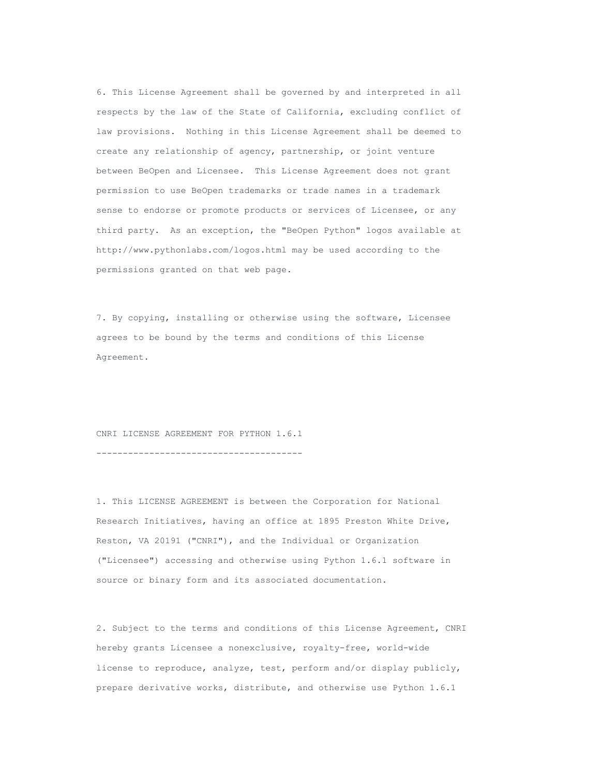6. This License Agreement shall be governed by and interpreted in all respects by the law of the State of California, excluding conflict of law provisions. Nothing in this License Agreement shall be deemed to create any relationship of agency, partnership, or joint venture between BeOpen and Licensee. This License Agreement does not grant permission to use BeOpen trademarks or trade names in a trademark sense to endorse or promote products or services of Licensee, or any third party. As an exception, the "BeOpen Python" logos available at http://www.pythonlabs.com/logos.html may be used according to the permissions granted on that web page.

7. By copying, installing or otherwise using the software, Licensee agrees to be bound by the terms and conditions of this License Agreement.

CNRI LICENSE AGREEMENT FOR PYTHON 1.6.1

---------------------------------------

1. This LICENSE AGREEMENT is between the Corporation for National Research Initiatives, having an office at 1895 Preston White Drive, Reston, VA 20191 ("CNRI"), and the Individual or Organization ("Licensee") accessing and otherwise using Python 1.6.1 software in source or binary form and its associated documentation.

2. Subject to the terms and conditions of this License Agreement, CNRI hereby grants Licensee a nonexclusive, royalty-free, world-wide license to reproduce, analyze, test, perform and/or display publicly, prepare derivative works, distribute, and otherwise use Python 1.6.1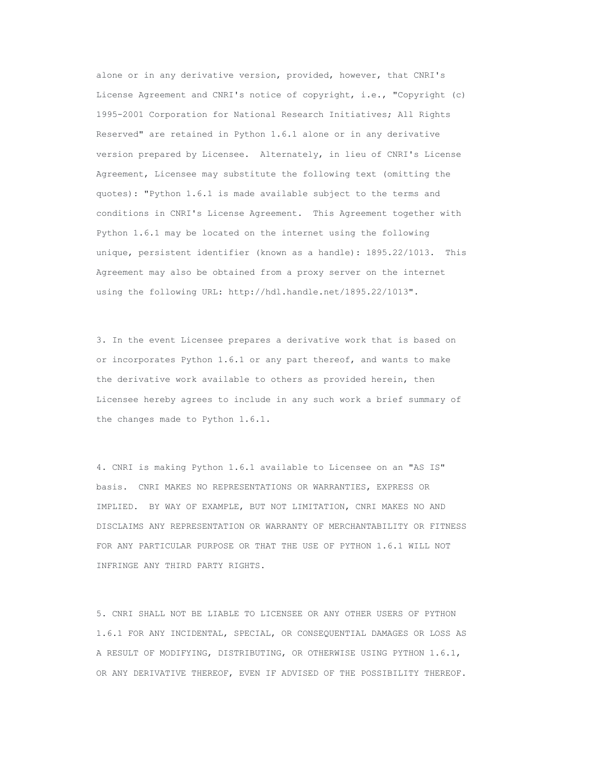alone or in any derivative version, provided, however, that CNRI's License Agreement and CNRI's notice of copyright, i.e., "Copyright (c) 1995-2001 Corporation for National Research Initiatives; All Rights Reserved" are retained in Python 1.6.1 alone or in any derivative version prepared by Licensee. Alternately, in lieu of CNRI's License Agreement, Licensee may substitute the following text (omitting the quotes): "Python 1.6.1 is made available subject to the terms and conditions in CNRI's License Agreement. This Agreement together with Python 1.6.1 may be located on the internet using the following unique, persistent identifier (known as a handle): 1895.22/1013. This Agreement may also be obtained from a proxy server on the internet using the following URL: http://hdl.handle.net/1895.22/1013".

3. In the event Licensee prepares a derivative work that is based on or incorporates Python 1.6.1 or any part thereof, and wants to make the derivative work available to others as provided herein, then Licensee hereby agrees to include in any such work a brief summary of the changes made to Python 1.6.1.

4. CNRI is making Python 1.6.1 available to Licensee on an "AS IS" basis. CNRI MAKES NO REPRESENTATIONS OR WARRANTIES, EXPRESS OR IMPLIED. BY WAY OF EXAMPLE, BUT NOT LIMITATION, CNRI MAKES NO AND DISCLAIMS ANY REPRESENTATION OR WARRANTY OF MERCHANTABILITY OR FITNESS FOR ANY PARTICULAR PURPOSE OR THAT THE USE OF PYTHON 1.6.1 WILL NOT INFRINGE ANY THIRD PARTY RIGHTS.

5. CNRI SHALL NOT BE LIABLE TO LICENSEE OR ANY OTHER USERS OF PYTHON 1.6.1 FOR ANY INCIDENTAL, SPECIAL, OR CONSEQUENTIAL DAMAGES OR LOSS AS A RESULT OF MODIFYING, DISTRIBUTING, OR OTHERWISE USING PYTHON 1.6.1, OR ANY DERIVATIVE THEREOF, EVEN IF ADVISED OF THE POSSIBILITY THEREOF.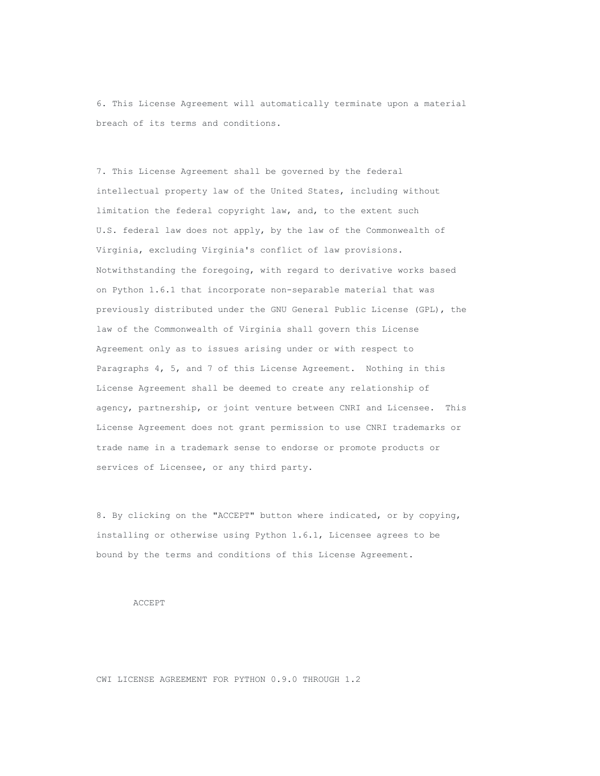6. This License Agreement will automatically terminate upon a material breach of its terms and conditions.

7. This License Agreement shall be governed by the federal intellectual property law of the United States, including without limitation the federal copyright law, and, to the extent such U.S. federal law does not apply, by the law of the Commonwealth of Virginia, excluding Virginia's conflict of law provisions. Notwithstanding the foregoing, with regard to derivative works based on Python 1.6.1 that incorporate non-separable material that was previously distributed under the GNU General Public License (GPL), the law of the Commonwealth of Virginia shall govern this License Agreement only as to issues arising under or with respect to Paragraphs 4, 5, and 7 of this License Agreement. Nothing in this License Agreement shall be deemed to create any relationship of agency, partnership, or joint venture between CNRI and Licensee. This License Agreement does not grant permission to use CNRI trademarks or trade name in a trademark sense to endorse or promote products or services of Licensee, or any third party.

8. By clicking on the "ACCEPT" button where indicated, or by copying, installing or otherwise using Python 1.6.1, Licensee agrees to be bound by the terms and conditions of this License Agreement.

#### ACCEPT

CWI LICENSE AGREEMENT FOR PYTHON 0.9.0 THROUGH 1.2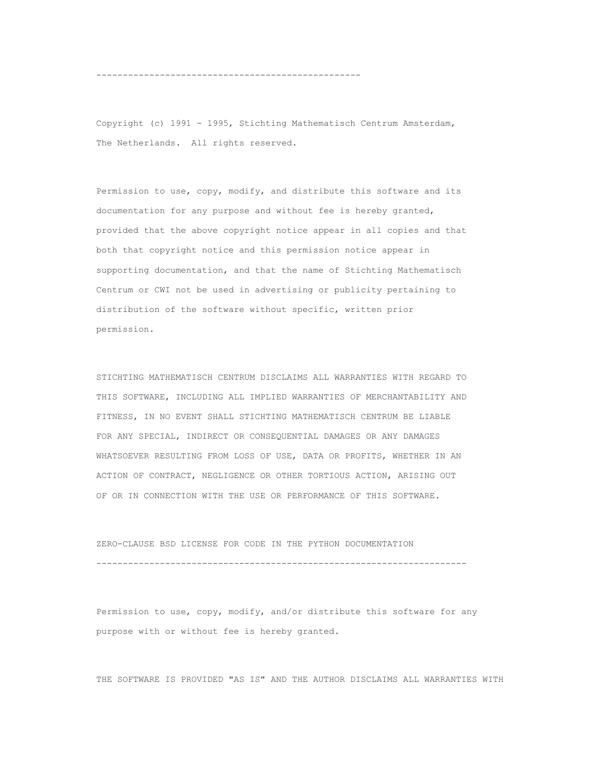--------------------------------------------------

Copyright (c) 1991 - 1995, Stichting Mathematisch Centrum Amsterdam, The Netherlands. All rights reserved.

Permission to use, copy, modify, and distribute this software and its documentation for any purpose and without fee is hereby granted, provided that the above copyright notice appear in all copies and that both that copyright notice and this permission notice appear in supporting documentation, and that the name of Stichting Mathematisch Centrum or CWI not be used in advertising or publicity pertaining to distribution of the software without specific, written prior permission.

STICHTING MATHEMATISCH CENTRUM DISCLAIMS ALL WARRANTIES WITH REGARD TO THIS SOFTWARE, INCLUDING ALL IMPLIED WARRANTIES OF MERCHANTABILITY AND FITNESS, IN NO EVENT SHALL STICHTING MATHEMATISCH CENTRUM BE LIABLE FOR ANY SPECIAL, INDIRECT OR CONSEQUENTIAL DAMAGES OR ANY DAMAGES WHATSOEVER RESULTING FROM LOSS OF USE, DATA OR PROFITS, WHETHER IN AN ACTION OF CONTRACT, NEGLIGENCE OR OTHER TORTIOUS ACTION, ARISING OUT OF OR IN CONNECTION WITH THE USE OR PERFORMANCE OF THIS SOFTWARE.

ZERO-CLAUSE BSD LICENSE FOR CODE IN THE PYTHON DOCUMENTATION ----------------------------------------------------------------------

Permission to use, copy, modify, and/or distribute this software for any purpose with or without fee is hereby granted.

THE SOFTWARE IS PROVIDED "AS IS" AND THE AUTHOR DISCLAIMS ALL WARRANTIES WITH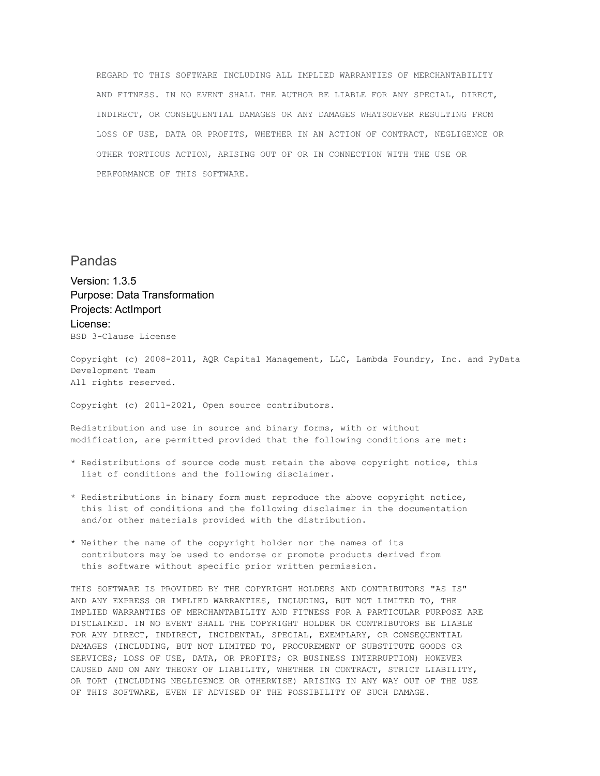REGARD TO THIS SOFTWARE INCLUDING ALL IMPLIED WARRANTIES OF MERCHANTABILITY AND FITNESS. IN NO EVENT SHALL THE AUTHOR BE LIABLE FOR ANY SPECIAL, DIRECT, INDIRECT, OR CONSEQUENTIAL DAMAGES OR ANY DAMAGES WHATSOEVER RESULTING FROM LOSS OF USE, DATA OR PROFITS, WHETHER IN AN ACTION OF CONTRACT, NEGLIGENCE OR OTHER TORTIOUS ACTION, ARISING OUT OF OR IN CONNECTION WITH THE USE OR PERFORMANCE OF THIS SOFTWARE.

# Pandas

Version: 1.3.5 Purpose: Data Transformation Projects: ActImport License: BSD 3-Clause License

Copyright (c) 2008-2011, AQR Capital Management, LLC, Lambda Foundry, Inc. and PyData Development Team All rights reserved.

Copyright (c) 2011-2021, Open source contributors.

Redistribution and use in source and binary forms, with or without modification, are permitted provided that the following conditions are met:

- \* Redistributions of source code must retain the above copyright notice, this list of conditions and the following disclaimer.
- \* Redistributions in binary form must reproduce the above copyright notice, this list of conditions and the following disclaimer in the documentation and/or other materials provided with the distribution.
- \* Neither the name of the copyright holder nor the names of its contributors may be used to endorse or promote products derived from this software without specific prior written permission.

THIS SOFTWARE IS PROVIDED BY THE COPYRIGHT HOLDERS AND CONTRIBUTORS "AS IS" AND ANY EXPRESS OR IMPLIED WARRANTIES, INCLUDING, BUT NOT LIMITED TO, THE IMPLIED WARRANTIES OF MERCHANTABILITY AND FITNESS FOR A PARTICULAR PURPOSE ARE DISCLAIMED. IN NO EVENT SHALL THE COPYRIGHT HOLDER OR CONTRIBUTORS BE LIABLE FOR ANY DIRECT, INDIRECT, INCIDENTAL, SPECIAL, EXEMPLARY, OR CONSEQUENTIAL DAMAGES (INCLUDING, BUT NOT LIMITED TO, PROCUREMENT OF SUBSTITUTE GOODS OR SERVICES; LOSS OF USE, DATA, OR PROFITS; OR BUSINESS INTERRUPTION) HOWEVER CAUSED AND ON ANY THEORY OF LIABILITY, WHETHER IN CONTRACT, STRICT LIABILITY, OR TORT (INCLUDING NEGLIGENCE OR OTHERWISE) ARISING IN ANY WAY OUT OF THE USE OF THIS SOFTWARE, EVEN IF ADVISED OF THE POSSIBILITY OF SUCH DAMAGE.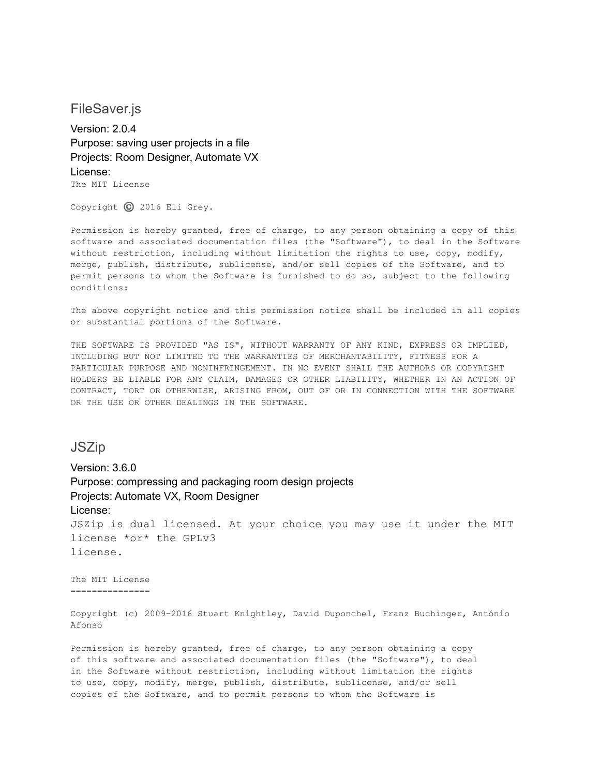FileSaver.js

Version: 2.0.4 Purpose: saving user projects in a file Projects: Room Designer, Automate VX License: The MIT License

Copyright ©️ 2016 Eli Grey.

Permission is hereby granted, free of charge, to any person obtaining a copy of this software and associated documentation files (the "Software"), to deal in the Software without restriction, including without limitation the rights to use, copy, modify, merge, publish, distribute, sublicense, and/or sell copies of the Software, and to permit persons to whom the Software is furnished to do so, subject to the following conditions:

The above copyright notice and this permission notice shall be included in all copies or substantial portions of the Software.

THE SOFTWARE IS PROVIDED "AS IS", WITHOUT WARRANTY OF ANY KIND, EXPRESS OR IMPLIED, INCLUDING BUT NOT LIMITED TO THE WARRANTIES OF MERCHANTABILITY, FITNESS FOR A PARTICULAR PURPOSE AND NONINFRINGEMENT. IN NO EVENT SHALL THE AUTHORS OR COPYRIGHT HOLDERS BE LIABLE FOR ANY CLAIM, DAMAGES OR OTHER LIABILITY, WHETHER IN AN ACTION OF CONTRACT, TORT OR OTHERWISE, ARISING FROM, OUT OF OR IN CONNECTION WITH THE SOFTWARE OR THE USE OR OTHER DEALINGS IN THE SOFTWARE.

**JSZip** 

Version: 3.6.0 Purpose: compressing and packaging room design projects Projects: Automate VX, Room Designer License: JSZip is dual licensed. At your choice you may use it under the MIT license \*or\* the GPLv3 license.

The MIT License ===============

Copyright (c) 2009-2016 Stuart Knightley, David Duponchel, Franz Buchinger, António Afonso

Permission is hereby granted, free of charge, to any person obtaining a copy of this software and associated documentation files (the "Software"), to deal in the Software without restriction, including without limitation the rights to use, copy, modify, merge, publish, distribute, sublicense, and/or sell copies of the Software, and to permit persons to whom the Software is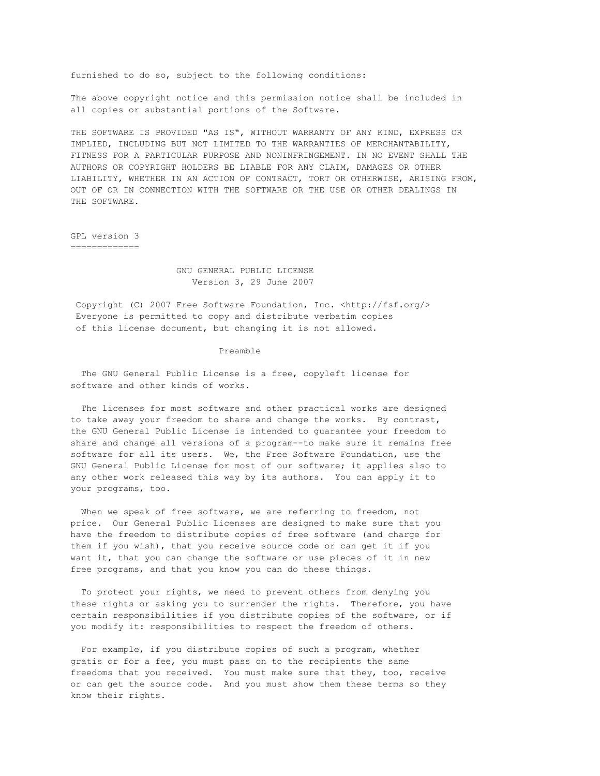furnished to do so, subject to the following conditions:

The above copyright notice and this permission notice shall be included in all copies or substantial portions of the Software.

THE SOFTWARE IS PROVIDED "AS IS", WITHOUT WARRANTY OF ANY KIND, EXPRESS OR IMPLIED, INCLUDING BUT NOT LIMITED TO THE WARRANTIES OF MERCHANTABILITY, FITNESS FOR A PARTICULAR PURPOSE AND NONINFRINGEMENT. IN NO EVENT SHALL THE AUTHORS OR COPYRIGHT HOLDERS BE LIABLE FOR ANY CLAIM, DAMAGES OR OTHER LIABILITY, WHETHER IN AN ACTION OF CONTRACT, TORT OR OTHERWISE, ARISING FROM, OUT OF OR IN CONNECTION WITH THE SOFTWARE OR THE USE OR OTHER DEALINGS IN THE SOFTWARE.

GPL version 3 =============

> GNU GENERAL PUBLIC LICENSE Version 3, 29 June 2007

Copyright (C) 2007 Free Software Foundation, Inc. <http://fsf.org/> Everyone is permitted to copy and distribute verbatim copies of this license document, but changing it is not allowed.

#### Preamble

The GNU General Public License is a free, copyleft license for software and other kinds of works.

The licenses for most software and other practical works are designed to take away your freedom to share and change the works. By contrast, the GNU General Public License is intended to guarantee your freedom to share and change all versions of a program--to make sure it remains free software for all its users. We, the Free Software Foundation, use the GNU General Public License for most of our software; it applies also to any other work released this way by its authors. You can apply it to your programs, too.

When we speak of free software, we are referring to freedom, not price. Our General Public Licenses are designed to make sure that you have the freedom to distribute copies of free software (and charge for them if you wish), that you receive source code or can get it if you want it, that you can change the software or use pieces of it in new free programs, and that you know you can do these things.

To protect your rights, we need to prevent others from denying you these rights or asking you to surrender the rights. Therefore, you have certain responsibilities if you distribute copies of the software, or if you modify it: responsibilities to respect the freedom of others.

For example, if you distribute copies of such a program, whether gratis or for a fee, you must pass on to the recipients the same freedoms that you received. You must make sure that they, too, receive or can get the source code. And you must show them these terms so they know their rights.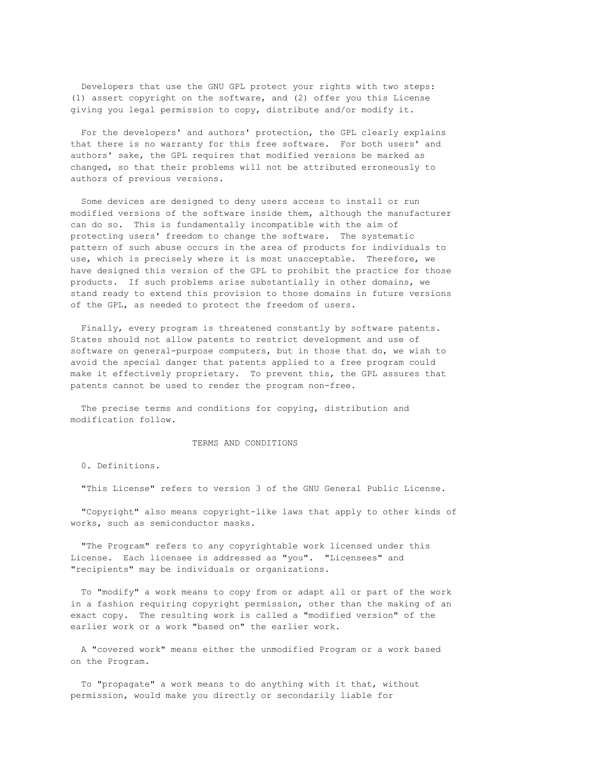Developers that use the GNU GPL protect your rights with two steps: (1) assert copyright on the software, and (2) offer you this License giving you legal permission to copy, distribute and/or modify it.

For the developers' and authors' protection, the GPL clearly explains that there is no warranty for this free software. For both users' and authors' sake, the GPL requires that modified versions be marked as changed, so that their problems will not be attributed erroneously to authors of previous versions.

Some devices are designed to deny users access to install or run modified versions of the software inside them, although the manufacturer can do so. This is fundamentally incompatible with the aim of protecting users' freedom to change the software. The systematic pattern of such abuse occurs in the area of products for individuals to use, which is precisely where it is most unacceptable. Therefore, we have designed this version of the GPL to prohibit the practice for those products. If such problems arise substantially in other domains, we stand ready to extend this provision to those domains in future versions of the GPL, as needed to protect the freedom of users.

Finally, every program is threatened constantly by software patents. States should not allow patents to restrict development and use of software on general-purpose computers, but in those that do, we wish to avoid the special danger that patents applied to a free program could make it effectively proprietary. To prevent this, the GPL assures that patents cannot be used to render the program non-free.

The precise terms and conditions for copying, distribution and modification follow.

#### TERMS AND CONDITIONS

0. Definitions.

"This License" refers to version 3 of the GNU General Public License.

"Copyright" also means copyright-like laws that apply to other kinds of works, such as semiconductor masks.

"The Program" refers to any copyrightable work licensed under this License. Each licensee is addressed as "you". "Licensees" and "recipients" may be individuals or organizations.

To "modify" a work means to copy from or adapt all or part of the work in a fashion requiring copyright permission, other than the making of an exact copy. The resulting work is called a "modified version" of the earlier work or a work "based on" the earlier work.

A "covered work" means either the unmodified Program or a work based on the Program.

To "propagate" a work means to do anything with it that, without permission, would make you directly or secondarily liable for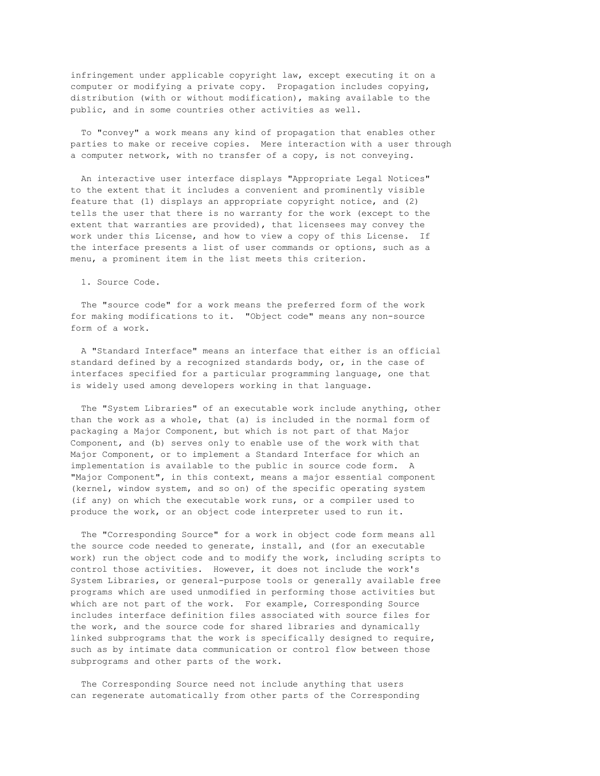infringement under applicable copyright law, except executing it on a computer or modifying a private copy. Propagation includes copying, distribution (with or without modification), making available to the public, and in some countries other activities as well.

To "convey" a work means any kind of propagation that enables other parties to make or receive copies. Mere interaction with a user through a computer network, with no transfer of a copy, is not conveying.

An interactive user interface displays "Appropriate Legal Notices" to the extent that it includes a convenient and prominently visible feature that (1) displays an appropriate copyright notice, and (2) tells the user that there is no warranty for the work (except to the extent that warranties are provided), that licensees may convey the work under this License, and how to view a copy of this License. If the interface presents a list of user commands or options, such as a menu, a prominent item in the list meets this criterion.

1. Source Code.

The "source code" for a work means the preferred form of the work for making modifications to it. "Object code" means any non-source form of a work.

A "Standard Interface" means an interface that either is an official standard defined by a recognized standards body, or, in the case of interfaces specified for a particular programming language, one that is widely used among developers working in that language.

The "System Libraries" of an executable work include anything, other than the work as a whole, that (a) is included in the normal form of packaging a Major Component, but which is not part of that Major Component, and (b) serves only to enable use of the work with that Major Component, or to implement a Standard Interface for which an implementation is available to the public in source code form. A "Major Component", in this context, means a major essential component (kernel, window system, and so on) of the specific operating system (if any) on which the executable work runs, or a compiler used to produce the work, or an object code interpreter used to run it.

The "Corresponding Source" for a work in object code form means all the source code needed to generate, install, and (for an executable work) run the object code and to modify the work, including scripts to control those activities. However, it does not include the work's System Libraries, or general-purpose tools or generally available free programs which are used unmodified in performing those activities but which are not part of the work. For example, Corresponding Source includes interface definition files associated with source files for the work, and the source code for shared libraries and dynamically linked subprograms that the work is specifically designed to require, such as by intimate data communication or control flow between those subprograms and other parts of the work.

The Corresponding Source need not include anything that users can regenerate automatically from other parts of the Corresponding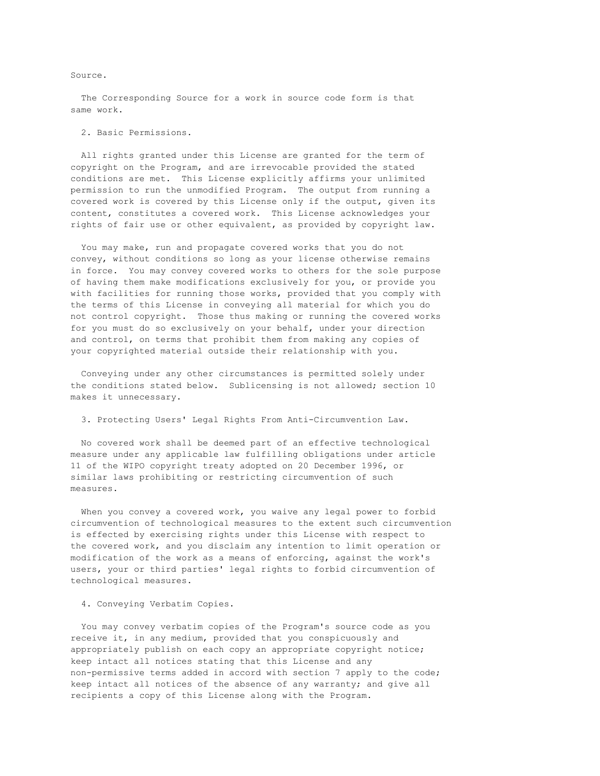Source.

The Corresponding Source for a work in source code form is that same work.

#### 2. Basic Permissions.

All rights granted under this License are granted for the term of copyright on the Program, and are irrevocable provided the stated conditions are met. This License explicitly affirms your unlimited permission to run the unmodified Program. The output from running a covered work is covered by this License only if the output, given its content, constitutes a covered work. This License acknowledges your rights of fair use or other equivalent, as provided by copyright law.

You may make, run and propagate covered works that you do not convey, without conditions so long as your license otherwise remains in force. You may convey covered works to others for the sole purpose of having them make modifications exclusively for you, or provide you with facilities for running those works, provided that you comply with the terms of this License in conveying all material for which you do not control copyright. Those thus making or running the covered works for you must do so exclusively on your behalf, under your direction and control, on terms that prohibit them from making any copies of your copyrighted material outside their relationship with you.

Conveying under any other circumstances is permitted solely under the conditions stated below. Sublicensing is not allowed; section 10 makes it unnecessary.

3. Protecting Users' Legal Rights From Anti-Circumvention Law.

No covered work shall be deemed part of an effective technological measure under any applicable law fulfilling obligations under article 11 of the WIPO copyright treaty adopted on 20 December 1996, or similar laws prohibiting or restricting circumvention of such measures.

When you convey a covered work, you waive any legal power to forbid circumvention of technological measures to the extent such circumvention is effected by exercising rights under this License with respect to the covered work, and you disclaim any intention to limit operation or modification of the work as a means of enforcing, against the work's users, your or third parties' legal rights to forbid circumvention of technological measures.

#### 4. Conveying Verbatim Copies.

You may convey verbatim copies of the Program's source code as you receive it, in any medium, provided that you conspicuously and appropriately publish on each copy an appropriate copyright notice; keep intact all notices stating that this License and any non-permissive terms added in accord with section 7 apply to the code; keep intact all notices of the absence of any warranty; and give all recipients a copy of this License along with the Program.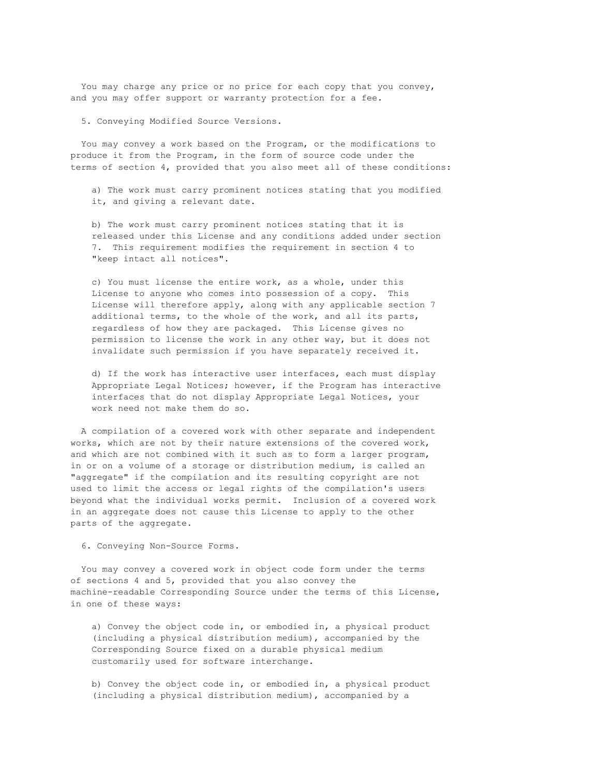You may charge any price or no price for each copy that you convey, and you may offer support or warranty protection for a fee.

5. Conveying Modified Source Versions.

You may convey a work based on the Program, or the modifications to produce it from the Program, in the form of source code under the terms of section 4, provided that you also meet all of these conditions:

a) The work must carry prominent notices stating that you modified it, and giving a relevant date.

b) The work must carry prominent notices stating that it is released under this License and any conditions added under section 7. This requirement modifies the requirement in section 4 to "keep intact all notices".

c) You must license the entire work, as a whole, under this License to anyone who comes into possession of a copy. This License will therefore apply, along with any applicable section 7 additional terms, to the whole of the work, and all its parts, regardless of how they are packaged. This License gives no permission to license the work in any other way, but it does not invalidate such permission if you have separately received it.

d) If the work has interactive user interfaces, each must display Appropriate Legal Notices; however, if the Program has interactive interfaces that do not display Appropriate Legal Notices, your work need not make them do so.

A compilation of a covered work with other separate and independent works, which are not by their nature extensions of the covered work, and which are not combined with it such as to form a larger program, in or on a volume of a storage or distribution medium, is called an "aggregate" if the compilation and its resulting copyright are not used to limit the access or legal rights of the compilation's users beyond what the individual works permit. Inclusion of a covered work in an aggregate does not cause this License to apply to the other parts of the aggregate.

6. Conveying Non-Source Forms.

You may convey a covered work in object code form under the terms of sections 4 and 5, provided that you also convey the machine-readable Corresponding Source under the terms of this License, in one of these ways:

a) Convey the object code in, or embodied in, a physical product (including a physical distribution medium), accompanied by the Corresponding Source fixed on a durable physical medium customarily used for software interchange.

b) Convey the object code in, or embodied in, a physical product (including a physical distribution medium), accompanied by a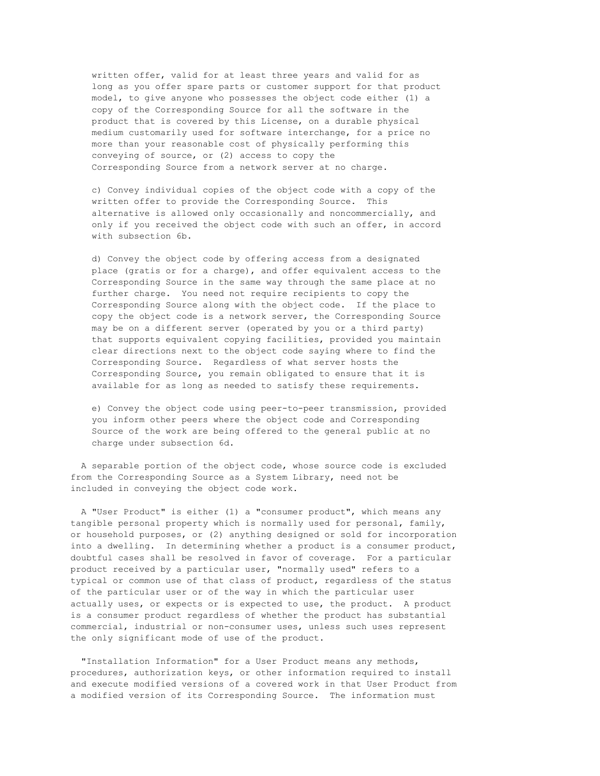written offer, valid for at least three years and valid for as long as you offer spare parts or customer support for that product model, to give anyone who possesses the object code either (1) a copy of the Corresponding Source for all the software in the product that is covered by this License, on a durable physical medium customarily used for software interchange, for a price no more than your reasonable cost of physically performing this conveying of source, or (2) access to copy the Corresponding Source from a network server at no charge.

c) Convey individual copies of the object code with a copy of the written offer to provide the Corresponding Source. This alternative is allowed only occasionally and noncommercially, and only if you received the object code with such an offer, in accord with subsection 6b.

d) Convey the object code by offering access from a designated place (gratis or for a charge), and offer equivalent access to the Corresponding Source in the same way through the same place at no further charge. You need not require recipients to copy the Corresponding Source along with the object code. If the place to copy the object code is a network server, the Corresponding Source may be on a different server (operated by you or a third party) that supports equivalent copying facilities, provided you maintain clear directions next to the object code saying where to find the Corresponding Source. Regardless of what server hosts the Corresponding Source, you remain obligated to ensure that it is available for as long as needed to satisfy these requirements.

e) Convey the object code using peer-to-peer transmission, provided you inform other peers where the object code and Corresponding Source of the work are being offered to the general public at no charge under subsection 6d.

A separable portion of the object code, whose source code is excluded from the Corresponding Source as a System Library, need not be included in conveying the object code work.

A "User Product" is either (1) a "consumer product", which means any tangible personal property which is normally used for personal, family, or household purposes, or (2) anything designed or sold for incorporation into a dwelling. In determining whether a product is a consumer product, doubtful cases shall be resolved in favor of coverage. For a particular product received by a particular user, "normally used" refers to a typical or common use of that class of product, regardless of the status of the particular user or of the way in which the particular user actually uses, or expects or is expected to use, the product. A product is a consumer product regardless of whether the product has substantial commercial, industrial or non-consumer uses, unless such uses represent the only significant mode of use of the product.

"Installation Information" for a User Product means any methods, procedures, authorization keys, or other information required to install and execute modified versions of a covered work in that User Product from a modified version of its Corresponding Source. The information must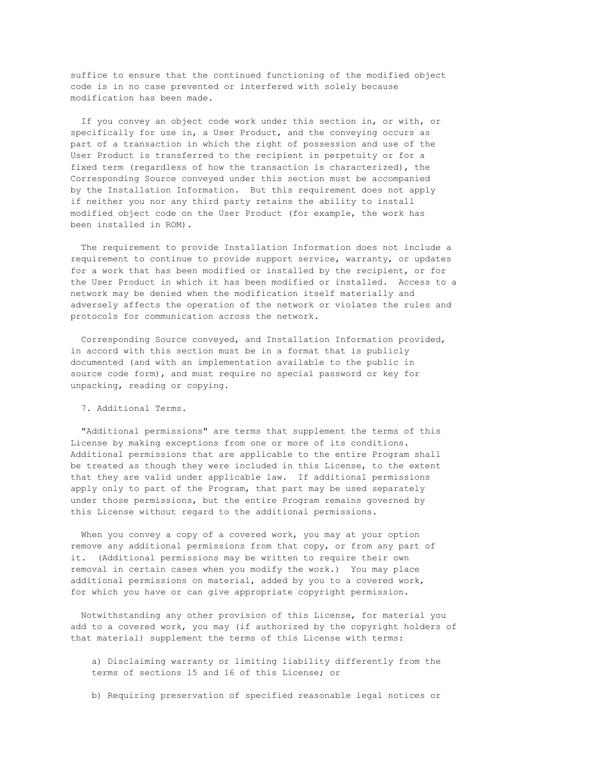suffice to ensure that the continued functioning of the modified object code is in no case prevented or interfered with solely because modification has been made.

If you convey an object code work under this section in, or with, or specifically for use in, a User Product, and the conveying occurs as part of a transaction in which the right of possession and use of the User Product is transferred to the recipient in perpetuity or for a fixed term (regardless of how the transaction is characterized), the Corresponding Source conveyed under this section must be accompanied by the Installation Information. But this requirement does not apply if neither you nor any third party retains the ability to install modified object code on the User Product (for example, the work has been installed in ROM).

The requirement to provide Installation Information does not include a requirement to continue to provide support service, warranty, or updates for a work that has been modified or installed by the recipient, or for the User Product in which it has been modified or installed. Access to a network may be denied when the modification itself materially and adversely affects the operation of the network or violates the rules and protocols for communication across the network.

Corresponding Source conveyed, and Installation Information provided, in accord with this section must be in a format that is publicly documented (and with an implementation available to the public in source code form), and must require no special password or key for unpacking, reading or copying.

7. Additional Terms.

"Additional permissions" are terms that supplement the terms of this License by making exceptions from one or more of its conditions. Additional permissions that are applicable to the entire Program shall be treated as though they were included in this License, to the extent that they are valid under applicable law. If additional permissions apply only to part of the Program, that part may be used separately under those permissions, but the entire Program remains governed by this License without regard to the additional permissions.

When you convey a copy of a covered work, you may at your option remove any additional permissions from that copy, or from any part of it. (Additional permissions may be written to require their own removal in certain cases when you modify the work.) You may place additional permissions on material, added by you to a covered work, for which you have or can give appropriate copyright permission.

Notwithstanding any other provision of this License, for material you add to a covered work, you may (if authorized by the copyright holders of that material) supplement the terms of this License with terms:

a) Disclaiming warranty or limiting liability differently from the terms of sections 15 and 16 of this License; or

b) Requiring preservation of specified reasonable legal notices or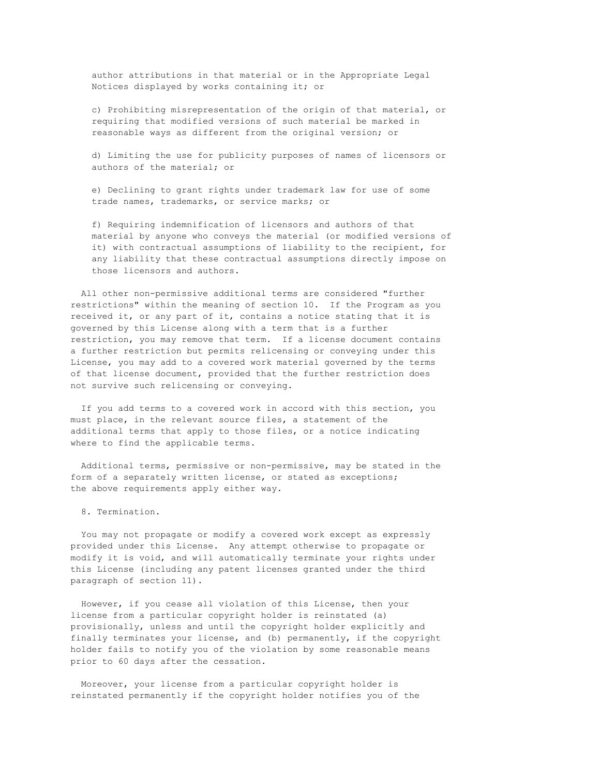author attributions in that material or in the Appropriate Legal Notices displayed by works containing it; or

c) Prohibiting misrepresentation of the origin of that material, or requiring that modified versions of such material be marked in reasonable ways as different from the original version; or

d) Limiting the use for publicity purposes of names of licensors or authors of the material; or

e) Declining to grant rights under trademark law for use of some trade names, trademarks, or service marks; or

f) Requiring indemnification of licensors and authors of that material by anyone who conveys the material (or modified versions of it) with contractual assumptions of liability to the recipient, for any liability that these contractual assumptions directly impose on those licensors and authors.

All other non-permissive additional terms are considered "further restrictions" within the meaning of section 10. If the Program as you received it, or any part of it, contains a notice stating that it is governed by this License along with a term that is a further restriction, you may remove that term. If a license document contains a further restriction but permits relicensing or conveying under this License, you may add to a covered work material governed by the terms of that license document, provided that the further restriction does not survive such relicensing or conveying.

If you add terms to a covered work in accord with this section, you must place, in the relevant source files, a statement of the additional terms that apply to those files, or a notice indicating where to find the applicable terms.

Additional terms, permissive or non-permissive, may be stated in the form of a separately written license, or stated as exceptions; the above requirements apply either way.

8. Termination.

You may not propagate or modify a covered work except as expressly provided under this License. Any attempt otherwise to propagate or modify it is void, and will automatically terminate your rights under this License (including any patent licenses granted under the third paragraph of section 11).

However, if you cease all violation of this License, then your license from a particular copyright holder is reinstated (a) provisionally, unless and until the copyright holder explicitly and finally terminates your license, and (b) permanently, if the copyright holder fails to notify you of the violation by some reasonable means prior to 60 days after the cessation.

Moreover, your license from a particular copyright holder is reinstated permanently if the copyright holder notifies you of the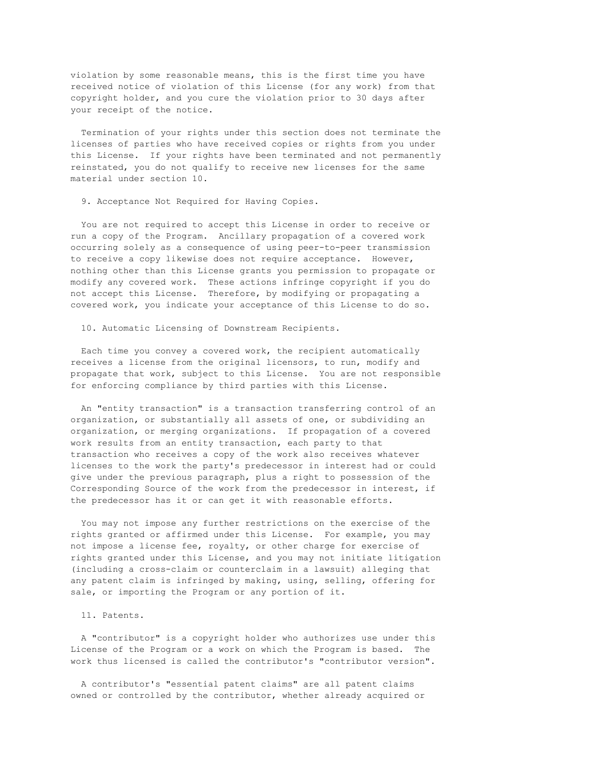violation by some reasonable means, this is the first time you have received notice of violation of this License (for any work) from that copyright holder, and you cure the violation prior to 30 days after your receipt of the notice.

Termination of your rights under this section does not terminate the licenses of parties who have received copies or rights from you under this License. If your rights have been terminated and not permanently reinstated, you do not qualify to receive new licenses for the same material under section 10.

9. Acceptance Not Required for Having Copies.

You are not required to accept this License in order to receive or run a copy of the Program. Ancillary propagation of a covered work occurring solely as a consequence of using peer-to-peer transmission to receive a copy likewise does not require acceptance. However, nothing other than this License grants you permission to propagate or modify any covered work. These actions infringe copyright if you do not accept this License. Therefore, by modifying or propagating a covered work, you indicate your acceptance of this License to do so.

10. Automatic Licensing of Downstream Recipients.

Each time you convey a covered work, the recipient automatically receives a license from the original licensors, to run, modify and propagate that work, subject to this License. You are not responsible for enforcing compliance by third parties with this License.

An "entity transaction" is a transaction transferring control of an organization, or substantially all assets of one, or subdividing an organization, or merging organizations. If propagation of a covered work results from an entity transaction, each party to that transaction who receives a copy of the work also receives whatever licenses to the work the party's predecessor in interest had or could give under the previous paragraph, plus a right to possession of the Corresponding Source of the work from the predecessor in interest, if the predecessor has it or can get it with reasonable efforts.

You may not impose any further restrictions on the exercise of the rights granted or affirmed under this License. For example, you may not impose a license fee, royalty, or other charge for exercise of rights granted under this License, and you may not initiate litigation (including a cross-claim or counterclaim in a lawsuit) alleging that any patent claim is infringed by making, using, selling, offering for sale, or importing the Program or any portion of it.

#### 11. Patents.

A "contributor" is a copyright holder who authorizes use under this License of the Program or a work on which the Program is based. The work thus licensed is called the contributor's "contributor version".

A contributor's "essential patent claims" are all patent claims owned or controlled by the contributor, whether already acquired or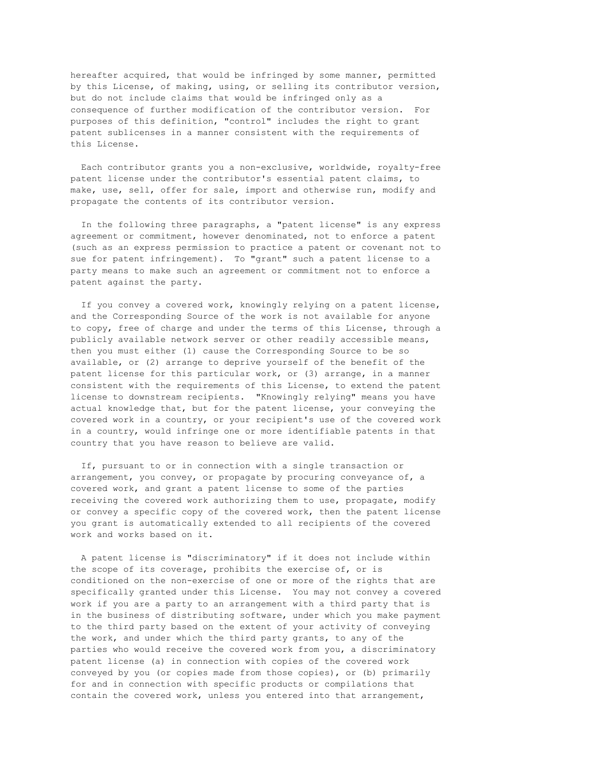hereafter acquired, that would be infringed by some manner, permitted by this License, of making, using, or selling its contributor version, but do not include claims that would be infringed only as a consequence of further modification of the contributor version. For purposes of this definition, "control" includes the right to grant patent sublicenses in a manner consistent with the requirements of this License.

Each contributor grants you a non-exclusive, worldwide, royalty-free patent license under the contributor's essential patent claims, to make, use, sell, offer for sale, import and otherwise run, modify and propagate the contents of its contributor version.

In the following three paragraphs, a "patent license" is any express agreement or commitment, however denominated, not to enforce a patent (such as an express permission to practice a patent or covenant not to sue for patent infringement). To "grant" such a patent license to a party means to make such an agreement or commitment not to enforce a patent against the party.

If you convey a covered work, knowingly relying on a patent license, and the Corresponding Source of the work is not available for anyone to copy, free of charge and under the terms of this License, through a publicly available network server or other readily accessible means, then you must either (1) cause the Corresponding Source to be so available, or (2) arrange to deprive yourself of the benefit of the patent license for this particular work, or (3) arrange, in a manner consistent with the requirements of this License, to extend the patent license to downstream recipients. "Knowingly relying" means you have actual knowledge that, but for the patent license, your conveying the covered work in a country, or your recipient's use of the covered work in a country, would infringe one or more identifiable patents in that country that you have reason to believe are valid.

If, pursuant to or in connection with a single transaction or arrangement, you convey, or propagate by procuring conveyance of, a covered work, and grant a patent license to some of the parties receiving the covered work authorizing them to use, propagate, modify or convey a specific copy of the covered work, then the patent license you grant is automatically extended to all recipients of the covered work and works based on it.

A patent license is "discriminatory" if it does not include within the scope of its coverage, prohibits the exercise of, or is conditioned on the non-exercise of one or more of the rights that are specifically granted under this License. You may not convey a covered work if you are a party to an arrangement with a third party that is in the business of distributing software, under which you make payment to the third party based on the extent of your activity of conveying the work, and under which the third party grants, to any of the parties who would receive the covered work from you, a discriminatory patent license (a) in connection with copies of the covered work conveyed by you (or copies made from those copies), or (b) primarily for and in connection with specific products or compilations that contain the covered work, unless you entered into that arrangement,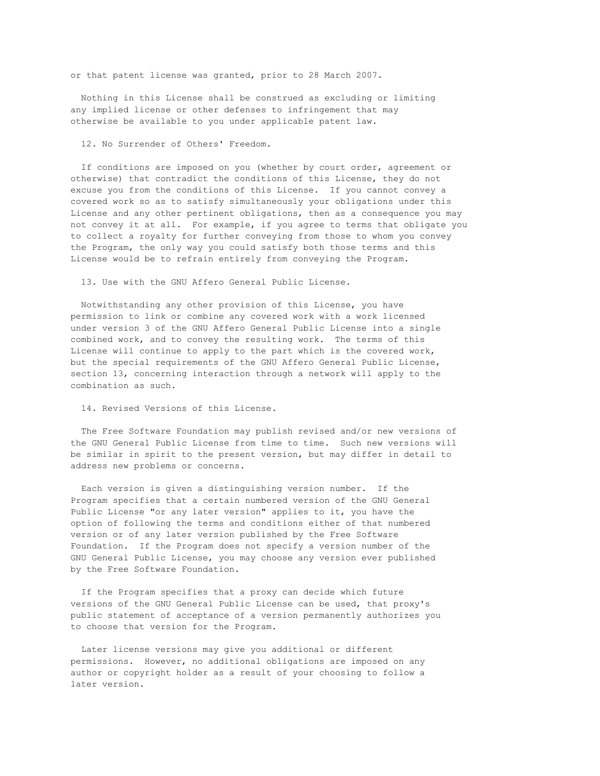or that patent license was granted, prior to 28 March 2007.

Nothing in this License shall be construed as excluding or limiting any implied license or other defenses to infringement that may otherwise be available to you under applicable patent law.

12. No Surrender of Others' Freedom.

If conditions are imposed on you (whether by court order, agreement or otherwise) that contradict the conditions of this License, they do not excuse you from the conditions of this License. If you cannot convey a covered work so as to satisfy simultaneously your obligations under this License and any other pertinent obligations, then as a consequence you may not convey it at all. For example, if you agree to terms that obligate you to collect a royalty for further conveying from those to whom you convey the Program, the only way you could satisfy both those terms and this License would be to refrain entirely from conveying the Program.

13. Use with the GNU Affero General Public License.

Notwithstanding any other provision of this License, you have permission to link or combine any covered work with a work licensed under version 3 of the GNU Affero General Public License into a single combined work, and to convey the resulting work. The terms of this License will continue to apply to the part which is the covered work, but the special requirements of the GNU Affero General Public License, section 13, concerning interaction through a network will apply to the combination as such.

14. Revised Versions of this License.

The Free Software Foundation may publish revised and/or new versions of the GNU General Public License from time to time. Such new versions will be similar in spirit to the present version, but may differ in detail to address new problems or concerns.

Each version is given a distinguishing version number. If the Program specifies that a certain numbered version of the GNU General Public License "or any later version" applies to it, you have the option of following the terms and conditions either of that numbered version or of any later version published by the Free Software Foundation. If the Program does not specify a version number of the GNU General Public License, you may choose any version ever published by the Free Software Foundation.

If the Program specifies that a proxy can decide which future versions of the GNU General Public License can be used, that proxy's public statement of acceptance of a version permanently authorizes you to choose that version for the Program.

Later license versions may give you additional or different permissions. However, no additional obligations are imposed on any author or copyright holder as a result of your choosing to follow a later version.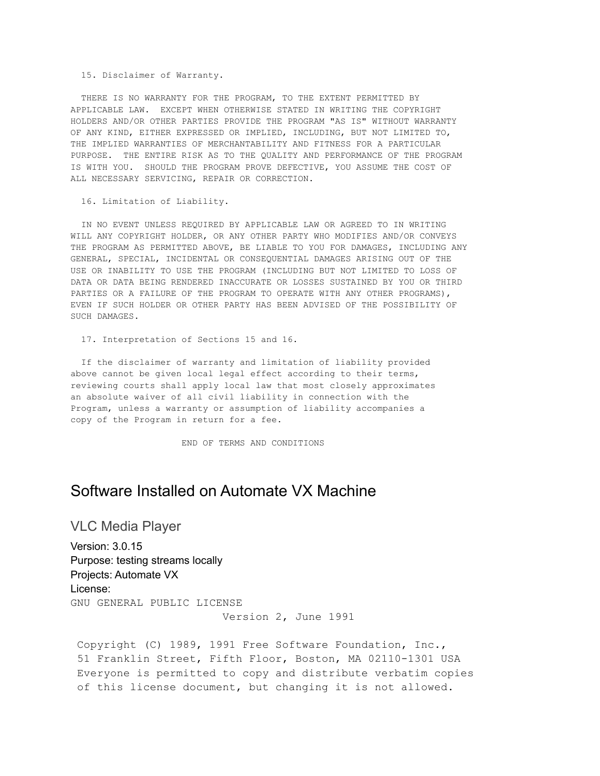15. Disclaimer of Warranty.

THERE IS NO WARRANTY FOR THE PROGRAM, TO THE EXTENT PERMITTED BY APPLICABLE LAW. EXCEPT WHEN OTHERWISE STATED IN WRITING THE COPYRIGHT HOLDERS AND/OR OTHER PARTIES PROVIDE THE PROGRAM "AS IS" WITHOUT WARRANTY OF ANY KIND, EITHER EXPRESSED OR IMPLIED, INCLUDING, BUT NOT LIMITED TO, THE IMPLIED WARRANTIES OF MERCHANTABILITY AND FITNESS FOR A PARTICULAR PURPOSE. THE ENTIRE RISK AS TO THE QUALITY AND PERFORMANCE OF THE PROGRAM IS WITH YOU. SHOULD THE PROGRAM PROVE DEFECTIVE, YOU ASSUME THE COST OF ALL NECESSARY SERVICING, REPAIR OR CORRECTION.

16. Limitation of Liability.

IN NO EVENT UNLESS REQUIRED BY APPLICABLE LAW OR AGREED TO IN WRITING WILL ANY COPYRIGHT HOLDER, OR ANY OTHER PARTY WHO MODIFIES AND/OR CONVEYS THE PROGRAM AS PERMITTED ABOVE, BE LIABLE TO YOU FOR DAMAGES, INCLUDING ANY GENERAL, SPECIAL, INCIDENTAL OR CONSEQUENTIAL DAMAGES ARISING OUT OF THE USE OR INABILITY TO USE THE PROGRAM (INCLUDING BUT NOT LIMITED TO LOSS OF DATA OR DATA BEING RENDERED INACCURATE OR LOSSES SUSTAINED BY YOU OR THIRD PARTIES OR A FAILURE OF THE PROGRAM TO OPERATE WITH ANY OTHER PROGRAMS), EVEN IF SUCH HOLDER OR OTHER PARTY HAS BEEN ADVISED OF THE POSSIBILITY OF SUCH DAMAGES.

17. Interpretation of Sections 15 and 16.

If the disclaimer of warranty and limitation of liability provided above cannot be given local legal effect according to their terms, reviewing courts shall apply local law that most closely approximates an absolute waiver of all civil liability in connection with the Program, unless a warranty or assumption of liability accompanies a copy of the Program in return for a fee.

END OF TERMS AND CONDITIONS

# Software Installed on Automate VX Machine

VLC Media Player

Version: 3.0.15 Purpose: testing streams locally Projects: Automate VX License: GNU GENERAL PUBLIC LICENSE

Version 2, June 1991

Copyright (C) 1989, 1991 Free Software Foundation, Inc., 51 Franklin Street, Fifth Floor, Boston, MA 02110-1301 USA Everyone is permitted to copy and distribute verbatim copies of this license document, but changing it is not allowed.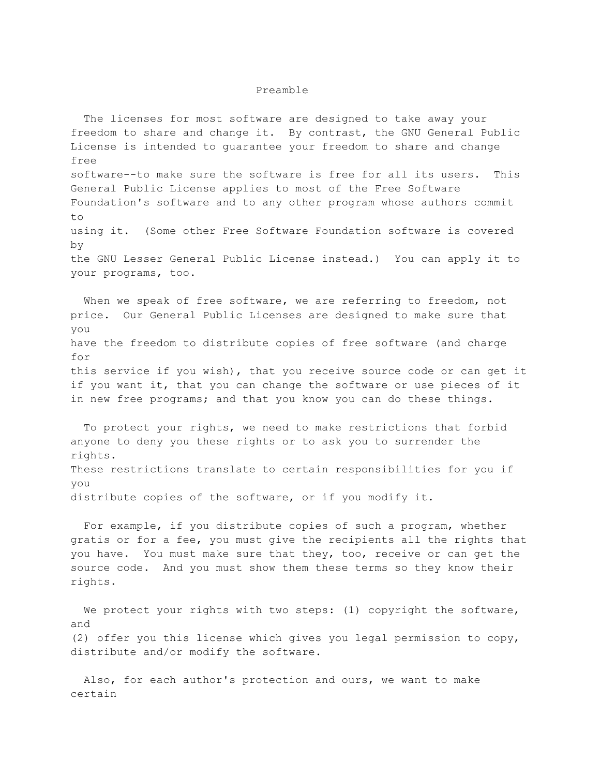#### Preamble

The licenses for most software are designed to take away your freedom to share and change it. By contrast, the GNU General Public License is intended to guarantee your freedom to share and change free software--to make sure the software is free for all its users. This General Public License applies to most of the Free Software Foundation's software and to any other program whose authors commit to using it. (Some other Free Software Foundation software is covered by the GNU Lesser General Public License instead.) You can apply it to your programs, too.

When we speak of free software, we are referring to freedom, not price. Our General Public Licenses are designed to make sure that you have the freedom to distribute copies of free software (and charge for this service if you wish), that you receive source code or can get it if you want it, that you can change the software or use pieces of it in new free programs; and that you know you can do these things.

To protect your rights, we need to make restrictions that forbid anyone to deny you these rights or to ask you to surrender the rights. These restrictions translate to certain responsibilities for you if you distribute copies of the software, or if you modify it.

For example, if you distribute copies of such a program, whether gratis or for a fee, you must give the recipients all the rights that you have. You must make sure that they, too, receive or can get the source code. And you must show them these terms so they know their rights.

We protect your rights with two steps: (1) copyright the software, and (2) offer you this license which gives you legal permission to copy, distribute and/or modify the software.

Also, for each author's protection and ours, we want to make certain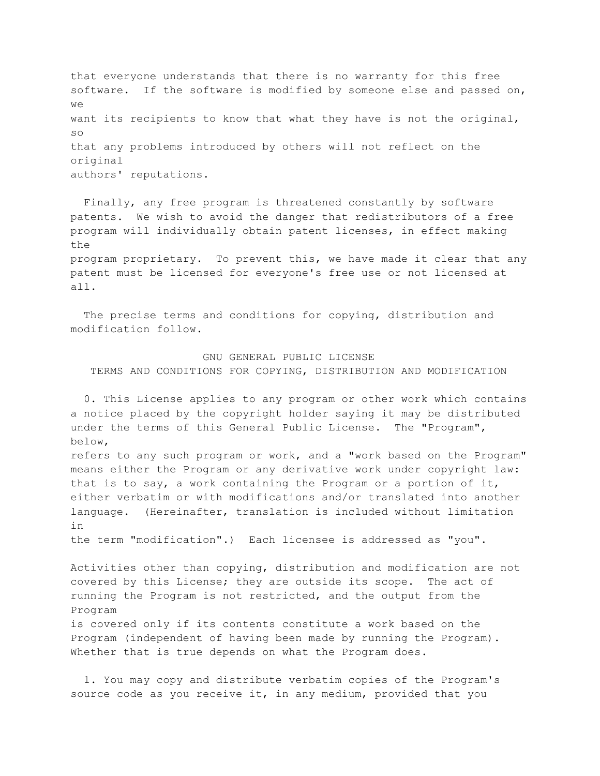that everyone understands that there is no warranty for this free software. If the software is modified by someone else and passed on,  $W \ominus$ want its recipients to know that what they have is not the original, so that any problems introduced by others will not reflect on the original authors' reputations.

Finally, any free program is threatened constantly by software patents. We wish to avoid the danger that redistributors of a free program will individually obtain patent licenses, in effect making the program proprietary. To prevent this, we have made it clear that any patent must be licensed for everyone's free use or not licensed at all.

The precise terms and conditions for copying, distribution and modification follow.

GNU GENERAL PUBLIC LICENSE TERMS AND CONDITIONS FOR COPYING, DISTRIBUTION AND MODIFICATION

0. This License applies to any program or other work which contains a notice placed by the copyright holder saying it may be distributed under the terms of this General Public License. The "Program", below,

refers to any such program or work, and a "work based on the Program" means either the Program or any derivative work under copyright law: that is to say, a work containing the Program or a portion of it, either verbatim or with modifications and/or translated into another language. (Hereinafter, translation is included without limitation in

the term "modification".) Each licensee is addressed as "you".

Activities other than copying, distribution and modification are not covered by this License; they are outside its scope. The act of running the Program is not restricted, and the output from the Program is covered only if its contents constitute a work based on the Program (independent of having been made by running the Program). Whether that is true depends on what the Program does.

1. You may copy and distribute verbatim copies of the Program's source code as you receive it, in any medium, provided that you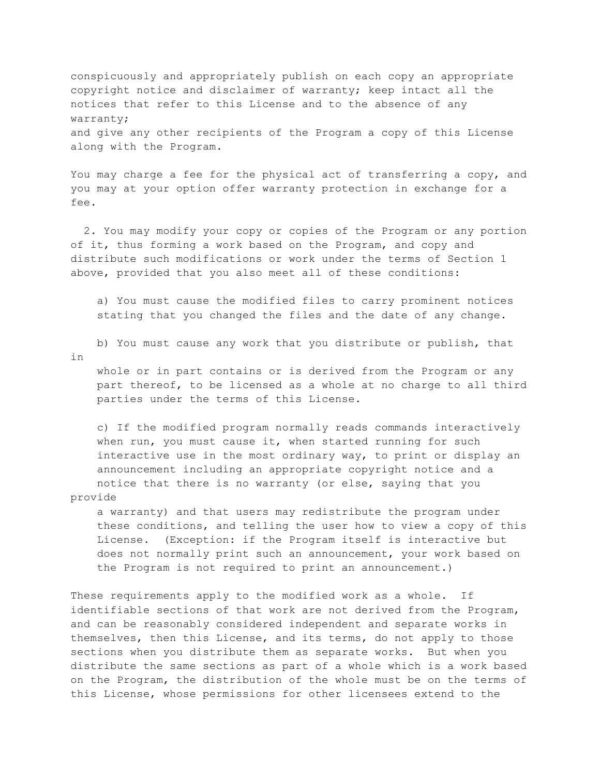conspicuously and appropriately publish on each copy an appropriate copyright notice and disclaimer of warranty; keep intact all the notices that refer to this License and to the absence of any warranty; and give any other recipients of the Program a copy of this License along with the Program.

You may charge a fee for the physical act of transferring a copy, and you may at your option offer warranty protection in exchange for a fee.

2. You may modify your copy or copies of the Program or any portion of it, thus forming a work based on the Program, and copy and distribute such modifications or work under the terms of Section 1 above, provided that you also meet all of these conditions:

a) You must cause the modified files to carry prominent notices stating that you changed the files and the date of any change.

b) You must cause any work that you distribute or publish, that

in

whole or in part contains or is derived from the Program or any part thereof, to be licensed as a whole at no charge to all third parties under the terms of this License.

c) If the modified program normally reads commands interactively when run, you must cause it, when started running for such interactive use in the most ordinary way, to print or display an announcement including an appropriate copyright notice and a notice that there is no warranty (or else, saying that you provide

a warranty) and that users may redistribute the program under these conditions, and telling the user how to view a copy of this License. (Exception: if the Program itself is interactive but does not normally print such an announcement, your work based on the Program is not required to print an announcement.)

These requirements apply to the modified work as a whole. If identifiable sections of that work are not derived from the Program, and can be reasonably considered independent and separate works in themselves, then this License, and its terms, do not apply to those sections when you distribute them as separate works. But when you distribute the same sections as part of a whole which is a work based on the Program, the distribution of the whole must be on the terms of this License, whose permissions for other licensees extend to the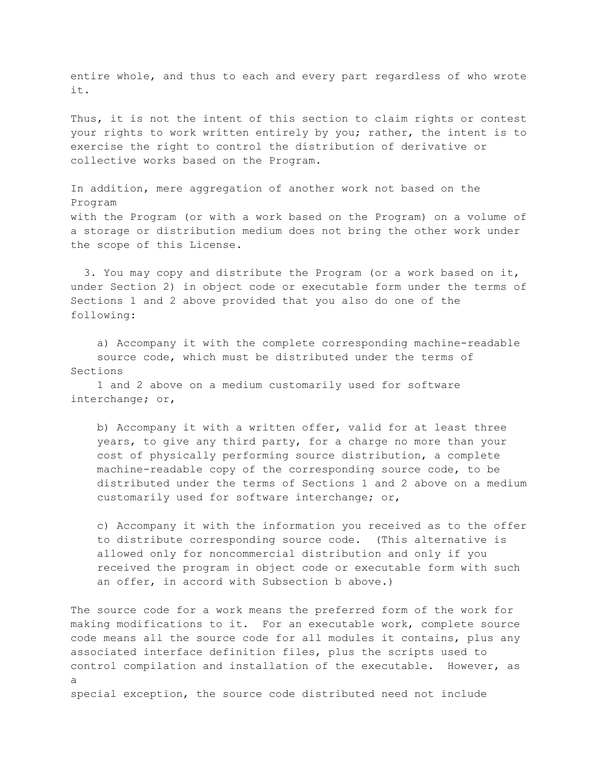entire whole, and thus to each and every part regardless of who wrote it.

Thus, it is not the intent of this section to claim rights or contest your rights to work written entirely by you; rather, the intent is to exercise the right to control the distribution of derivative or collective works based on the Program.

In addition, mere aggregation of another work not based on the Program with the Program (or with a work based on the Program) on a volume of a storage or distribution medium does not bring the other work under the scope of this License.

3. You may copy and distribute the Program (or a work based on it, under Section 2) in object code or executable form under the terms of Sections 1 and 2 above provided that you also do one of the following:

a) Accompany it with the complete corresponding machine-readable source code, which must be distributed under the terms of Sections

1 and 2 above on a medium customarily used for software interchange; or,

b) Accompany it with a written offer, valid for at least three years, to give any third party, for a charge no more than your cost of physically performing source distribution, a complete machine-readable copy of the corresponding source code, to be distributed under the terms of Sections 1 and 2 above on a medium customarily used for software interchange; or,

c) Accompany it with the information you received as to the offer to distribute corresponding source code. (This alternative is allowed only for noncommercial distribution and only if you received the program in object code or executable form with such an offer, in accord with Subsection b above.)

The source code for a work means the preferred form of the work for making modifications to it. For an executable work, complete source code means all the source code for all modules it contains, plus any associated interface definition files, plus the scripts used to control compilation and installation of the executable. However, as a special exception, the source code distributed need not include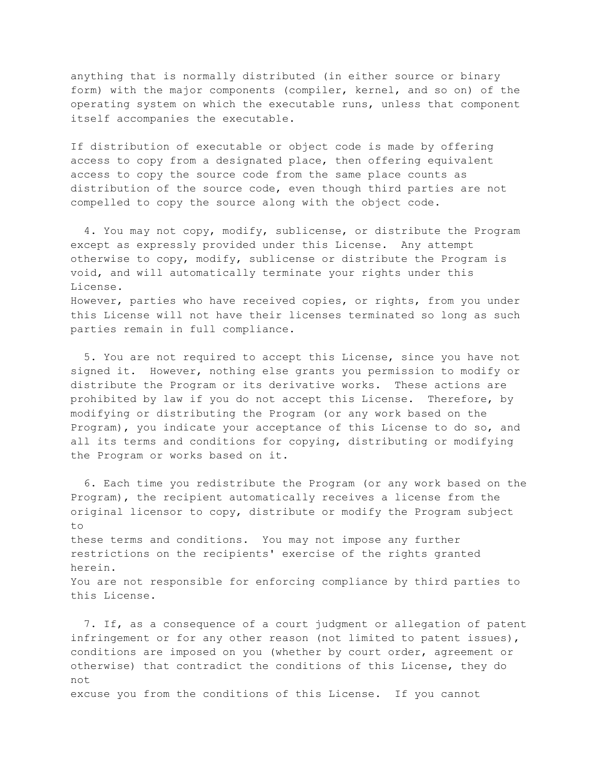anything that is normally distributed (in either source or binary form) with the major components (compiler, kernel, and so on) of the operating system on which the executable runs, unless that component itself accompanies the executable.

If distribution of executable or object code is made by offering access to copy from a designated place, then offering equivalent access to copy the source code from the same place counts as distribution of the source code, even though third parties are not compelled to copy the source along with the object code.

4. You may not copy, modify, sublicense, or distribute the Program except as expressly provided under this License. Any attempt otherwise to copy, modify, sublicense or distribute the Program is void, and will automatically terminate your rights under this License. However, parties who have received copies, or rights, from you under this License will not have their licenses terminated so long as such parties remain in full compliance.

5. You are not required to accept this License, since you have not signed it. However, nothing else grants you permission to modify or distribute the Program or its derivative works. These actions are prohibited by law if you do not accept this License. Therefore, by modifying or distributing the Program (or any work based on the Program), you indicate your acceptance of this License to do so, and all its terms and conditions for copying, distributing or modifying the Program or works based on it.

6. Each time you redistribute the Program (or any work based on the Program), the recipient automatically receives a license from the original licensor to copy, distribute or modify the Program subject  $t \circ$ these terms and conditions. You may not impose any further restrictions on the recipients' exercise of the rights granted herein. You are not responsible for enforcing compliance by third parties to this License.

7. If, as a consequence of a court judgment or allegation of patent infringement or for any other reason (not limited to patent issues), conditions are imposed on you (whether by court order, agreement or otherwise) that contradict the conditions of this License, they do not excuse you from the conditions of this License. If you cannot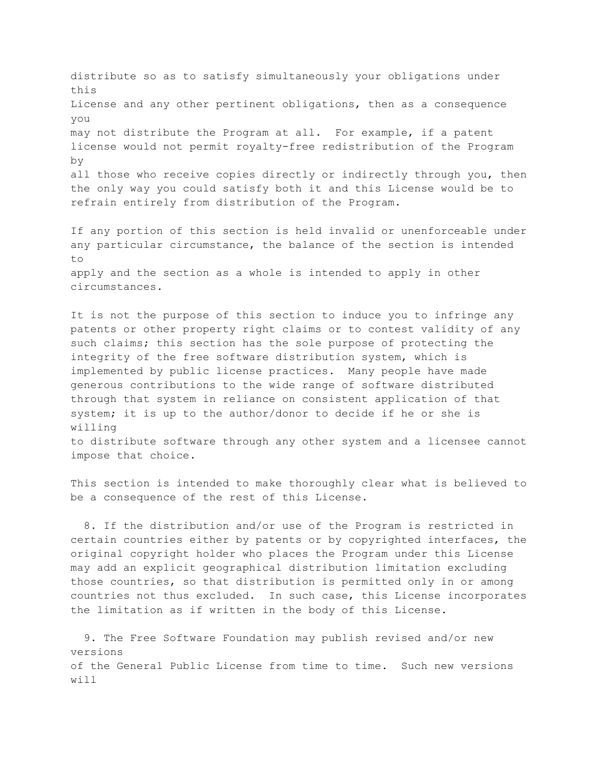distribute so as to satisfy simultaneously your obligations under this License and any other pertinent obligations, then as a consequence you may not distribute the Program at all. For example, if a patent license would not permit royalty-free redistribution of the Program by all those who receive copies directly or indirectly through you, then the only way you could satisfy both it and this License would be to refrain entirely from distribution of the Program.

If any portion of this section is held invalid or unenforceable under any particular circumstance, the balance of the section is intended to apply and the section as a whole is intended to apply in other circumstances.

It is not the purpose of this section to induce you to infringe any patents or other property right claims or to contest validity of any such claims; this section has the sole purpose of protecting the integrity of the free software distribution system, which is implemented by public license practices. Many people have made generous contributions to the wide range of software distributed through that system in reliance on consistent application of that system; it is up to the author/donor to decide if he or she is willing to distribute software through any other system and a licensee cannot

This section is intended to make thoroughly clear what is believed to be a consequence of the rest of this License.

impose that choice.

8. If the distribution and/or use of the Program is restricted in certain countries either by patents or by copyrighted interfaces, the original copyright holder who places the Program under this License may add an explicit geographical distribution limitation excluding those countries, so that distribution is permitted only in or among countries not thus excluded. In such case, this License incorporates the limitation as if written in the body of this License.

9. The Free Software Foundation may publish revised and/or new versions of the General Public License from time to time. Such new versions will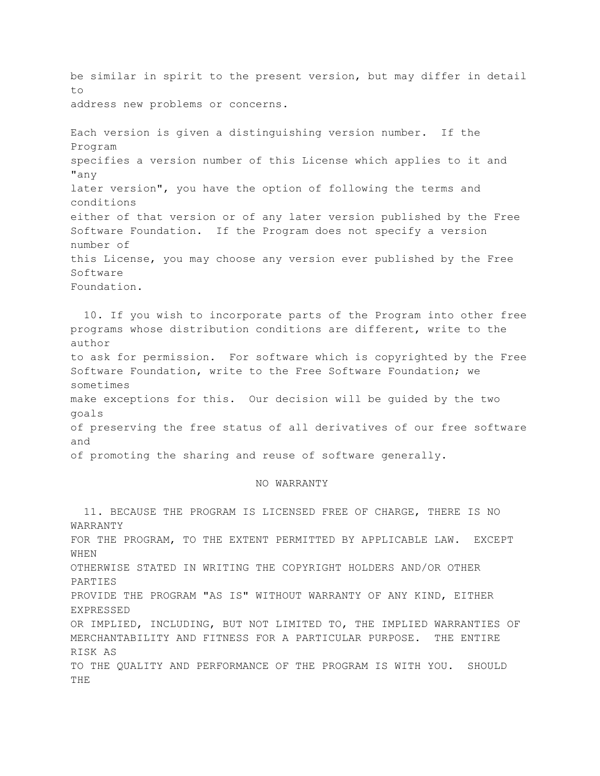be similar in spirit to the present version, but may differ in detail to address new problems or concerns.

Each version is given a distinguishing version number. If the Program specifies a version number of this License which applies to it and "any later version", you have the option of following the terms and conditions either of that version or of any later version published by the Free Software Foundation. If the Program does not specify a version number of this License, you may choose any version ever published by the Free Software Foundation.

10. If you wish to incorporate parts of the Program into other free programs whose distribution conditions are different, write to the author to ask for permission. For software which is copyrighted by the Free Software Foundation, write to the Free Software Foundation; we sometimes make exceptions for this. Our decision will be guided by the two goals of preserving the free status of all derivatives of our free software and of promoting the sharing and reuse of software generally.

### NO WARRANTY

11. BECAUSE THE PROGRAM IS LICENSED FREE OF CHARGE, THERE IS NO WARRANTY FOR THE PROGRAM, TO THE EXTENT PERMITTED BY APPLICABLE LAW. EXCEPT WHEN OTHERWISE STATED IN WRITING THE COPYRIGHT HOLDERS AND/OR OTHER PARTIES PROVIDE THE PROGRAM "AS IS" WITHOUT WARRANTY OF ANY KIND, EITHER EXPRESSED OR IMPLIED, INCLUDING, BUT NOT LIMITED TO, THE IMPLIED WARRANTIES OF MERCHANTABILITY AND FITNESS FOR A PARTICULAR PURPOSE. THE ENTIRE RISK AS TO THE QUALITY AND PERFORMANCE OF THE PROGRAM IS WITH YOU. SHOULD THE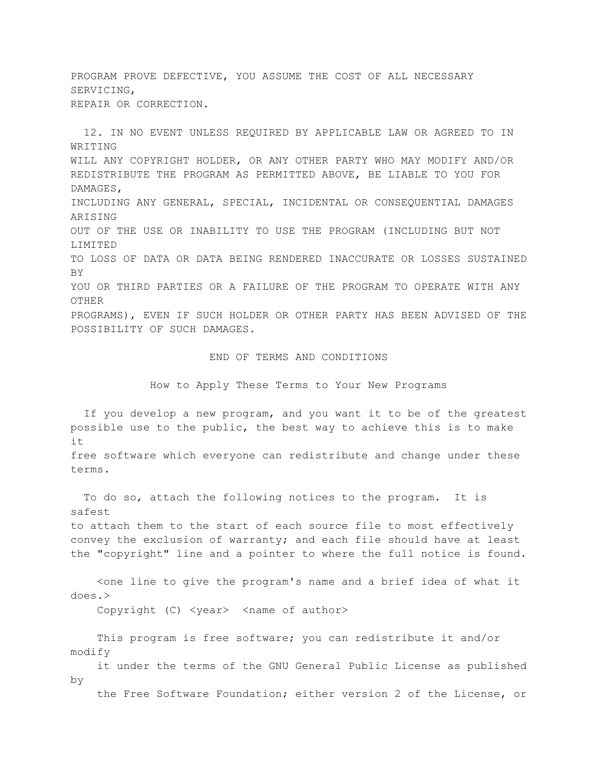PROGRAM PROVE DEFECTIVE, YOU ASSUME THE COST OF ALL NECESSARY SERVICING, REPAIR OR CORRECTION.

12. IN NO EVENT UNLESS REQUIRED BY APPLICABLE LAW OR AGREED TO IN WRITING WILL ANY COPYRIGHT HOLDER, OR ANY OTHER PARTY WHO MAY MODIFY AND/OR REDISTRIBUTE THE PROGRAM AS PERMITTED ABOVE, BE LIABLE TO YOU FOR DAMAGES, INCLUDING ANY GENERAL, SPECIAL, INCIDENTAL OR CONSEQUENTIAL DAMAGES ARISING OUT OF THE USE OR INABILITY TO USE THE PROGRAM (INCLUDING BUT NOT LIMITED TO LOSS OF DATA OR DATA BEING RENDERED INACCURATE OR LOSSES SUSTAINED **BY** YOU OR THIRD PARTIES OR A FAILURE OF THE PROGRAM TO OPERATE WITH ANY OTHER PROGRAMS), EVEN IF SUCH HOLDER OR OTHER PARTY HAS BEEN ADVISED OF THE POSSIBILITY OF SUCH DAMAGES.

## END OF TERMS AND CONDITIONS

How to Apply These Terms to Your New Programs

If you develop a new program, and you want it to be of the greatest possible use to the public, the best way to achieve this is to make it

free software which everyone can redistribute and change under these terms.

To do so, attach the following notices to the program. It is safest to attach them to the start of each source file to most effectively convey the exclusion of warranty; and each file should have at least the "copyright" line and a pointer to where the full notice is found.

Kone line to give the program's name and a brief idea of what it does.>

Copyright (C) <year> <name of author>

This program is free software; you can redistribute it and/or modify

it under the terms of the GNU General Public License as published by

the Free Software Foundation; either version 2 of the License, or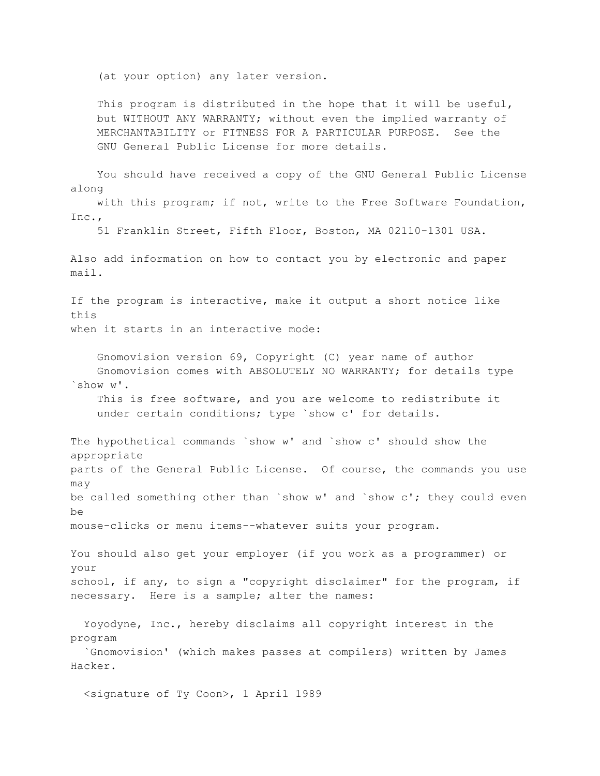(at your option) any later version.

This program is distributed in the hope that it will be useful, but WITHOUT ANY WARRANTY; without even the implied warranty of MERCHANTABILITY or FITNESS FOR A PARTICULAR PURPOSE. See the GNU General Public License for more details.

You should have received a copy of the GNU General Public License along with this program; if not, write to the Free Software Foundation, Inc., 51 Franklin Street, Fifth Floor, Boston, MA 02110-1301 USA. Also add information on how to contact you by electronic and paper mail. If the program is interactive, make it output a short notice like this when it starts in an interactive mode: Gnomovision version 69, Copyright (C) year name of author Gnomovision comes with ABSOLUTELY NO WARRANTY; for details type `show w'. This is free software, and you are welcome to redistribute it under certain conditions; type `show c' for details. The hypothetical commands `show w' and `show c' should show the appropriate parts of the General Public License. Of course, the commands you use may be called something other than `show  $w'$  and `show  $c'$ ; they could even be mouse-clicks or menu items--whatever suits your program. You should also get your employer (if you work as a programmer) or your school, if any, to sign a "copyright disclaimer" for the program, if necessary. Here is a sample; alter the names: Yoyodyne, Inc., hereby disclaims all copyright interest in the program `Gnomovision' (which makes passes at compilers) written by James Hacker.

<signature of Ty Coon>, 1 April 1989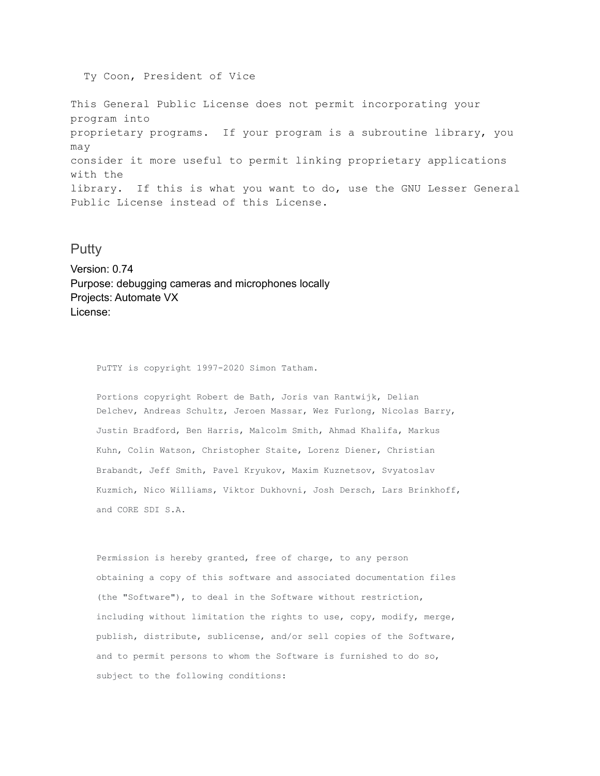Ty Coon, President of Vice

This General Public License does not permit incorporating your program into proprietary programs. If your program is a subroutine library, you may consider it more useful to permit linking proprietary applications with the library. If this is what you want to do, use the GNU Lesser General Public License instead of this License.

## **Putty**

Version: 0.74 Purpose: debugging cameras and microphones locally Projects: Automate VX License:

PuTTY is copyright 1997-2020 Simon Tatham.

Portions copyright Robert de Bath, Joris van Rantwijk, Delian Delchev, Andreas Schultz, Jeroen Massar, Wez Furlong, Nicolas Barry, Justin Bradford, Ben Harris, Malcolm Smith, Ahmad Khalifa, Markus Kuhn, Colin Watson, Christopher Staite, Lorenz Diener, Christian Brabandt, Jeff Smith, Pavel Kryukov, Maxim Kuznetsov, Svyatoslav Kuzmich, Nico Williams, Viktor Dukhovni, Josh Dersch, Lars Brinkhoff, and CORE SDI S.A.

Permission is hereby granted, free of charge, to any person obtaining a copy of this software and associated documentation files (the "Software"), to deal in the Software without restriction, including without limitation the rights to use, copy, modify, merge, publish, distribute, sublicense, and/or sell copies of the Software, and to permit persons to whom the Software is furnished to do so, subject to the following conditions: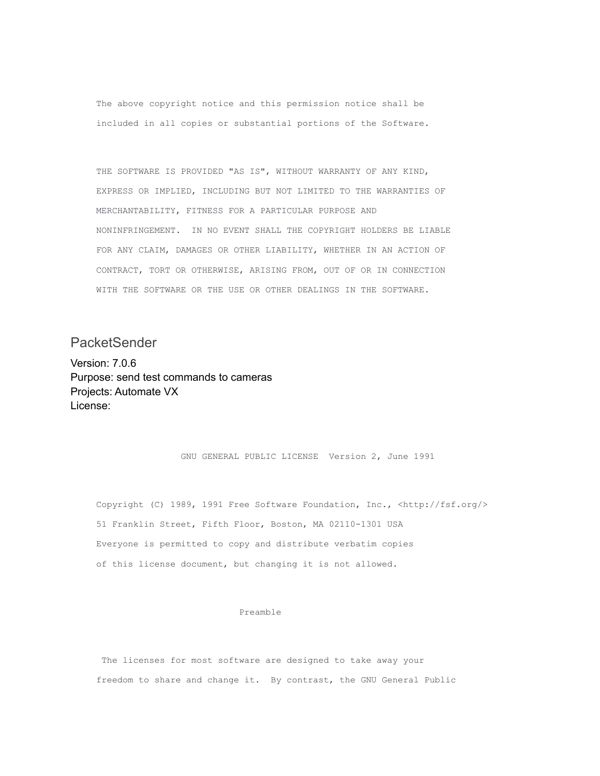The above copyright notice and this permission notice shall be included in all copies or substantial portions of the Software.

THE SOFTWARE IS PROVIDED "AS IS", WITHOUT WARRANTY OF ANY KIND, EXPRESS OR IMPLIED, INCLUDING BUT NOT LIMITED TO THE WARRANTIES OF MERCHANTABILITY, FITNESS FOR A PARTICULAR PURPOSE AND NONINFRINGEMENT. IN NO EVENT SHALL THE COPYRIGHT HOLDERS BE LIABLE FOR ANY CLAIM, DAMAGES OR OTHER LIABILITY, WHETHER IN AN ACTION OF CONTRACT, TORT OR OTHERWISE, ARISING FROM, OUT OF OR IN CONNECTION WITH THE SOFTWARE OR THE USE OR OTHER DEALINGS IN THE SOFTWARE.

**PacketSender** 

Version: 7.0.6 Purpose: send test commands to cameras Projects: Automate VX License:

GNU GENERAL PUBLIC LICENSE Version 2, June 1991

Copyright (C) 1989, 1991 Free Software Foundation, Inc., <http://fsf.org/> 51 Franklin Street, Fifth Floor, Boston, MA 02110-1301 USA Everyone is permitted to copy and distribute verbatim copies of this license document, but changing it is not allowed.

#### Preamble

The licenses for most software are designed to take away your freedom to share and change it. By contrast, the GNU General Public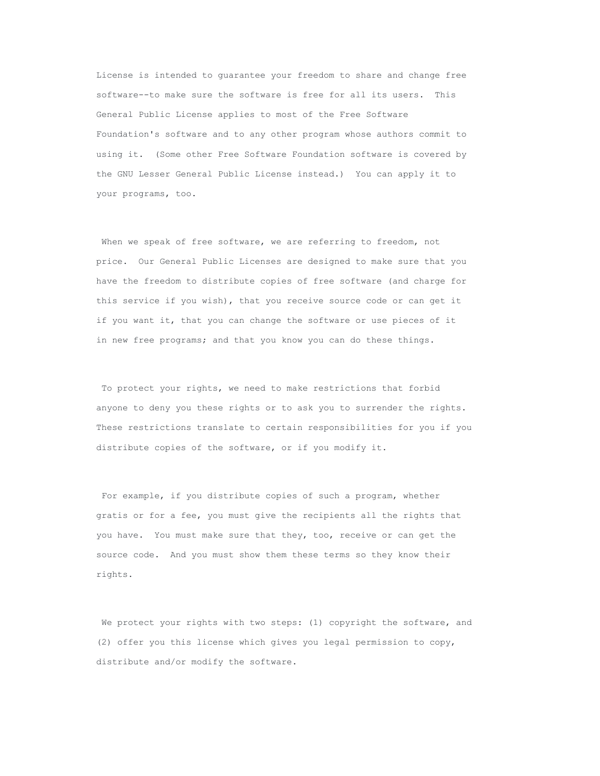License is intended to guarantee your freedom to share and change free software--to make sure the software is free for all its users. This General Public License applies to most of the Free Software Foundation's software and to any other program whose authors commit to using it. (Some other Free Software Foundation software is covered by the GNU Lesser General Public License instead.) You can apply it to your programs, too.

When we speak of free software, we are referring to freedom, not price. Our General Public Licenses are designed to make sure that you have the freedom to distribute copies of free software (and charge for this service if you wish), that you receive source code or can get it if you want it, that you can change the software or use pieces of it in new free programs; and that you know you can do these things.

To protect your rights, we need to make restrictions that forbid anyone to deny you these rights or to ask you to surrender the rights. These restrictions translate to certain responsibilities for you if you distribute copies of the software, or if you modify it.

For example, if you distribute copies of such a program, whether gratis or for a fee, you must give the recipients all the rights that you have. You must make sure that they, too, receive or can get the source code. And you must show them these terms so they know their rights.

We protect your rights with two steps: (1) copyright the software, and (2) offer you this license which gives you legal permission to copy, distribute and/or modify the software.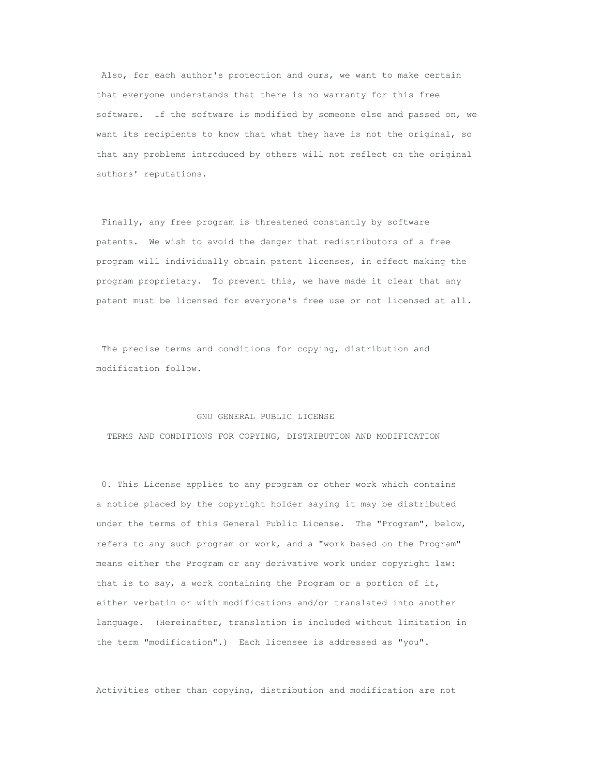Also, for each author's protection and ours, we want to make certain that everyone understands that there is no warranty for this free software. If the software is modified by someone else and passed on, we want its recipients to know that what they have is not the original, so that any problems introduced by others will not reflect on the original authors' reputations.

Finally, any free program is threatened constantly by software patents. We wish to avoid the danger that redistributors of a free program will individually obtain patent licenses, in effect making the program proprietary. To prevent this, we have made it clear that any patent must be licensed for everyone's free use or not licensed at all.

The precise terms and conditions for copying, distribution and modification follow.

#### GNU GENERAL PUBLIC LICENSE

TERMS AND CONDITIONS FOR COPYING, DISTRIBUTION AND MODIFICATION

0. This License applies to any program or other work which contains a notice placed by the copyright holder saying it may be distributed under the terms of this General Public License. The "Program", below, refers to any such program or work, and a "work based on the Program" means either the Program or any derivative work under copyright law: that is to say, a work containing the Program or a portion of it, either verbatim or with modifications and/or translated into another language. (Hereinafter, translation is included without limitation in the term "modification".) Each licensee is addressed as "you".

Activities other than copying, distribution and modification are not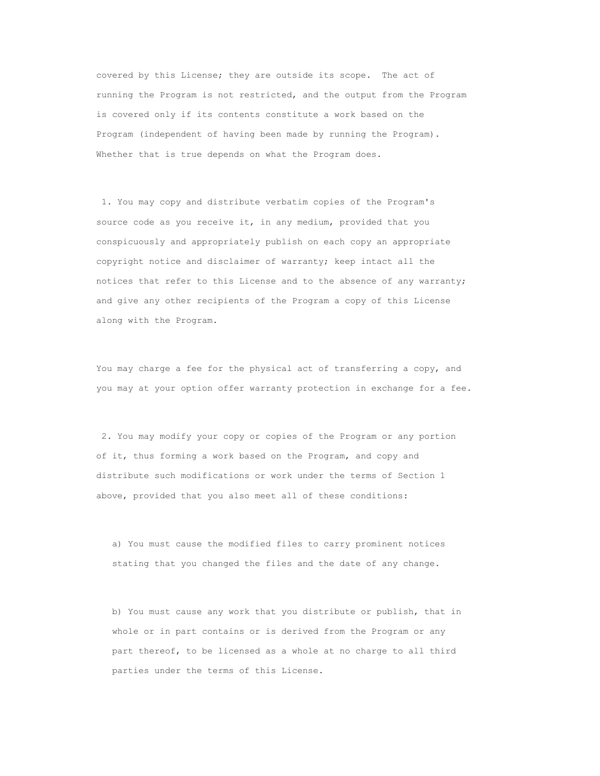covered by this License; they are outside its scope. The act of running the Program is not restricted, and the output from the Program is covered only if its contents constitute a work based on the Program (independent of having been made by running the Program). Whether that is true depends on what the Program does.

1. You may copy and distribute verbatim copies of the Program's source code as you receive it, in any medium, provided that you conspicuously and appropriately publish on each copy an appropriate copyright notice and disclaimer of warranty; keep intact all the notices that refer to this License and to the absence of any warranty; and give any other recipients of the Program a copy of this License along with the Program.

You may charge a fee for the physical act of transferring a copy, and you may at your option offer warranty protection in exchange for a fee.

2. You may modify your copy or copies of the Program or any portion of it, thus forming a work based on the Program, and copy and distribute such modifications or work under the terms of Section 1 above, provided that you also meet all of these conditions:

a) You must cause the modified files to carry prominent notices stating that you changed the files and the date of any change.

b) You must cause any work that you distribute or publish, that in whole or in part contains or is derived from the Program or any part thereof, to be licensed as a whole at no charge to all third parties under the terms of this License.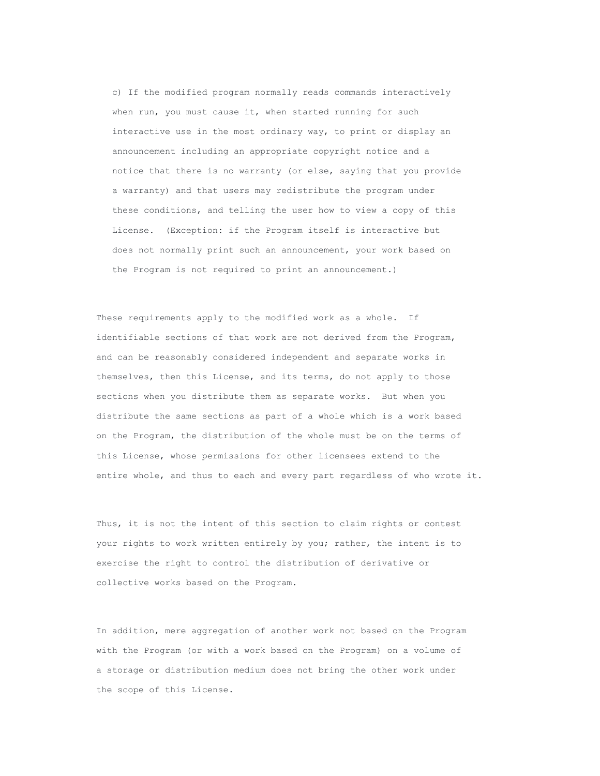c) If the modified program normally reads commands interactively when run, you must cause it, when started running for such interactive use in the most ordinary way, to print or display an announcement including an appropriate copyright notice and a notice that there is no warranty (or else, saying that you provide a warranty) and that users may redistribute the program under these conditions, and telling the user how to view a copy of this License. (Exception: if the Program itself is interactive but does not normally print such an announcement, your work based on the Program is not required to print an announcement.)

These requirements apply to the modified work as a whole. If identifiable sections of that work are not derived from the Program, and can be reasonably considered independent and separate works in themselves, then this License, and its terms, do not apply to those sections when you distribute them as separate works. But when you distribute the same sections as part of a whole which is a work based on the Program, the distribution of the whole must be on the terms of this License, whose permissions for other licensees extend to the entire whole, and thus to each and every part regardless of who wrote it.

Thus, it is not the intent of this section to claim rights or contest your rights to work written entirely by you; rather, the intent is to exercise the right to control the distribution of derivative or collective works based on the Program.

In addition, mere aggregation of another work not based on the Program with the Program (or with a work based on the Program) on a volume of a storage or distribution medium does not bring the other work under the scope of this License.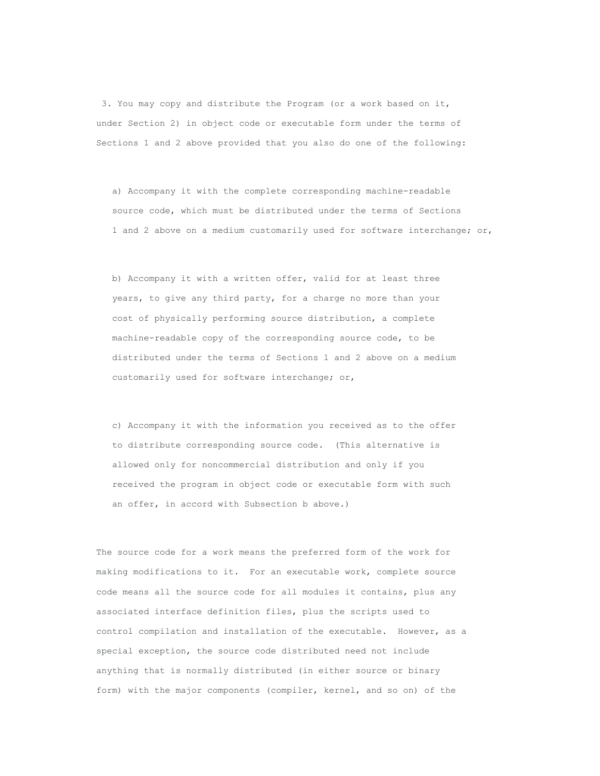3. You may copy and distribute the Program (or a work based on it, under Section 2) in object code or executable form under the terms of Sections 1 and 2 above provided that you also do one of the following:

a) Accompany it with the complete corresponding machine-readable source code, which must be distributed under the terms of Sections 1 and 2 above on a medium customarily used for software interchange; or,

b) Accompany it with a written offer, valid for at least three years, to give any third party, for a charge no more than your cost of physically performing source distribution, a complete machine-readable copy of the corresponding source code, to be distributed under the terms of Sections 1 and 2 above on a medium customarily used for software interchange; or,

c) Accompany it with the information you received as to the offer to distribute corresponding source code. (This alternative is allowed only for noncommercial distribution and only if you received the program in object code or executable form with such an offer, in accord with Subsection b above.)

The source code for a work means the preferred form of the work for making modifications to it. For an executable work, complete source code means all the source code for all modules it contains, plus any associated interface definition files, plus the scripts used to control compilation and installation of the executable. However, as a special exception, the source code distributed need not include anything that is normally distributed (in either source or binary form) with the major components (compiler, kernel, and so on) of the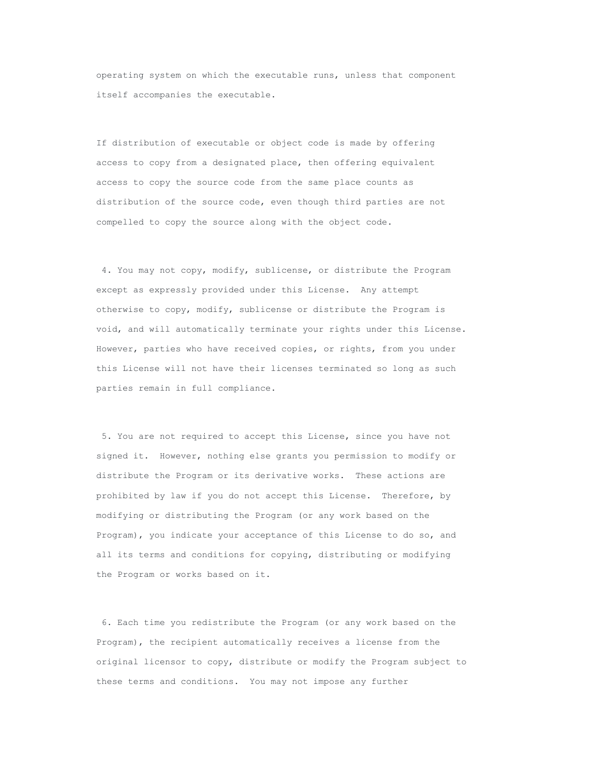operating system on which the executable runs, unless that component itself accompanies the executable.

If distribution of executable or object code is made by offering access to copy from a designated place, then offering equivalent access to copy the source code from the same place counts as distribution of the source code, even though third parties are not compelled to copy the source along with the object code.

4. You may not copy, modify, sublicense, or distribute the Program except as expressly provided under this License. Any attempt otherwise to copy, modify, sublicense or distribute the Program is void, and will automatically terminate your rights under this License. However, parties who have received copies, or rights, from you under this License will not have their licenses terminated so long as such parties remain in full compliance.

5. You are not required to accept this License, since you have not signed it. However, nothing else grants you permission to modify or distribute the Program or its derivative works. These actions are prohibited by law if you do not accept this License. Therefore, by modifying or distributing the Program (or any work based on the Program), you indicate your acceptance of this License to do so, and all its terms and conditions for copying, distributing or modifying the Program or works based on it.

6. Each time you redistribute the Program (or any work based on the Program), the recipient automatically receives a license from the original licensor to copy, distribute or modify the Program subject to these terms and conditions. You may not impose any further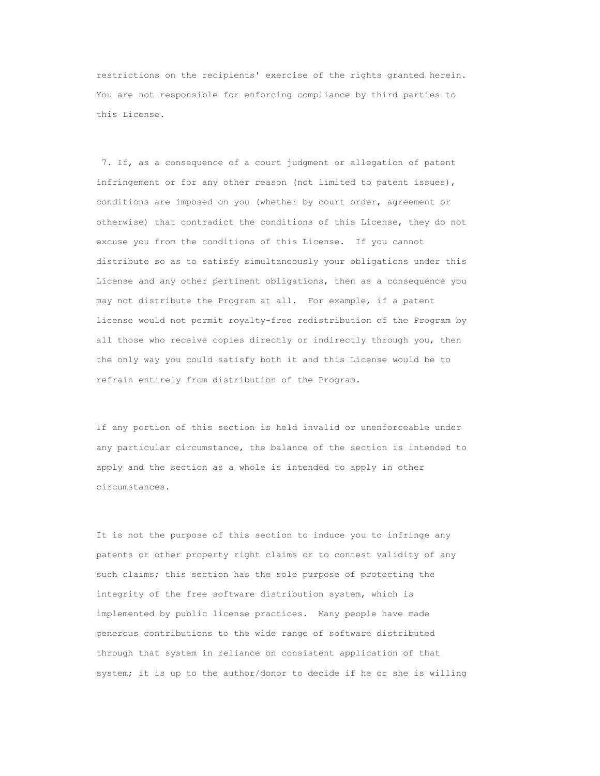restrictions on the recipients' exercise of the rights granted herein. You are not responsible for enforcing compliance by third parties to this License.

7. If, as a consequence of a court judgment or allegation of patent infringement or for any other reason (not limited to patent issues), conditions are imposed on you (whether by court order, agreement or otherwise) that contradict the conditions of this License, they do not excuse you from the conditions of this License. If you cannot distribute so as to satisfy simultaneously your obligations under this License and any other pertinent obligations, then as a consequence you may not distribute the Program at all. For example, if a patent license would not permit royalty-free redistribution of the Program by all those who receive copies directly or indirectly through you, then the only way you could satisfy both it and this License would be to refrain entirely from distribution of the Program.

If any portion of this section is held invalid or unenforceable under any particular circumstance, the balance of the section is intended to apply and the section as a whole is intended to apply in other circumstances.

It is not the purpose of this section to induce you to infringe any patents or other property right claims or to contest validity of any such claims; this section has the sole purpose of protecting the integrity of the free software distribution system, which is implemented by public license practices. Many people have made generous contributions to the wide range of software distributed through that system in reliance on consistent application of that system; it is up to the author/donor to decide if he or she is willing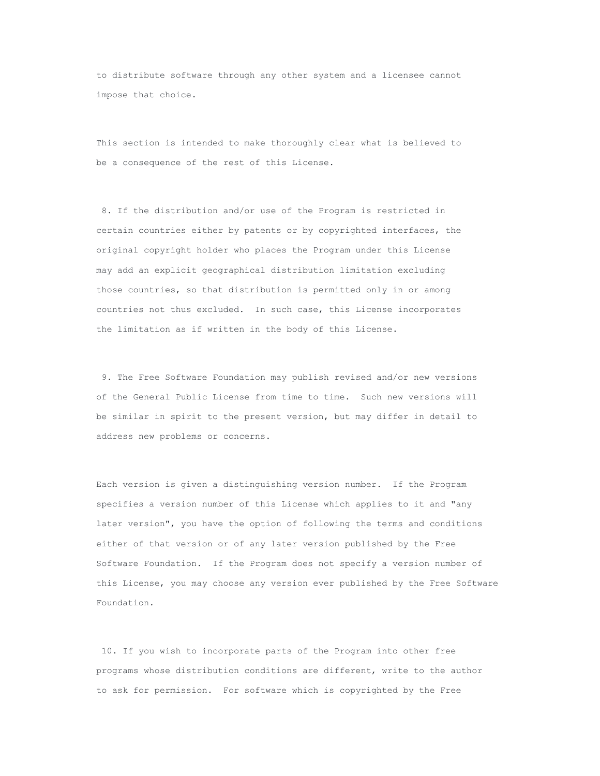to distribute software through any other system and a licensee cannot impose that choice.

This section is intended to make thoroughly clear what is believed to be a consequence of the rest of this License.

8. If the distribution and/or use of the Program is restricted in certain countries either by patents or by copyrighted interfaces, the original copyright holder who places the Program under this License may add an explicit geographical distribution limitation excluding those countries, so that distribution is permitted only in or among countries not thus excluded. In such case, this License incorporates the limitation as if written in the body of this License.

9. The Free Software Foundation may publish revised and/or new versions of the General Public License from time to time. Such new versions will be similar in spirit to the present version, but may differ in detail to address new problems or concerns.

Each version is given a distinguishing version number. If the Program specifies a version number of this License which applies to it and "any later version", you have the option of following the terms and conditions either of that version or of any later version published by the Free Software Foundation. If the Program does not specify a version number of this License, you may choose any version ever published by the Free Software Foundation.

10. If you wish to incorporate parts of the Program into other free programs whose distribution conditions are different, write to the author to ask for permission. For software which is copyrighted by the Free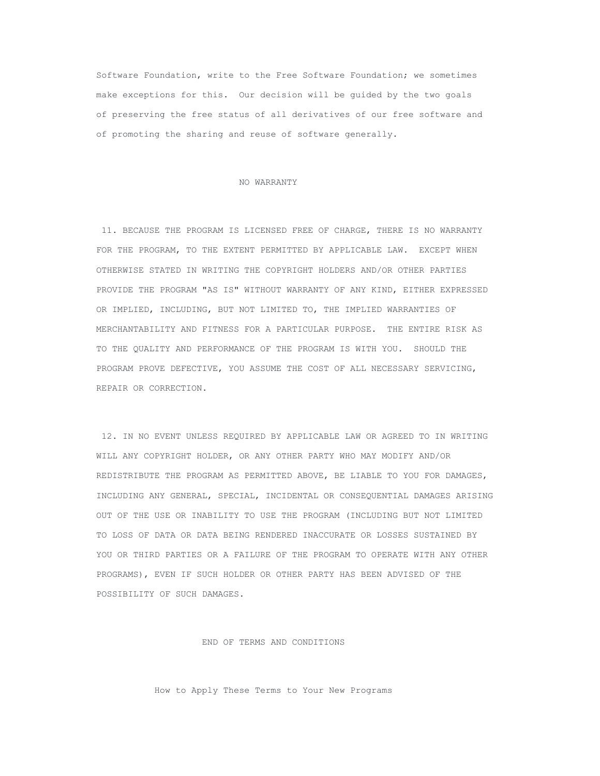Software Foundation, write to the Free Software Foundation; we sometimes make exceptions for this. Our decision will be guided by the two goals of preserving the free status of all derivatives of our free software and of promoting the sharing and reuse of software generally.

#### NO WARRANTY

11. BECAUSE THE PROGRAM IS LICENSED FREE OF CHARGE, THERE IS NO WARRANTY FOR THE PROGRAM, TO THE EXTENT PERMITTED BY APPLICABLE LAW. EXCEPT WHEN OTHERWISE STATED IN WRITING THE COPYRIGHT HOLDERS AND/OR OTHER PARTIES PROVIDE THE PROGRAM "AS IS" WITHOUT WARRANTY OF ANY KIND, EITHER EXPRESSED OR IMPLIED, INCLUDING, BUT NOT LIMITED TO, THE IMPLIED WARRANTIES OF MERCHANTABILITY AND FITNESS FOR A PARTICULAR PURPOSE. THE ENTIRE RISK AS TO THE QUALITY AND PERFORMANCE OF THE PROGRAM IS WITH YOU. SHOULD THE PROGRAM PROVE DEFECTIVE, YOU ASSUME THE COST OF ALL NECESSARY SERVICING, REPAIR OR CORRECTION.

12. IN NO EVENT UNLESS REQUIRED BY APPLICABLE LAW OR AGREED TO IN WRITING WILL ANY COPYRIGHT HOLDER, OR ANY OTHER PARTY WHO MAY MODIFY AND/OR REDISTRIBUTE THE PROGRAM AS PERMITTED ABOVE, BE LIABLE TO YOU FOR DAMAGES, INCLUDING ANY GENERAL, SPECIAL, INCIDENTAL OR CONSEQUENTIAL DAMAGES ARISING OUT OF THE USE OR INABILITY TO USE THE PROGRAM (INCLUDING BUT NOT LIMITED TO LOSS OF DATA OR DATA BEING RENDERED INACCURATE OR LOSSES SUSTAINED BY YOU OR THIRD PARTIES OR A FAILURE OF THE PROGRAM TO OPERATE WITH ANY OTHER PROGRAMS), EVEN IF SUCH HOLDER OR OTHER PARTY HAS BEEN ADVISED OF THE POSSIBILITY OF SUCH DAMAGES.

END OF TERMS AND CONDITIONS

How to Apply These Terms to Your New Programs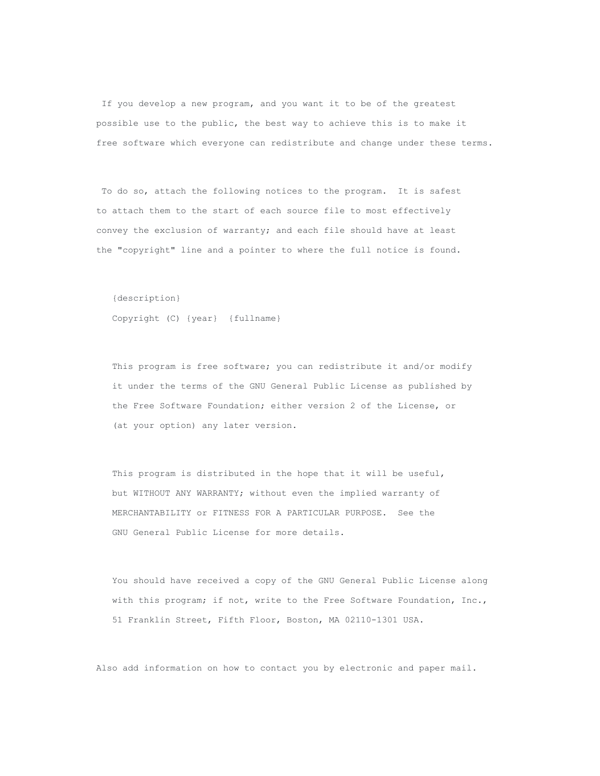If you develop a new program, and you want it to be of the greatest possible use to the public, the best way to achieve this is to make it free software which everyone can redistribute and change under these terms.

To do so, attach the following notices to the program. It is safest to attach them to the start of each source file to most effectively convey the exclusion of warranty; and each file should have at least the "copyright" line and a pointer to where the full notice is found.

{description}

Copyright (C) {year} {fullname}

This program is free software; you can redistribute it and/or modify it under the terms of the GNU General Public License as published by the Free Software Foundation; either version 2 of the License, or (at your option) any later version.

This program is distributed in the hope that it will be useful, but WITHOUT ANY WARRANTY; without even the implied warranty of MERCHANTABILITY or FITNESS FOR A PARTICULAR PURPOSE. See the GNU General Public License for more details.

You should have received a copy of the GNU General Public License along with this program; if not, write to the Free Software Foundation, Inc., 51 Franklin Street, Fifth Floor, Boston, MA 02110-1301 USA.

Also add information on how to contact you by electronic and paper mail.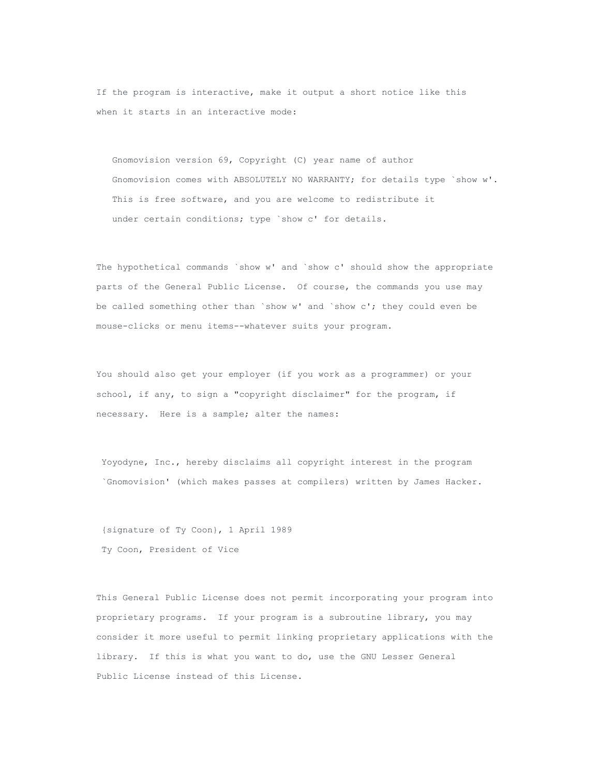If the program is interactive, make it output a short notice like this when it starts in an interactive mode:

Gnomovision version 69, Copyright (C) year name of author Gnomovision comes with ABSOLUTELY NO WARRANTY; for details type `show w'. This is free software, and you are welcome to redistribute it under certain conditions; type `show c' for details.

The hypothetical commands `show w' and `show c' should show the appropriate parts of the General Public License. Of course, the commands you use may be called something other than `show w' and `show c'; they could even be mouse-clicks or menu items--whatever suits your program.

You should also get your employer (if you work as a programmer) or your school, if any, to sign a "copyright disclaimer" for the program, if necessary. Here is a sample; alter the names:

Yoyodyne, Inc., hereby disclaims all copyright interest in the program `Gnomovision' (which makes passes at compilers) written by James Hacker.

{signature of Ty Coon}, 1 April 1989 Ty Coon, President of Vice

This General Public License does not permit incorporating your program into proprietary programs. If your program is a subroutine library, you may consider it more useful to permit linking proprietary applications with the library. If this is what you want to do, use the GNU Lesser General Public License instead of this License.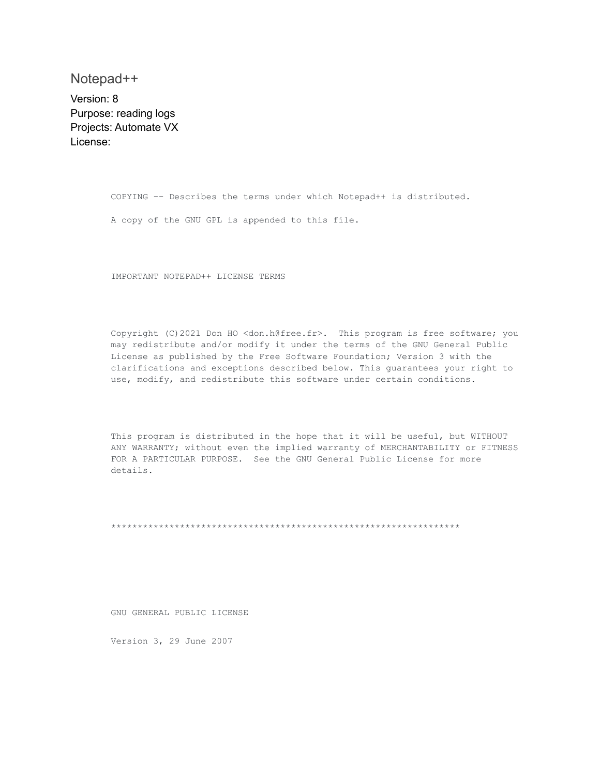Notepad++

Version: 8 Purpose: reading logs Projects: Automate VX License:

> COPYING -- Describes the terms under which Notepad++ is distributed. A copy of the GNU GPL is appended to this file.

IMPORTANT NOTEPAD++ LICENSE TERMS

Copyright (C)2021 Don HO <don.h@free.fr>. This program is free software; you may redistribute and/or modify it under the terms of the GNU General Public License as published by the Free Software Foundation; Version 3 with the clarifications and exceptions described below. This guarantees your right to use, modify, and redistribute this software under certain conditions.

This program is distributed in the hope that it will be useful, but WITHOUT ANY WARRANTY; without even the implied warranty of MERCHANTABILITY or FITNESS FOR A PARTICULAR PURPOSE. See the GNU General Public License for more details.

\*\*\*\*\*\*\*\*\*\*\*\*\*\*\*\*\*\*\*\*\*\*\*\*\*\*\*\*\*\*\*\*\*\*\*\*\*\*\*\*\*\*\*\*\*\*\*\*\*\*\*\*\*\*\*\*\*\*\*\*\*\*\*\*\*\*

GNU GENERAL PUBLIC LICENSE

Version 3, 29 June 2007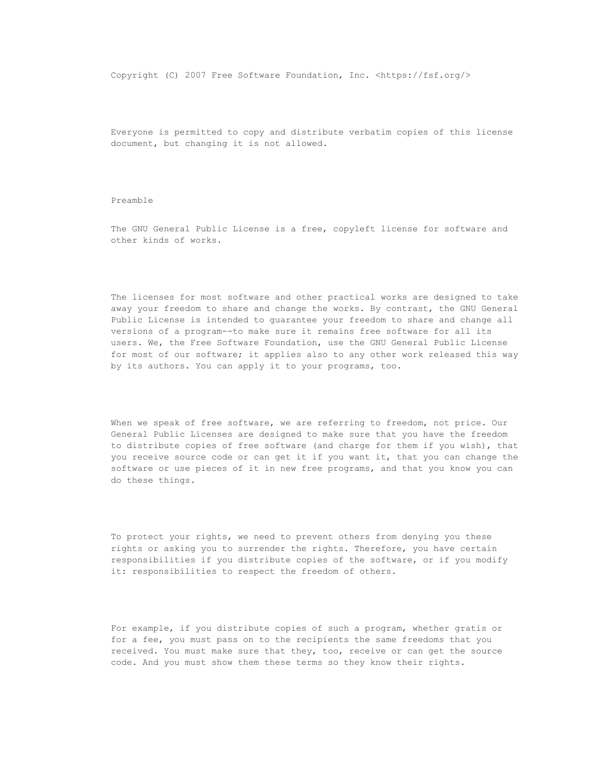Copyright (C) 2007 Free Software Foundation, Inc. <https://fsf.org/>

Everyone is permitted to copy and distribute verbatim copies of this license document, but changing it is not allowed.

# Preamble

The GNU General Public License is a free, copyleft license for software and other kinds of works.

The licenses for most software and other practical works are designed to take away your freedom to share and change the works. By contrast, the GNU General Public License is intended to guarantee your freedom to share and change all versions of a program--to make sure it remains free software for all its users. We, the Free Software Foundation, use the GNU General Public License for most of our software; it applies also to any other work released this way by its authors. You can apply it to your programs, too.

When we speak of free software, we are referring to freedom, not price. Our General Public Licenses are designed to make sure that you have the freedom to distribute copies of free software (and charge for them if you wish), that you receive source code or can get it if you want it, that you can change the software or use pieces of it in new free programs, and that you know you can do these things.

To protect your rights, we need to prevent others from denying you these rights or asking you to surrender the rights. Therefore, you have certain responsibilities if you distribute copies of the software, or if you modify it: responsibilities to respect the freedom of others.

For example, if you distribute copies of such a program, whether gratis or for a fee, you must pass on to the recipients the same freedoms that you received. You must make sure that they, too, receive or can get the source code. And you must show them these terms so they know their rights.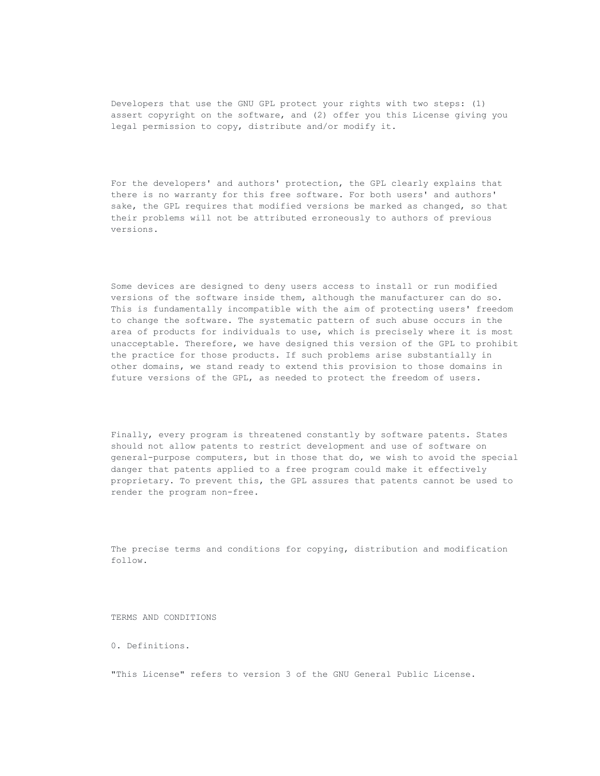Developers that use the GNU GPL protect your rights with two steps: (1) assert copyright on the software, and (2) offer you this License giving you legal permission to copy, distribute and/or modify it.

For the developers' and authors' protection, the GPL clearly explains that there is no warranty for this free software. For both users' and authors' sake, the GPL requires that modified versions be marked as changed, so that their problems will not be attributed erroneously to authors of previous versions.

Some devices are designed to deny users access to install or run modified versions of the software inside them, although the manufacturer can do so. This is fundamentally incompatible with the aim of protecting users' freedom to change the software. The systematic pattern of such abuse occurs in the area of products for individuals to use, which is precisely where it is most unacceptable. Therefore, we have designed this version of the GPL to prohibit the practice for those products. If such problems arise substantially in other domains, we stand ready to extend this provision to those domains in future versions of the GPL, as needed to protect the freedom of users.

Finally, every program is threatened constantly by software patents. States should not allow patents to restrict development and use of software on general-purpose computers, but in those that do, we wish to avoid the special danger that patents applied to a free program could make it effectively proprietary. To prevent this, the GPL assures that patents cannot be used to render the program non-free.

The precise terms and conditions for copying, distribution and modification follow.

TERMS AND CONDITIONS

0. Definitions.

"This License" refers to version 3 of the GNU General Public License.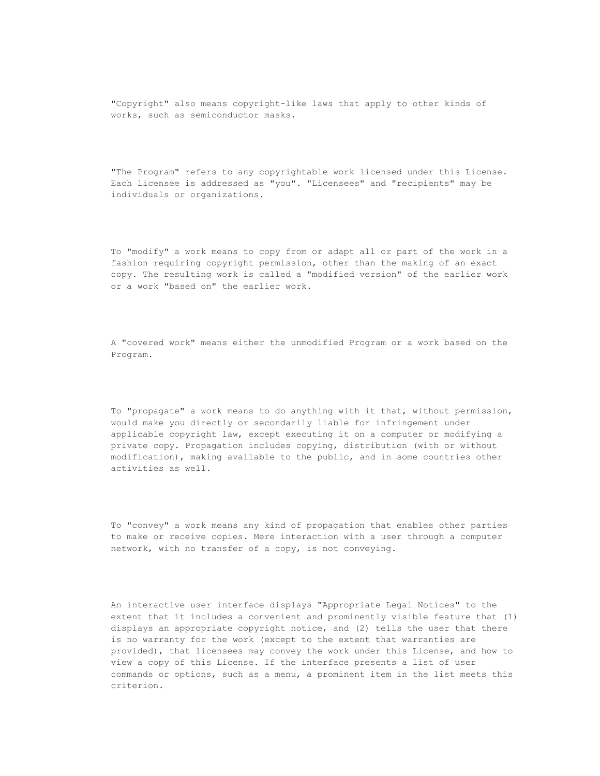"Copyright" also means copyright-like laws that apply to other kinds of works, such as semiconductor masks.

"The Program" refers to any copyrightable work licensed under this License. Each licensee is addressed as "you". "Licensees" and "recipients" may be individuals or organizations.

To "modify" a work means to copy from or adapt all or part of the work in a fashion requiring copyright permission, other than the making of an exact copy. The resulting work is called a "modified version" of the earlier work or a work "based on" the earlier work.

A "covered work" means either the unmodified Program or a work based on the Program.

To "propagate" a work means to do anything with it that, without permission, would make you directly or secondarily liable for infringement under applicable copyright law, except executing it on a computer or modifying a private copy. Propagation includes copying, distribution (with or without modification), making available to the public, and in some countries other activities as well.

To "convey" a work means any kind of propagation that enables other parties to make or receive copies. Mere interaction with a user through a computer network, with no transfer of a copy, is not conveying.

An interactive user interface displays "Appropriate Legal Notices" to the extent that it includes a convenient and prominently visible feature that (1) displays an appropriate copyright notice, and (2) tells the user that there is no warranty for the work (except to the extent that warranties are provided), that licensees may convey the work under this License, and how to view a copy of this License. If the interface presents a list of user commands or options, such as a menu, a prominent item in the list meets this criterion.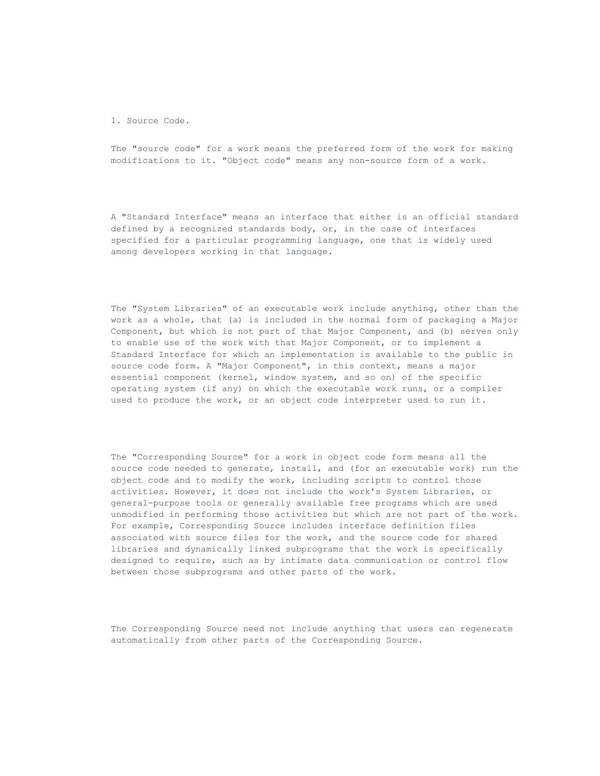1. Source Code.

The "source code" for a work means the preferred form of the work for making modifications to it. "Object code" means any non-source form of a work.

A "Standard Interface" means an interface that either is an official standard defined by a recognized standards body, or, in the case of interfaces specified for a particular programming language, one that is widely used among developers working in that language.

The "System Libraries" of an executable work include anything, other than the work as a whole, that (a) is included in the normal form of packaging a Major Component, but which is not part of that Major Component, and (b) serves only to enable use of the work with that Major Component, or to implement a Standard Interface for which an implementation is available to the public in source code form. A "Major Component", in this context, means a major essential component (kernel, window system, and so on) of the specific operating system (if any) on which the executable work runs, or a compiler used to produce the work, or an object code interpreter used to run it.

The "Corresponding Source" for a work in object code form means all the source code needed to generate, install, and (for an executable work) run the object code and to modify the work, including scripts to control those activities. However, it does not include the work's System Libraries, or general-purpose tools or generally available free programs which are used unmodified in performing those activities but which are not part of the work. For example, Corresponding Source includes interface definition files associated with source files for the work, and the source code for shared libraries and dynamically linked subprograms that the work is specifically designed to require, such as by intimate data communication or control flow between those subprograms and other parts of the work.

The Corresponding Source need not include anything that users can regenerate automatically from other parts of the Corresponding Source.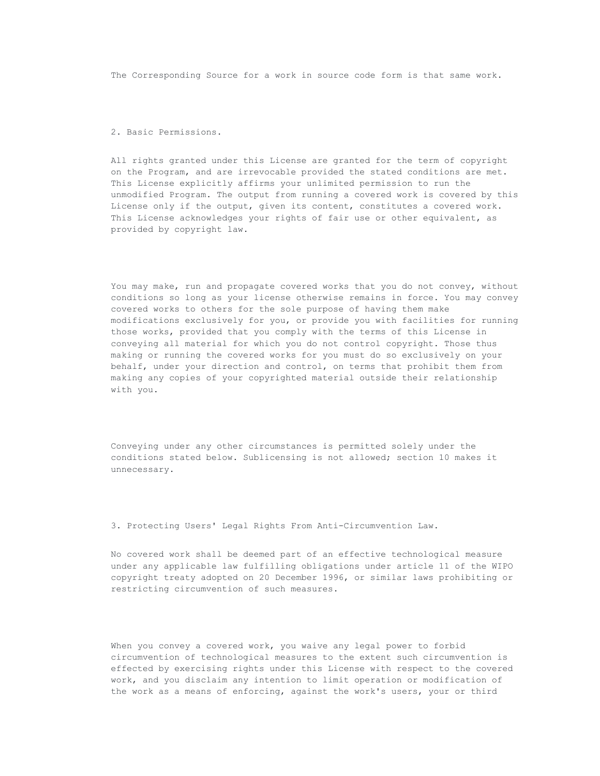The Corresponding Source for a work in source code form is that same work.

2. Basic Permissions.

All rights granted under this License are granted for the term of copyright on the Program, and are irrevocable provided the stated conditions are met. This License explicitly affirms your unlimited permission to run the unmodified Program. The output from running a covered work is covered by this License only if the output, given its content, constitutes a covered work. This License acknowledges your rights of fair use or other equivalent, as provided by copyright law.

You may make, run and propagate covered works that you do not convey, without conditions so long as your license otherwise remains in force. You may convey covered works to others for the sole purpose of having them make modifications exclusively for you, or provide you with facilities for running those works, provided that you comply with the terms of this License in conveying all material for which you do not control copyright. Those thus making or running the covered works for you must do so exclusively on your behalf, under your direction and control, on terms that prohibit them from making any copies of your copyrighted material outside their relationship with you.

Conveying under any other circumstances is permitted solely under the conditions stated below. Sublicensing is not allowed; section 10 makes it unnecessary.

3. Protecting Users' Legal Rights From Anti-Circumvention Law.

No covered work shall be deemed part of an effective technological measure under any applicable law fulfilling obligations under article 11 of the WIPO copyright treaty adopted on 20 December 1996, or similar laws prohibiting or restricting circumvention of such measures.

When you convey a covered work, you waive any legal power to forbid circumvention of technological measures to the extent such circumvention is effected by exercising rights under this License with respect to the covered work, and you disclaim any intention to limit operation or modification of the work as a means of enforcing, against the work's users, your or third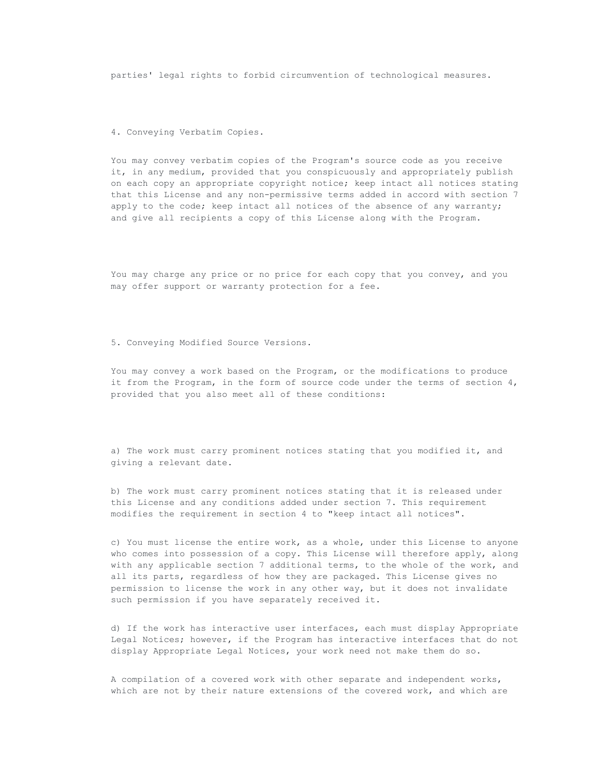parties' legal rights to forbid circumvention of technological measures.

4. Conveying Verbatim Copies.

You may convey verbatim copies of the Program's source code as you receive it, in any medium, provided that you conspicuously and appropriately publish on each copy an appropriate copyright notice; keep intact all notices stating that this License and any non-permissive terms added in accord with section 7 apply to the code; keep intact all notices of the absence of any warranty; and give all recipients a copy of this License along with the Program.

You may charge any price or no price for each copy that you convey, and you may offer support or warranty protection for a fee.

5. Conveying Modified Source Versions.

You may convey a work based on the Program, or the modifications to produce it from the Program, in the form of source code under the terms of section 4, provided that you also meet all of these conditions:

a) The work must carry prominent notices stating that you modified it, and giving a relevant date.

b) The work must carry prominent notices stating that it is released under this License and any conditions added under section 7. This requirement modifies the requirement in section 4 to "keep intact all notices".

c) You must license the entire work, as a whole, under this License to anyone who comes into possession of a copy. This License will therefore apply, along with any applicable section 7 additional terms, to the whole of the work, and all its parts, regardless of how they are packaged. This License gives no permission to license the work in any other way, but it does not invalidate such permission if you have separately received it.

d) If the work has interactive user interfaces, each must display Appropriate Legal Notices; however, if the Program has interactive interfaces that do not display Appropriate Legal Notices, your work need not make them do so.

A compilation of a covered work with other separate and independent works, which are not by their nature extensions of the covered work, and which are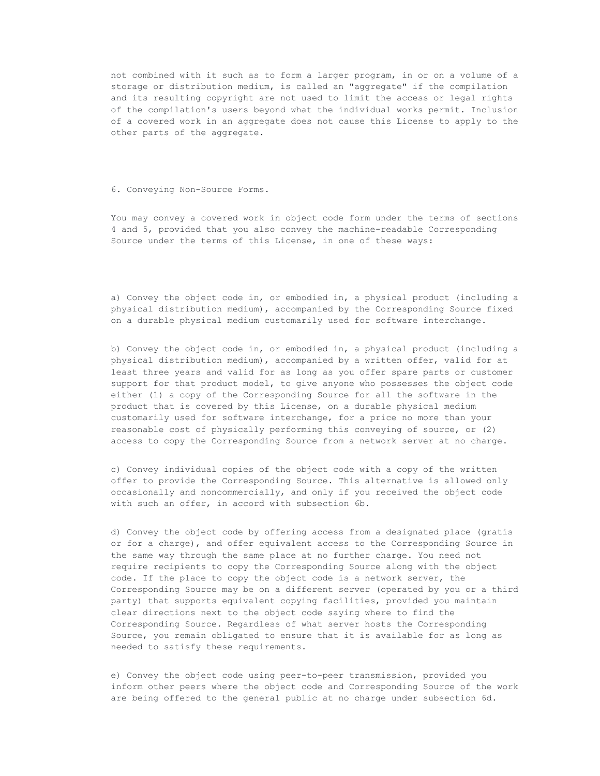not combined with it such as to form a larger program, in or on a volume of a storage or distribution medium, is called an "aggregate" if the compilation and its resulting copyright are not used to limit the access or legal rights of the compilation's users beyond what the individual works permit. Inclusion of a covered work in an aggregate does not cause this License to apply to the other parts of the aggregate.

# 6. Conveying Non-Source Forms.

You may convey a covered work in object code form under the terms of sections 4 and 5, provided that you also convey the machine-readable Corresponding Source under the terms of this License, in one of these ways:

a) Convey the object code in, or embodied in, a physical product (including a physical distribution medium), accompanied by the Corresponding Source fixed on a durable physical medium customarily used for software interchange.

b) Convey the object code in, or embodied in, a physical product (including a physical distribution medium), accompanied by a written offer, valid for at least three years and valid for as long as you offer spare parts or customer support for that product model, to give anyone who possesses the object code either (1) a copy of the Corresponding Source for all the software in the product that is covered by this License, on a durable physical medium customarily used for software interchange, for a price no more than your reasonable cost of physically performing this conveying of source, or (2) access to copy the Corresponding Source from a network server at no charge.

c) Convey individual copies of the object code with a copy of the written offer to provide the Corresponding Source. This alternative is allowed only occasionally and noncommercially, and only if you received the object code with such an offer, in accord with subsection 6b.

d) Convey the object code by offering access from a designated place (gratis or for a charge), and offer equivalent access to the Corresponding Source in the same way through the same place at no further charge. You need not require recipients to copy the Corresponding Source along with the object code. If the place to copy the object code is a network server, the Corresponding Source may be on a different server (operated by you or a third party) that supports equivalent copying facilities, provided you maintain clear directions next to the object code saying where to find the Corresponding Source. Regardless of what server hosts the Corresponding Source, you remain obligated to ensure that it is available for as long as needed to satisfy these requirements.

e) Convey the object code using peer-to-peer transmission, provided you inform other peers where the object code and Corresponding Source of the work are being offered to the general public at no charge under subsection 6d.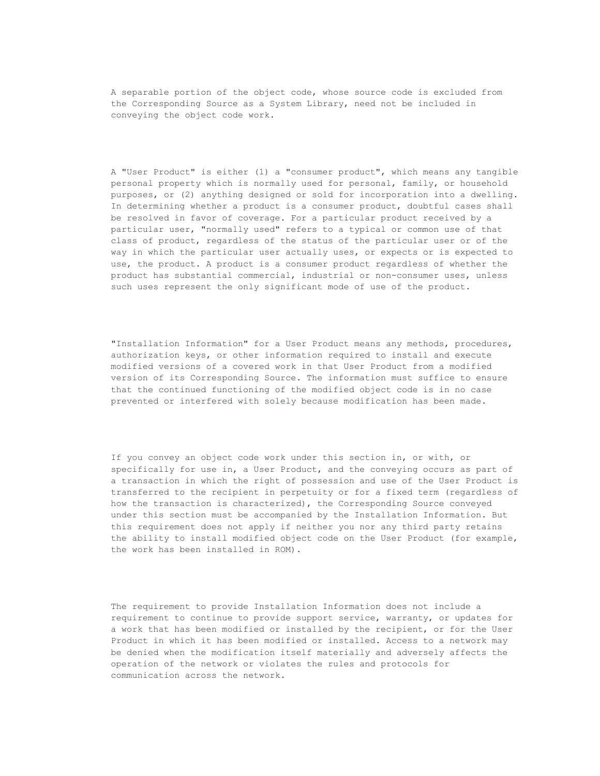A separable portion of the object code, whose source code is excluded from the Corresponding Source as a System Library, need not be included in conveying the object code work.

A "User Product" is either (1) a "consumer product", which means any tangible personal property which is normally used for personal, family, or household purposes, or (2) anything designed or sold for incorporation into a dwelling. In determining whether a product is a consumer product, doubtful cases shall be resolved in favor of coverage. For a particular product received by a particular user, "normally used" refers to a typical or common use of that class of product, regardless of the status of the particular user or of the way in which the particular user actually uses, or expects or is expected to use, the product. A product is a consumer product regardless of whether the product has substantial commercial, industrial or non-consumer uses, unless such uses represent the only significant mode of use of the product.

"Installation Information" for a User Product means any methods, procedures, authorization keys, or other information required to install and execute modified versions of a covered work in that User Product from a modified version of its Corresponding Source. The information must suffice to ensure that the continued functioning of the modified object code is in no case prevented or interfered with solely because modification has been made.

If you convey an object code work under this section in, or with, or specifically for use in, a User Product, and the conveying occurs as part of a transaction in which the right of possession and use of the User Product is transferred to the recipient in perpetuity or for a fixed term (regardless of how the transaction is characterized), the Corresponding Source conveyed under this section must be accompanied by the Installation Information. But this requirement does not apply if neither you nor any third party retains the ability to install modified object code on the User Product (for example, the work has been installed in ROM).

The requirement to provide Installation Information does not include a requirement to continue to provide support service, warranty, or updates for a work that has been modified or installed by the recipient, or for the User Product in which it has been modified or installed. Access to a network may be denied when the modification itself materially and adversely affects the operation of the network or violates the rules and protocols for communication across the network.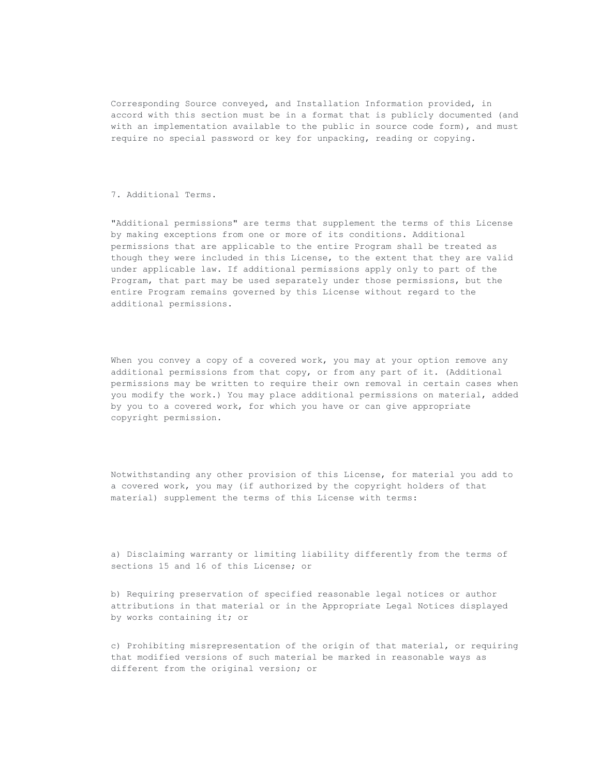Corresponding Source conveyed, and Installation Information provided, in accord with this section must be in a format that is publicly documented (and with an implementation available to the public in source code form), and must require no special password or key for unpacking, reading or copying.

# 7. Additional Terms.

"Additional permissions" are terms that supplement the terms of this License by making exceptions from one or more of its conditions. Additional permissions that are applicable to the entire Program shall be treated as though they were included in this License, to the extent that they are valid under applicable law. If additional permissions apply only to part of the Program, that part may be used separately under those permissions, but the entire Program remains governed by this License without regard to the additional permissions.

When you convey a copy of a covered work, you may at your option remove any additional permissions from that copy, or from any part of it. (Additional permissions may be written to require their own removal in certain cases when you modify the work.) You may place additional permissions on material, added by you to a covered work, for which you have or can give appropriate copyright permission.

Notwithstanding any other provision of this License, for material you add to a covered work, you may (if authorized by the copyright holders of that material) supplement the terms of this License with terms:

a) Disclaiming warranty or limiting liability differently from the terms of sections 15 and 16 of this License; or

b) Requiring preservation of specified reasonable legal notices or author attributions in that material or in the Appropriate Legal Notices displayed by works containing it; or

c) Prohibiting misrepresentation of the origin of that material, or requiring that modified versions of such material be marked in reasonable ways as different from the original version; or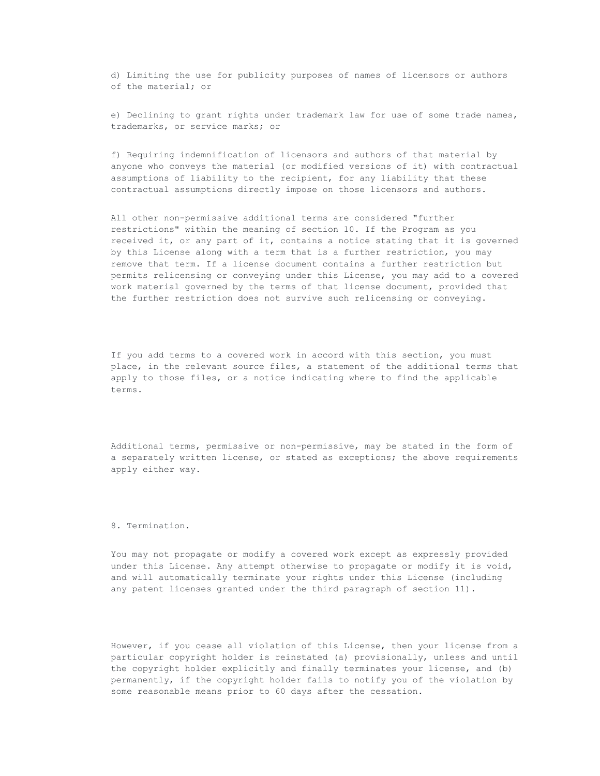d) Limiting the use for publicity purposes of names of licensors or authors of the material; or

e) Declining to grant rights under trademark law for use of some trade names, trademarks, or service marks; or

f) Requiring indemnification of licensors and authors of that material by anyone who conveys the material (or modified versions of it) with contractual assumptions of liability to the recipient, for any liability that these contractual assumptions directly impose on those licensors and authors.

All other non-permissive additional terms are considered "further restrictions" within the meaning of section 10. If the Program as you received it, or any part of it, contains a notice stating that it is governed by this License along with a term that is a further restriction, you may remove that term. If a license document contains a further restriction but permits relicensing or conveying under this License, you may add to a covered work material governed by the terms of that license document, provided that the further restriction does not survive such relicensing or conveying.

If you add terms to a covered work in accord with this section, you must place, in the relevant source files, a statement of the additional terms that apply to those files, or a notice indicating where to find the applicable terms.

Additional terms, permissive or non-permissive, may be stated in the form of a separately written license, or stated as exceptions; the above requirements apply either way.

8. Termination.

You may not propagate or modify a covered work except as expressly provided under this License. Any attempt otherwise to propagate or modify it is void, and will automatically terminate your rights under this License (including any patent licenses granted under the third paragraph of section 11).

However, if you cease all violation of this License, then your license from a particular copyright holder is reinstated (a) provisionally, unless and until the copyright holder explicitly and finally terminates your license, and (b) permanently, if the copyright holder fails to notify you of the violation by some reasonable means prior to 60 days after the cessation.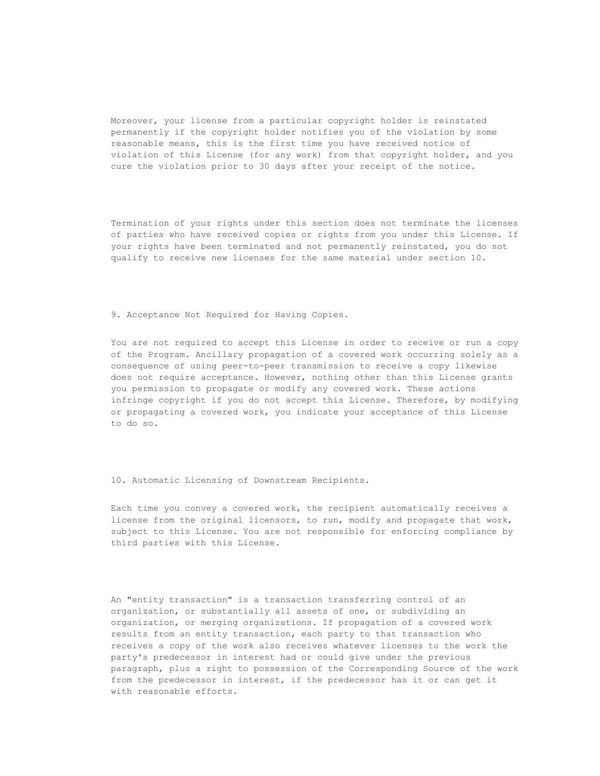Moreover, your license from a particular copyright holder is reinstated permanently if the copyright holder notifies you of the violation by some reasonable means, this is the first time you have received notice of violation of this License (for any work) from that copyright holder, and you cure the violation prior to 30 days after your receipt of the notice.

Termination of your rights under this section does not terminate the licenses of parties who have received copies or rights from you under this License. If your rights have been terminated and not permanently reinstated, you do not qualify to receive new licenses for the same material under section 10.

9. Acceptance Not Required for Having Copies.

You are not required to accept this License in order to receive or run a copy of the Program. Ancillary propagation of a covered work occurring solely as a consequence of using peer-to-peer transmission to receive a copy likewise does not require acceptance. However, nothing other than this License grants you permission to propagate or modify any covered work. These actions infringe copyright if you do not accept this License. Therefore, by modifying or propagating a covered work, you indicate your acceptance of this License to do so.

10. Automatic Licensing of Downstream Recipients.

Each time you convey a covered work, the recipient automatically receives a license from the original licensors, to run, modify and propagate that work, subject to this License. You are not responsible for enforcing compliance by third parties with this License.

An "entity transaction" is a transaction transferring control of an organization, or substantially all assets of one, or subdividing an organization, or merging organizations. If propagation of a covered work results from an entity transaction, each party to that transaction who receives a copy of the work also receives whatever licenses to the work the party's predecessor in interest had or could give under the previous paragraph, plus a right to possession of the Corresponding Source of the work from the predecessor in interest, if the predecessor has it or can get it with reasonable efforts.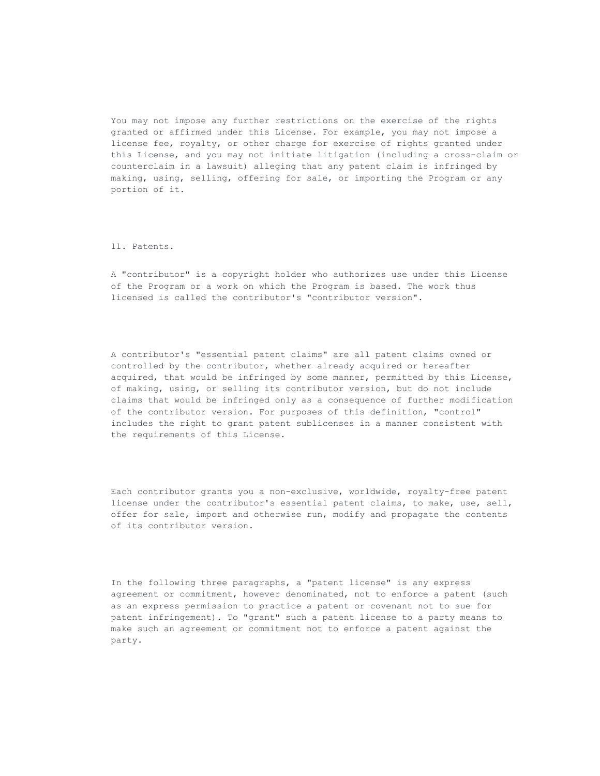You may not impose any further restrictions on the exercise of the rights granted or affirmed under this License. For example, you may not impose a license fee, royalty, or other charge for exercise of rights granted under this License, and you may not initiate litigation (including a cross-claim or counterclaim in a lawsuit) alleging that any patent claim is infringed by making, using, selling, offering for sale, or importing the Program or any portion of it.

#### 11. Patents.

A "contributor" is a copyright holder who authorizes use under this License of the Program or a work on which the Program is based. The work thus licensed is called the contributor's "contributor version".

A contributor's "essential patent claims" are all patent claims owned or controlled by the contributor, whether already acquired or hereafter acquired, that would be infringed by some manner, permitted by this License, of making, using, or selling its contributor version, but do not include claims that would be infringed only as a consequence of further modification of the contributor version. For purposes of this definition, "control" includes the right to grant patent sublicenses in a manner consistent with the requirements of this License.

Each contributor grants you a non-exclusive, worldwide, royalty-free patent license under the contributor's essential patent claims, to make, use, sell, offer for sale, import and otherwise run, modify and propagate the contents of its contributor version.

In the following three paragraphs, a "patent license" is any express agreement or commitment, however denominated, not to enforce a patent (such as an express permission to practice a patent or covenant not to sue for patent infringement). To "grant" such a patent license to a party means to make such an agreement or commitment not to enforce a patent against the party.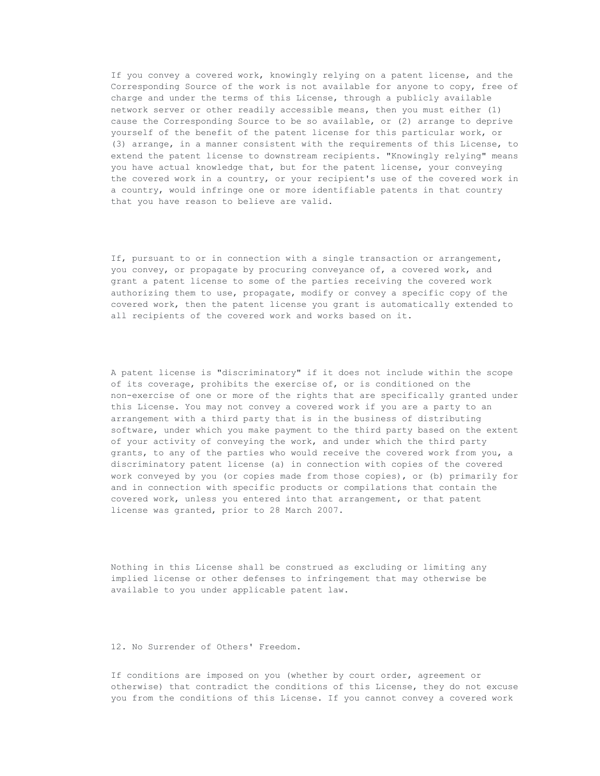If you convey a covered work, knowingly relying on a patent license, and the Corresponding Source of the work is not available for anyone to copy, free of charge and under the terms of this License, through a publicly available network server or other readily accessible means, then you must either (1) cause the Corresponding Source to be so available, or (2) arrange to deprive yourself of the benefit of the patent license for this particular work, or (3) arrange, in a manner consistent with the requirements of this License, to extend the patent license to downstream recipients. "Knowingly relying" means you have actual knowledge that, but for the patent license, your conveying the covered work in a country, or your recipient's use of the covered work in a country, would infringe one or more identifiable patents in that country that you have reason to believe are valid.

If, pursuant to or in connection with a single transaction or arrangement, you convey, or propagate by procuring conveyance of, a covered work, and grant a patent license to some of the parties receiving the covered work authorizing them to use, propagate, modify or convey a specific copy of the covered work, then the patent license you grant is automatically extended to all recipients of the covered work and works based on it.

A patent license is "discriminatory" if it does not include within the scope of its coverage, prohibits the exercise of, or is conditioned on the non-exercise of one or more of the rights that are specifically granted under this License. You may not convey a covered work if you are a party to an arrangement with a third party that is in the business of distributing software, under which you make payment to the third party based on the extent of your activity of conveying the work, and under which the third party grants, to any of the parties who would receive the covered work from you, a discriminatory patent license (a) in connection with copies of the covered work conveyed by you (or copies made from those copies), or (b) primarily for and in connection with specific products or compilations that contain the covered work, unless you entered into that arrangement, or that patent license was granted, prior to 28 March 2007.

Nothing in this License shall be construed as excluding or limiting any implied license or other defenses to infringement that may otherwise be available to you under applicable patent law.

# 12. No Surrender of Others' Freedom.

If conditions are imposed on you (whether by court order, agreement or otherwise) that contradict the conditions of this License, they do not excuse you from the conditions of this License. If you cannot convey a covered work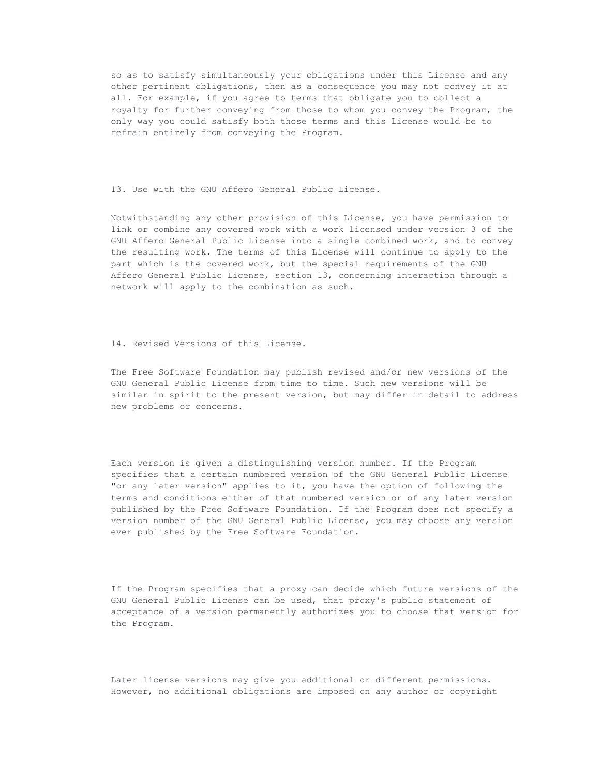so as to satisfy simultaneously your obligations under this License and any other pertinent obligations, then as a consequence you may not convey it at all. For example, if you agree to terms that obligate you to collect a royalty for further conveying from those to whom you convey the Program, the only way you could satisfy both those terms and this License would be to refrain entirely from conveying the Program.

13. Use with the GNU Affero General Public License.

Notwithstanding any other provision of this License, you have permission to link or combine any covered work with a work licensed under version 3 of the GNU Affero General Public License into a single combined work, and to convey the resulting work. The terms of this License will continue to apply to the part which is the covered work, but the special requirements of the GNU Affero General Public License, section 13, concerning interaction through a network will apply to the combination as such.

14. Revised Versions of this License.

The Free Software Foundation may publish revised and/or new versions of the GNU General Public License from time to time. Such new versions will be similar in spirit to the present version, but may differ in detail to address new problems or concerns.

Each version is given a distinguishing version number. If the Program specifies that a certain numbered version of the GNU General Public License "or any later version" applies to it, you have the option of following the terms and conditions either of that numbered version or of any later version published by the Free Software Foundation. If the Program does not specify a version number of the GNU General Public License, you may choose any version ever published by the Free Software Foundation.

If the Program specifies that a proxy can decide which future versions of the GNU General Public License can be used, that proxy's public statement of acceptance of a version permanently authorizes you to choose that version for the Program.

Later license versions may give you additional or different permissions. However, no additional obligations are imposed on any author or copyright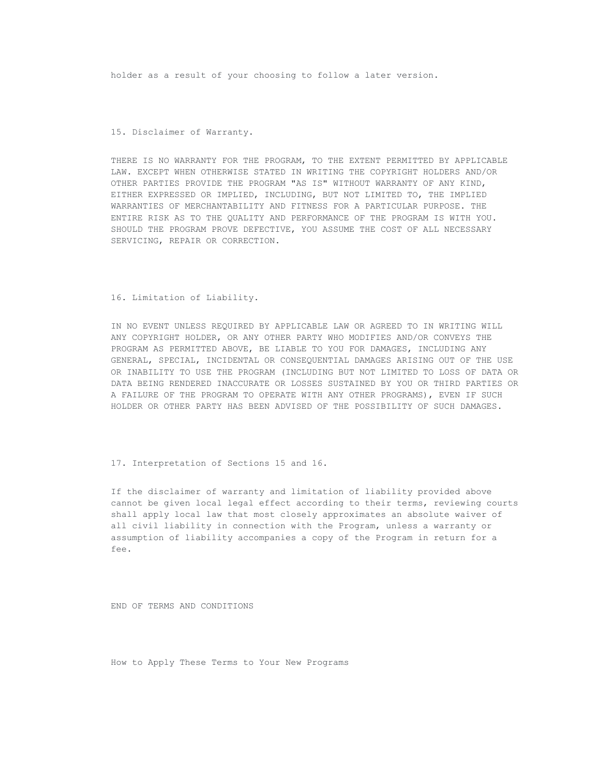holder as a result of your choosing to follow a later version.

### 15. Disclaimer of Warranty.

THERE IS NO WARRANTY FOR THE PROGRAM, TO THE EXTENT PERMITTED BY APPLICABLE LAW. EXCEPT WHEN OTHERWISE STATED IN WRITING THE COPYRIGHT HOLDERS AND/OR OTHER PARTIES PROVIDE THE PROGRAM "AS IS" WITHOUT WARRANTY OF ANY KIND, EITHER EXPRESSED OR IMPLIED, INCLUDING, BUT NOT LIMITED TO, THE IMPLIED WARRANTIES OF MERCHANTABILITY AND FITNESS FOR A PARTICULAR PURPOSE. THE ENTIRE RISK AS TO THE QUALITY AND PERFORMANCE OF THE PROGRAM IS WITH YOU. SHOULD THE PROGRAM PROVE DEFECTIVE, YOU ASSUME THE COST OF ALL NECESSARY SERVICING, REPAIR OR CORRECTION.

#### 16. Limitation of Liability.

IN NO EVENT UNLESS REQUIRED BY APPLICABLE LAW OR AGREED TO IN WRITING WILL ANY COPYRIGHT HOLDER, OR ANY OTHER PARTY WHO MODIFIES AND/OR CONVEYS THE PROGRAM AS PERMITTED ABOVE, BE LIABLE TO YOU FOR DAMAGES, INCLUDING ANY GENERAL, SPECIAL, INCIDENTAL OR CONSEQUENTIAL DAMAGES ARISING OUT OF THE USE OR INABILITY TO USE THE PROGRAM (INCLUDING BUT NOT LIMITED TO LOSS OF DATA OR DATA BEING RENDERED INACCURATE OR LOSSES SUSTAINED BY YOU OR THIRD PARTIES OR A FAILURE OF THE PROGRAM TO OPERATE WITH ANY OTHER PROGRAMS), EVEN IF SUCH HOLDER OR OTHER PARTY HAS BEEN ADVISED OF THE POSSIBILITY OF SUCH DAMAGES.

17. Interpretation of Sections 15 and 16.

If the disclaimer of warranty and limitation of liability provided above cannot be given local legal effect according to their terms, reviewing courts shall apply local law that most closely approximates an absolute waiver of all civil liability in connection with the Program, unless a warranty or assumption of liability accompanies a copy of the Program in return for a fee.

END OF TERMS AND CONDITIONS

How to Apply These Terms to Your New Programs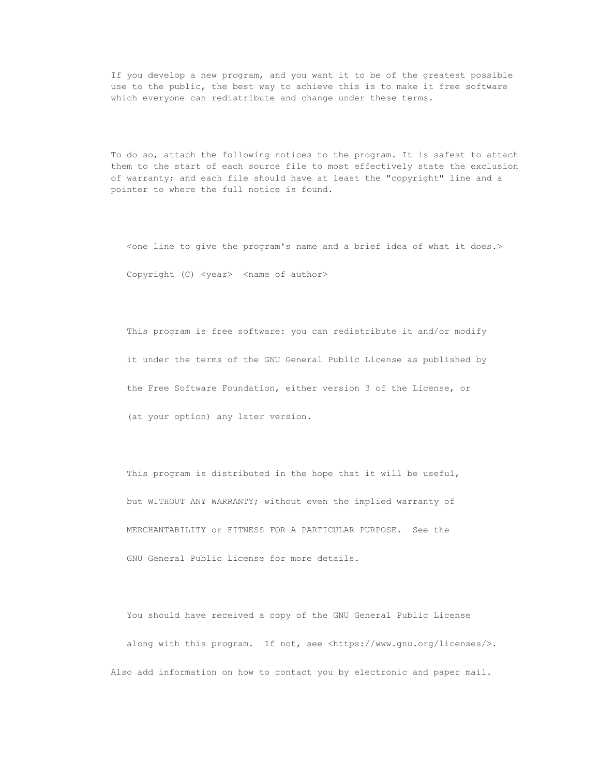If you develop a new program, and you want it to be of the greatest possible use to the public, the best way to achieve this is to make it free software which everyone can redistribute and change under these terms.

To do so, attach the following notices to the program. It is safest to attach them to the start of each source file to most effectively state the exclusion of warranty; and each file should have at least the "copyright" line and a pointer to where the full notice is found.

<one line to give the program's name and a brief idea of what it does.> Copyright (C) <year> <name of author>

This program is free software: you can redistribute it and/or modify it under the terms of the GNU General Public License as published by the Free Software Foundation, either version 3 of the License, or (at your option) any later version.

This program is distributed in the hope that it will be useful, but WITHOUT ANY WARRANTY; without even the implied warranty of MERCHANTABILITY or FITNESS FOR A PARTICULAR PURPOSE. See the GNU General Public License for more details.

You should have received a copy of the GNU General Public License along with this program. If not, see <https://www.gnu.org/licenses/>. Also add information on how to contact you by electronic and paper mail.